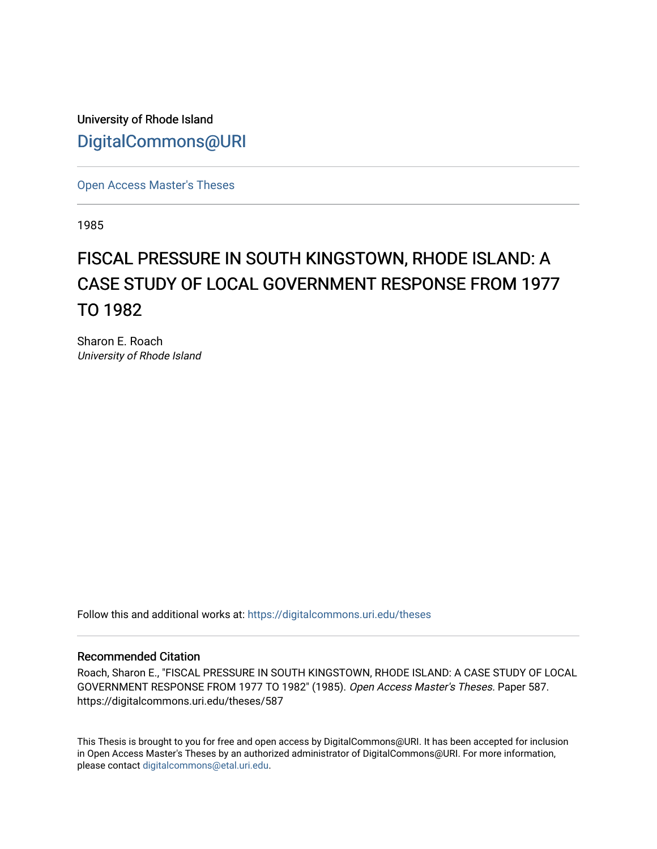University of Rhode Island [DigitalCommons@URI](https://digitalcommons.uri.edu/) 

[Open Access Master's Theses](https://digitalcommons.uri.edu/theses) 

1985

# FISCAL PRESSURE IN SOUTH KINGSTOWN, RHODE ISLAND: A CASE STUDY OF LOCAL GOVERNMENT RESPONSE FROM 1977 TO 1982

Sharon E. Roach University of Rhode Island

Follow this and additional works at: [https://digitalcommons.uri.edu/theses](https://digitalcommons.uri.edu/theses?utm_source=digitalcommons.uri.edu%2Ftheses%2F587&utm_medium=PDF&utm_campaign=PDFCoverPages)

## Recommended Citation

Roach, Sharon E., "FISCAL PRESSURE IN SOUTH KINGSTOWN, RHODE ISLAND: A CASE STUDY OF LOCAL GOVERNMENT RESPONSE FROM 1977 TO 1982" (1985). Open Access Master's Theses. Paper 587. https://digitalcommons.uri.edu/theses/587

This Thesis is brought to you for free and open access by DigitalCommons@URI. It has been accepted for inclusion in Open Access Master's Theses by an authorized administrator of DigitalCommons@URI. For more information, please contact [digitalcommons@etal.uri.edu.](mailto:digitalcommons@etal.uri.edu)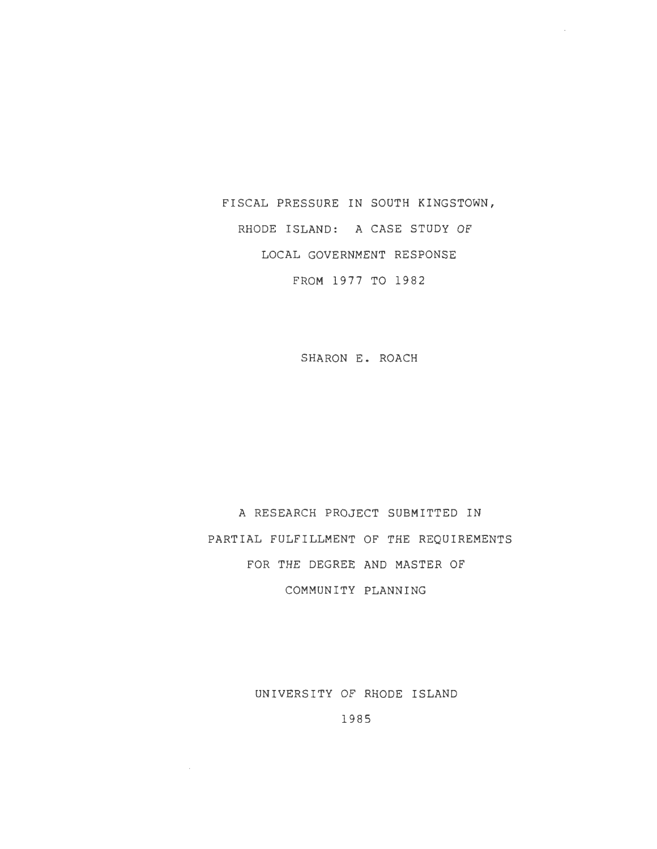FISCAL PRESSURE IN SOUTH KINGSTOWN, RHODE ISLAND: A CASE STUDY OF LOCAL GOVERNMENT RESPONSE FROM 1977 TO 1982

SHARON E. ROACH

A RESEARCH PROJECT SUBMITTED IN PARTIAL FULFILLMENT OF THE REQUIREMENTS FOR THE DEGREE AND MASTER OF COMMUNITY PLANNING

UNIVERSITY OF RHODE ISLAND

1985

 $\sim$   $\sim$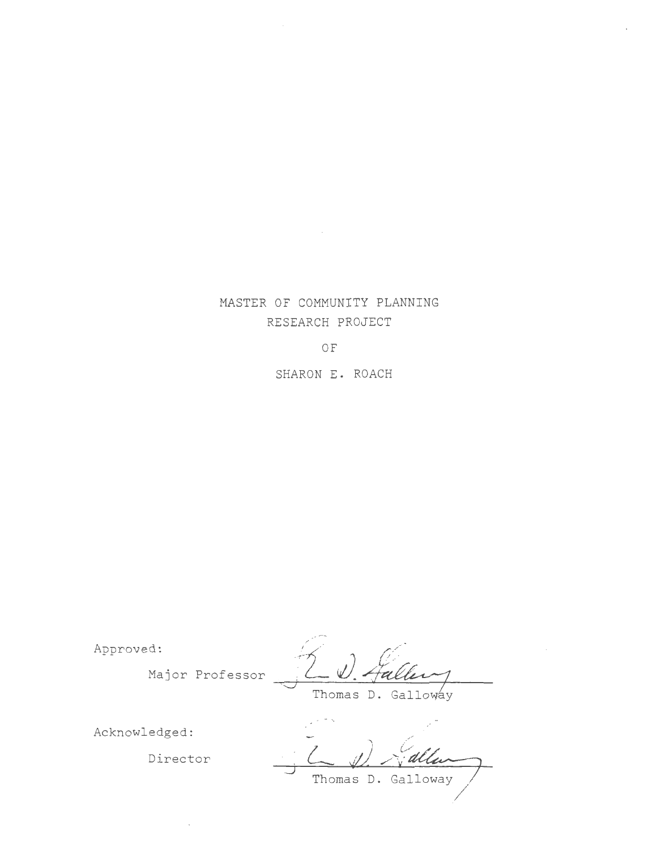# MASTER OF COMMUNITY PLANNING RESEARCH PROJECT

OF

SHARON E. ROACH

Approved:

Major Professor D

Acknowledged:

Director

Thomas // *r*alle Thomas D. Galloway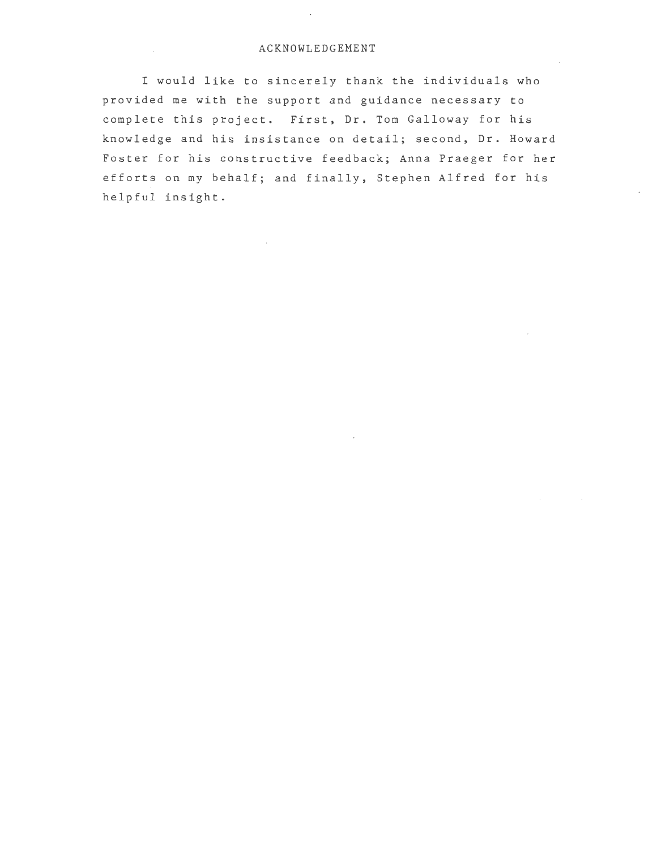## ACKNOWLEDGEMENT

I would like to sincerely thank the individuals who provided me with the support and guidance necessary to complete this project. First, Dr. Tom Galloway for his knowledge and his insistance on detail; second, Dr. Howard Foster for his constructive feedback; Anna Praeger for her efforts on my behalf; and finally, Stephen Alfred for his helpful insight.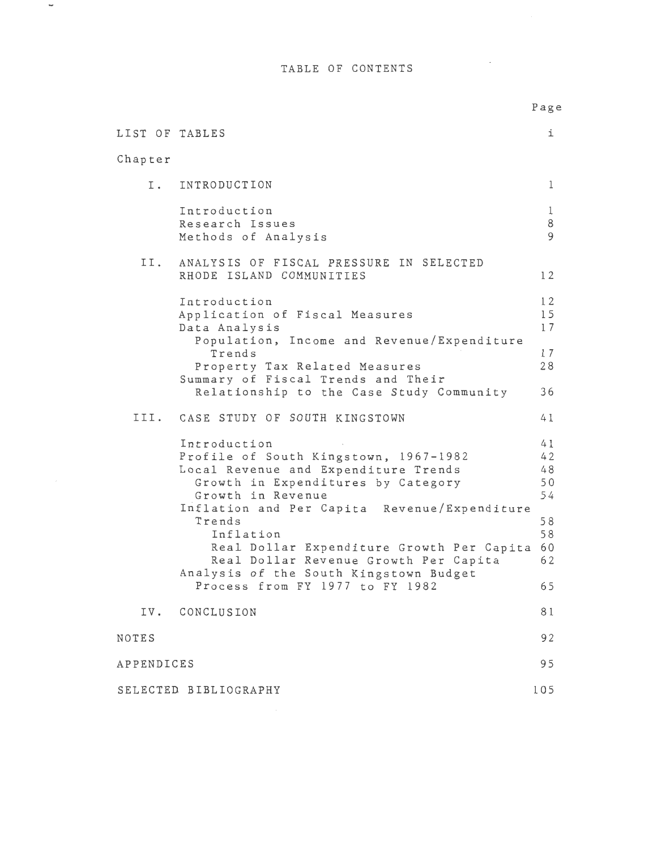TABLE OF CONTENTS

 $\overline{\phantom{a}}$ 

|                |                                                                                                                                                                                                                    | Page                                   |
|----------------|--------------------------------------------------------------------------------------------------------------------------------------------------------------------------------------------------------------------|----------------------------------------|
| LIST OF TABLES |                                                                                                                                                                                                                    | i                                      |
| Chapter        |                                                                                                                                                                                                                    |                                        |
| I.             | INTRODUCTION                                                                                                                                                                                                       | 1                                      |
|                | Introduction<br>Research Issues<br>Methods of Analysis                                                                                                                                                             | 1<br>8<br>9                            |
| II.            | ANALYSIS OF FISCAL PRESSURE IN SELECTED<br>RHODE ISLAND COMMUNITIES                                                                                                                                                | 12                                     |
|                | Introduction<br>Application of Fiscal Measures<br>Data Analysis<br>Population, Income and Revenue/Expenditure                                                                                                      | 12<br>15<br>17                         |
|                | Trends<br>Property Tax Related Measures<br>Summary of Fiscal Trends and Their                                                                                                                                      | 17<br>28                               |
|                | Relationship to the Case Study Community                                                                                                                                                                           | 36                                     |
|                | III. CASE STUDY OF SOUTH KINGSTOWN                                                                                                                                                                                 | 41                                     |
|                | Introduction<br>Profile of South Kingstown, 1967-1982<br>Local Revenue and Expenditure Trends<br>Growth in Expenditures by Category<br>Growth in Revenue<br>Inflation and Per Capita Revenue/Expenditure<br>Trends | 41<br>42<br>48<br>50<br>54<br>58<br>58 |
|                | Inflation<br>Real Dollar Expenditure Growth Per Capita<br>Real Dollar Revenue Growth Per Capita<br>Analysis of the South Kingstown Budget                                                                          | 60<br>62                               |
|                | Process from FY 1977 to FY 1982                                                                                                                                                                                    | 65                                     |
| IV.            | CONCLUSION                                                                                                                                                                                                         | 81                                     |
| NOTES          |                                                                                                                                                                                                                    | 92                                     |
| APPENDICES     |                                                                                                                                                                                                                    | 95                                     |
|                | SELECTED BIBLIOGRAPHY                                                                                                                                                                                              | 105                                    |

 $\mathcal{L}^{\text{max}}_{\text{max}}$  and  $\mathcal{L}^{\text{max}}_{\text{max}}$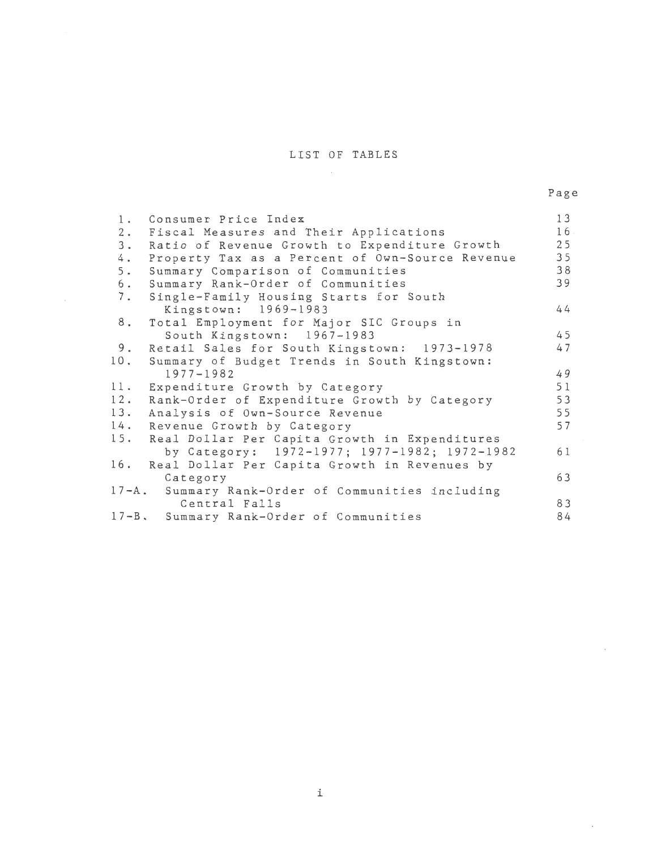## LIST OF TABLES

 $\cdot$ 

| 1.  | Consumer Price Index                              | 13  |
|-----|---------------------------------------------------|-----|
| 2.  | Fiscal Measures and Their Applications            | 16  |
| 3.  | Ratio of Revenue Growth to Expenditure Growth     | 25  |
| 4.  | Property Tax as a Percent of Own-Source Revenue   | 35  |
| 5.  | Summary Comparison of Communities                 | 38  |
| 6.  | Summary Rank-Order of Communities                 | 39  |
| 7.  | Single-Family Housing Starts for South            |     |
|     | Kingstown: 1969-1983                              | 44  |
| 8.  | Total Employment for Major SIC Groups in          |     |
|     | South Kingstown: 1967-1983                        | 45  |
| 9.  | Retail Sales for South Kingstown: 1973-1978       | 47  |
| 10. | Summary of Budget Trends in South Kingstown:      |     |
|     | $1977 - 1982$                                     | 49  |
| 11. | Expenditure Growth by Category                    | 51  |
| 12. | Rank-Order of Expenditure Growth by Category      | 53  |
| 13. | Analysis of Own-Source Revenue                    | 55  |
| 14. | Revenue Growth by Category                        | 57  |
| 15. | Real Dollar Per Capita Growth in Expenditures     |     |
|     | by Category: 1972-1977; 1977-1982; 1972-1982      | 6 1 |
| 16. | Real Dollar Per Capita Growth in Revenues by      |     |
|     | Category                                          | 63  |
|     | 17-A. Summary Rank-Order of Communities including |     |
|     | Central Falls                                     | 83  |
|     | 17-B. Summary Rank-Order of Communities           | 84  |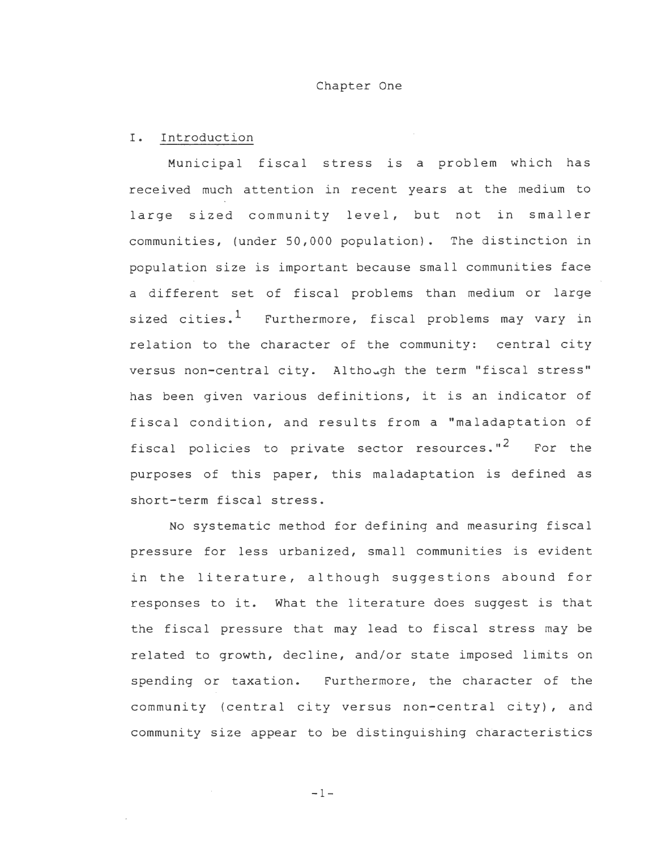#### Chapter One

#### I. Introduction

Municipal fiscal stress is a problem which has received much attention in recent years at the medium to large sized community level, but not in smaller communities, (under 50,000 population). The distinction in population size is important because small communities face a different set of fiscal problems than medium or large sized cities.<sup>1</sup> Furthermore, fiscal problems may vary in relation to the character of the community: central city versus non-central city. Although the term "fiscal stress" has been given various definitions, it is an indicator of fiscal condition, and results from a "maladaptation of fiscal policies to private sector resources." $^2$  for the purposes of this paper, this maladaptation is defined as short-term fiscal stress.

No systematic method for defining and measuring fiscal pressure for less urbanized, small communities is evident in the literature, although suggestions abound for responses to it. What the literature does suggest is that the fiscal pressure that may lead to fiscal stress may be related to growth, decline, and/or state imposed limits on spending or taxation. Furthermore, the character of the community (central city versus non-central city), and community size appear to be distinguishing characteristics

-1-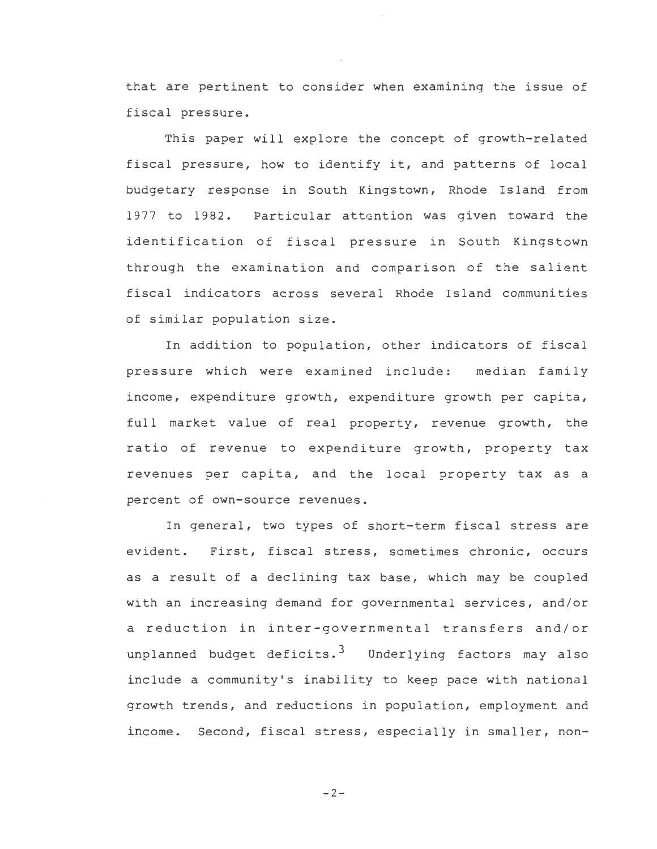that are pertinent to consider when examining the issue of fiscal pressure.

This paper will explore the concept of growth-related fiscal pressure, how to identify it, and patterns of local budgetary response in South Kingstown, Rhode Island from 1977 to 1982. Particular attention was given toward the identification of fiscal pressure in South Kingstown through the examination and comparison of the salient fiscal indicators across several Rhode Island communities of similar population size.

In addition to population, other indicators of fiscal pressure which were examined include: median family income, expenditure growth, expenditure growth per capita, full market value of real property, revenue growth, the ratio of revenue to expenditure growth, property tax revenues per capita, and the local property tax as a percent of own-source revenues.

In general, two types of short-term fiscal stress are evident. First, fiscal stress, sometimes chronic, occurs as a result of a declining tax base, which may be coupled with an increasing demand for governmental services, and/or a reduction in inter-governmental transfers and/or unplanned budget deficits.<sup>3</sup> Underlying factors may also include a community's inability to keep pace with national growth trends, and reductions in population, employment and income. Second, fiscal stress, especially in smaller, non-

 $-2-$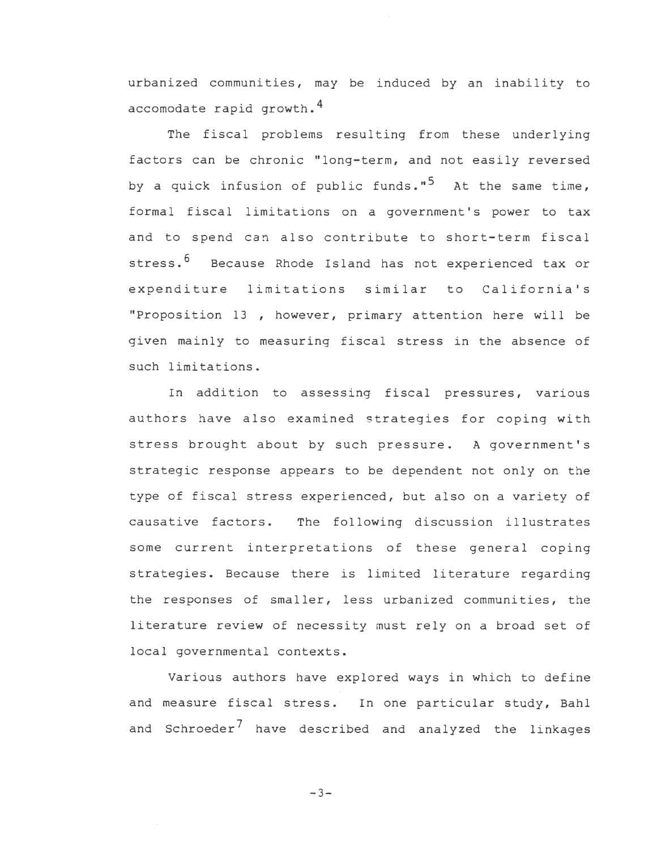urbanized communities, may be induced by an inability to accomodate rapid growth.<sup>4</sup>

The fiscal problems resulting from these underlying factors can be chronic "long-term, and not easily reversed by a quick infusion of public funds."<sup>5</sup> At the same time, formal fiscal limitations on a government's power to tax and to spend can also contribute to short-term fiscal stress.<sup>6</sup> Because Rhode Island has not experienced tax or expenditure limitations similar to California's "Proposition 13 however, primary attention here will be given mainly to measuring fiscal stress in the absence of such limitations.

In addition to assessing fiscal pressures, various authors have also examined strategies for coping with stress brought about by such pressure. A government's strategic response appears to be dependent not only on the type of fiscal stress experienced, but also on a variety of causative factors. The fol lowing discussion illustrates some current interpretations of these general coping strategies. Because there is limited literature regarding the responses of smaller, less urbanized communities, the literature review of necessity must rely on a broad set of local governmental contexts.

Various authors have explored ways in which to define and measure fiscal stress. In one particular study, Bahl and Schroeder<sup>7</sup> have described and analyzed the linkages

 $-3-$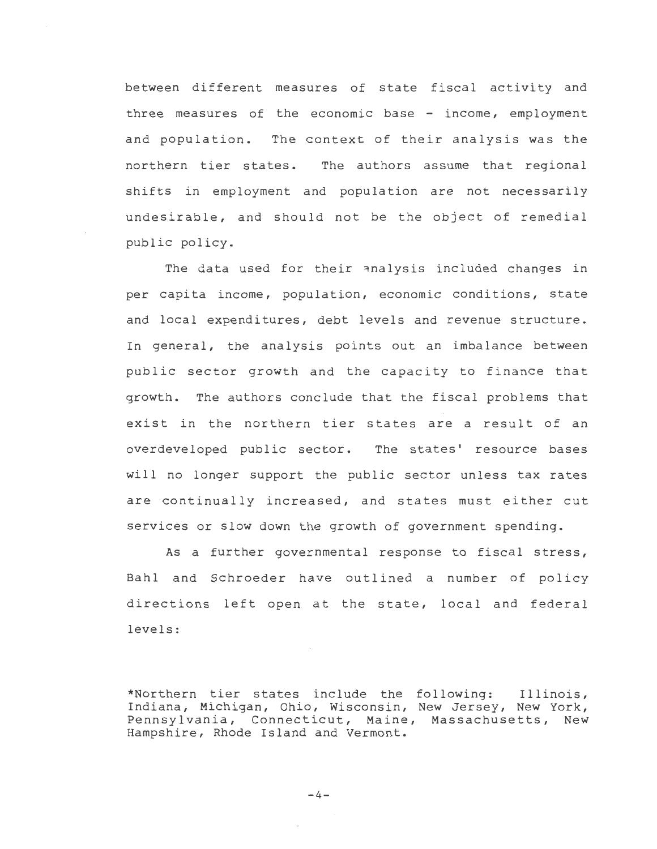between different measures of state fiscal activity and three measures of the economic base - income, employment and population. The context of their analysis was the northern tier states. The authors assume that regional shifts in employment and population are not necessarily undesirable, and should not be the object of remedial public policy.

The data used for their analysis included changes in per capita income, population, economic conditions, state and local expenditures, debt levels and revenue structure. In general, the analysis points out an imbalance between public sector growth and the capacity to finance that growth. The authors conclude that the fiscal problems that exist in the northern tier states are a result of an overdeveloped public sector. The states' resource bases will no longer support the public sector unless tax rates are continually increased, and states must either cut services or slow down the growth of government spending.

As a further governmental response to fiscal stress, Bahl and Schroeder have outlined a number of policy directions left open at the state, local and federal levels:

\*Northern tier states include the following: Illinois, Indiana, Michigan, Ohio, Wisconsin, New Jersey, New York, Pennsylvania, Connecticut, Maine, Massachusetts, New Hampshire, Rhode Island and Vermont.

 $-4-$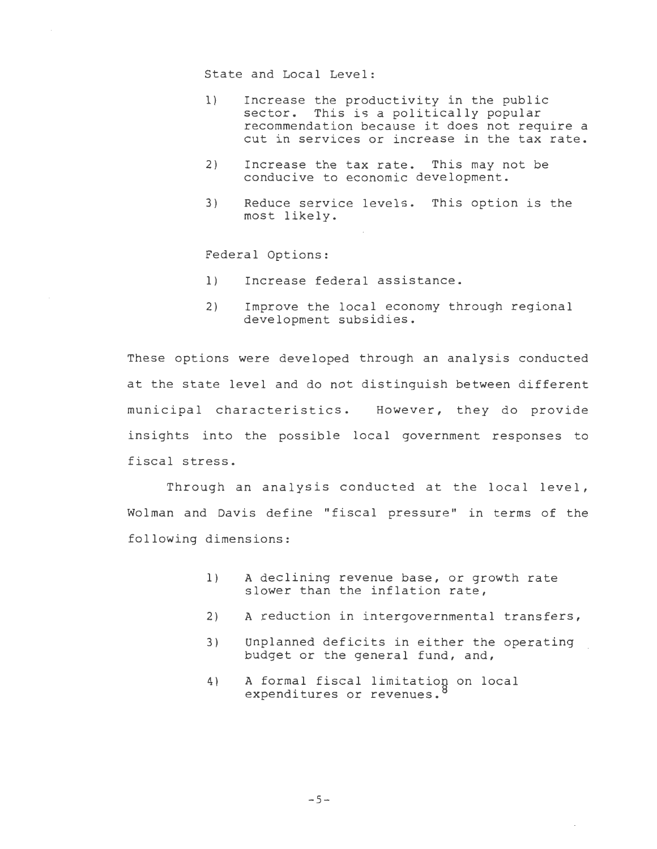State and Local Level:

- 1) Increase the productivity in the public sector. This is a politically popular recommendation because it does not require a cut in services or increase in the tax rate.
- 2) Increase the tax rate. This may not be conducive to economic development.
- 3) Reduce service levels. This option is the most likely.

Federal Options:

- 1) Increase federal assistance.
- 2) Improve the local economy through regional development subsidies.

These options were developed through an analysis conducted at the state level and do not distinguish between different municipal characteristics. However, they do provide insights into the possible local government responses to fiscal stress.

Through an analysis conducted at the local level, Wolman and Davis define "fiscal pressure" in terms of the following dimensions:

- 1) A declining revenue base, or growth rate slower than the inflation rate,
- 2) A reduction in intergovernmental transfers,
- 3) Unplanned deficits in either the operating budget or the general fund, and,
- 4) A formal fiscal limitation on local expenditures or revenues.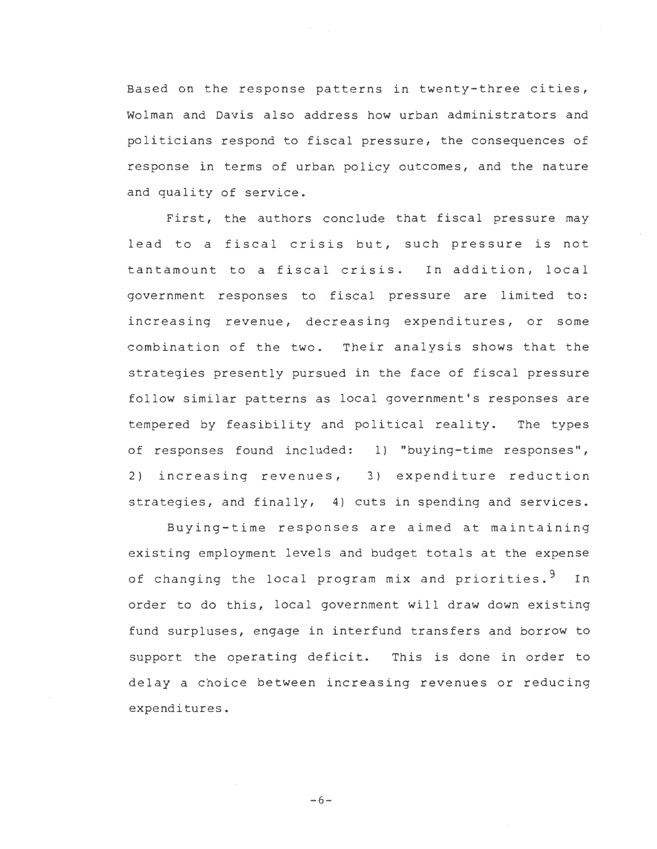Based on the response patterns in twenty-three cities, Wolman and Davis also address how urban administrators and politicians respond to fiscal pressure, the consequences of response in terms of urban policy outcomes, and the nature and quality of service.

First, the authors conclude that fiscal pressure may lead to a fiscal crisis but, such pressure is not tantamount to a fiscal crisis. In addition, local government responses to fiscal pressure are limited to: increasing revenue, decreasing expenditures, or some combination of the two. Their analysis shows that the strategies presently pursued in the face of fiscal pressure follow similar patterns as local government's responses are tempered by feasibility and political reality. The types of responses found included: 1) "buying-time responses", 2) increasing revenues, 3) expenditure reduction strategies, and finally, 4) cuts in spending and services.

Buying-time responses are aimed at maintaining existing employment levels and budget totals at the expense of changing the local program mix and priorities.<sup>9</sup> In order to do this, local government will draw down existing fund surpluses, engage in interfund transfers and borrow to support the operating deficit. This is done in order to delay a choice between increasing revenues or reducing expenditures.

 $-6-$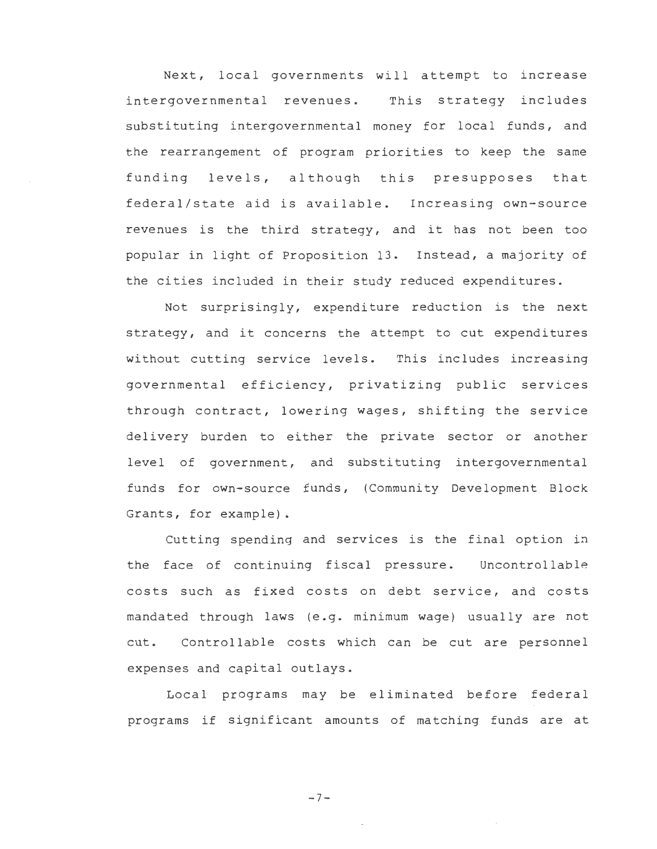Next, local governments will attempt to increase intergovernmental revenues. This strategy includes substituting intergovernmental money for local funds, and the rearrangement of program priorities to keep the same funding levels, although this presupposes that federal/state aid is available. Increasing own-source revenues is the third strategy, and it has not been too popular in light of Proposition 13. Instead, a majority of the cities included in their study reduced expenditures.

Not surprisingly, expenditure reduction is the next strategy, and it concerns the attempt to cut expenditures without cutting service levels. This includes increasing governmental efficiency, privatizing public services through contract, lowering wages, shifting the service delivery burden to either the private sector or another level of government, and substituting intergovernmental funds for own-source funds, (Community Development Block Grants, for example).

Cutting spending and services is the final option in the face of continuing fiscal pressure. Uncontrollable costs such as fixed costs on debt service, and costs mandated through laws (e.g. minimum wage) usually are not cut. Controllable costs which can be cut are personnel expenses and capital outlays.

Local programs may be eliminated before federal programs if significant amounts of matching funds are at

-7-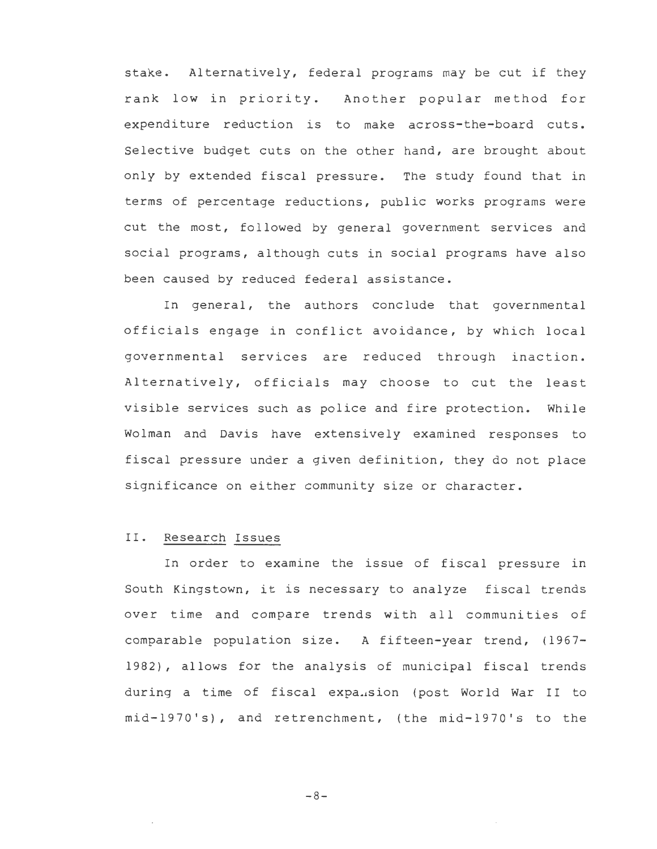stake. Alternatively, federal programs may be cut if they rank low in priority. Another popular method for expenditure reduction is to make across-the-board cuts. Selective budget cuts on the other hand, are brought about only by extended fiscal pressure. The study found that in terms of percentage reductions, public works programs were cut the most, followed by general government services and social programs, although cuts in social programs have also been caused by reduced federal assistance.

In general, the authors conclude that governmental officials engage in conflict avoidance, by which local governmental services are reduced through inaction. Alternatively, officials may choose to cut the least visible services such as police and fire protection. While Wolman and Davis have extensively examined responses to fiscal pressure under a given definition, they do not place significance on either community size or character.

## II. Research Issues

In order to examine the issue of fiscal pressure in South Kingstown, it is necessary to analyze fiscal trends over time and compare trends with all communities of comparable population size. A fifteen-year trend, (1967- 1982), allows for the analysis of municipal fiscal trends during a time of fiscal expansion (post World War II to mid-1970 's), and retrenchment, (the mid-1970 's to the

-8-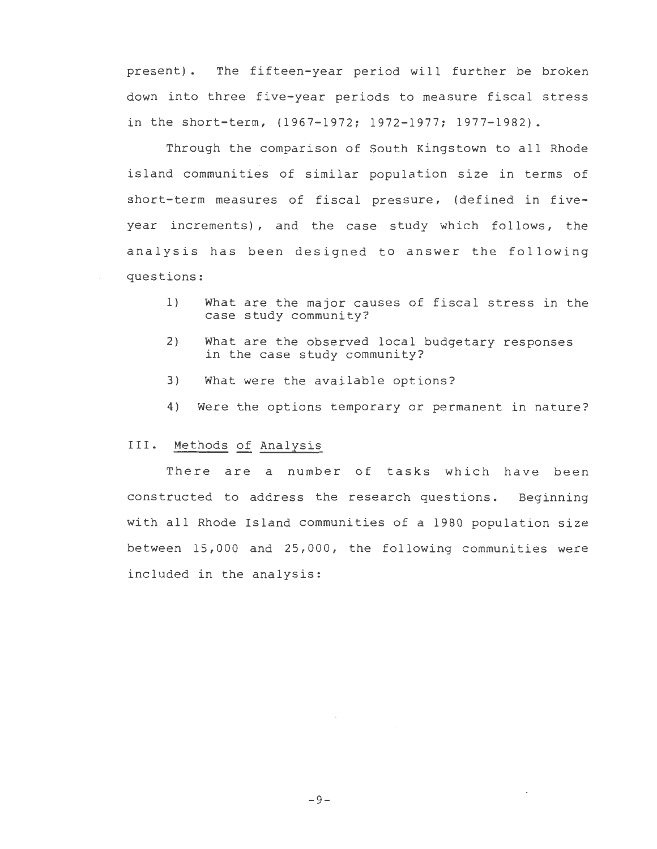present) • The fifteen-year period will further be broken down into three five-year periods to measure fiscal stress in the short-term, (1967-1972; 1972-1977; 1977-1982).

Through the comparison of South Kingstown to all Rhode island communities of similar population size in terms of short-term measures of fiscal pressure, (defined in fiveyear increments), and the case study which follows, the analysis has been designed to answer the following questions:

- 1) What are the major causes of fiscal stress in the case study community?
- 2) What are the observed local budgetary responses in the case study community?
- 3) What were the available options?
- 4) Were the options temporary or permanent in nature?

#### III. Methods of Analysis

There are a number of tasks which have been constructed to address the research questions. Beginning with all Rhode Island communities of a 1980 population size between 15,000 and 25,000, the following communities were included in the analysis: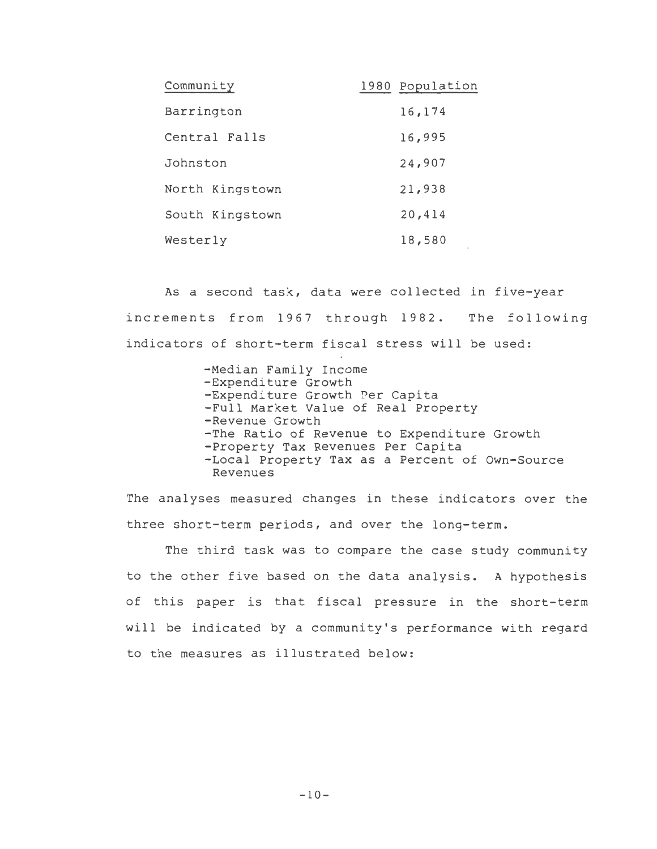| Community       | 1980 Population |
|-----------------|-----------------|
| Barrington      | 16,174          |
| Central Falls   | 16,995          |
| Johnston        | 24,907          |
| North Kingstown | 21,938          |
| South Kingstown | 20,414          |
| Westerly        | 18,580          |

As a second task, data were collected in five-year increments from 1967 through 1982. The following indicators of short-term fiscal stress will be used:

> -Median Family Income -Expenditure Growth -Expenditure Growth Per Capita -Full Market Value of Real Property -Revenue Growth -The Ratio of Revenue to Expenditure Growth -Property Tax Revenues Per Capita -Local Property Tax as a Percent of Own-Source Revenues

The analyses measured changes in these indicators over the three short-term periods, and over the long-term.

The third task was to compare the case study community to the other five based on the data analysis. A hypothesis of this paper is that fiscal pressure in the short-term will be indicated by a community's performance with regard to the measures as illustrated below: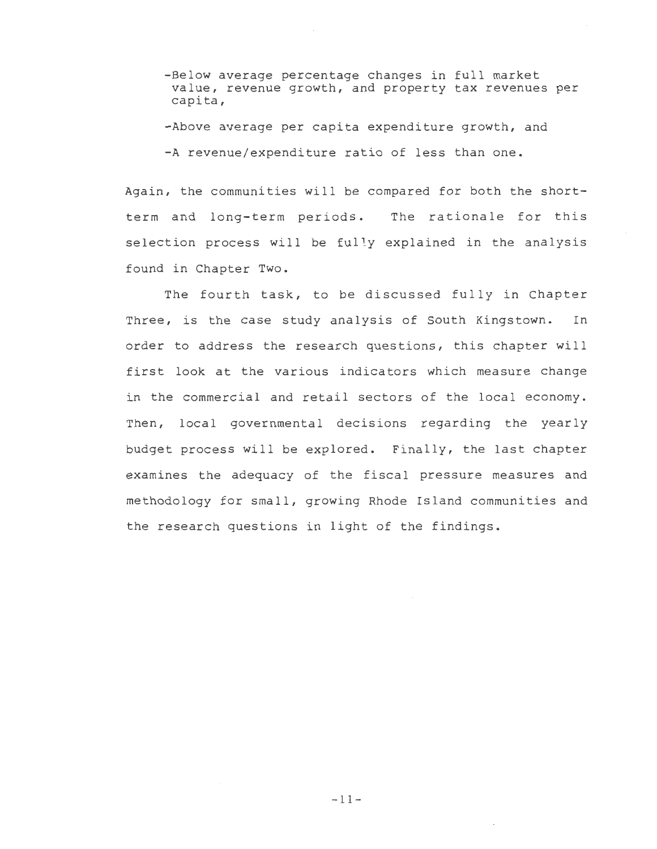- -Below average percentage changes in full market value, revenue growth, and property tax revenues per capita,
- -Above average per capita expenditure growth, and
- -A revenue/expenditure ratio of less than one.

Again, the communities will be compared for both the shortterm and long-term periods. The rationale for this selection process will be fully explained in the analysis found in Chapter Two.

The fourth task, to be discussed fully in Chapter Three, is the case study analysis of South Kingstown. In order to address the research questions, this chapter will first look at the various indicators which measure change in the commercial and retail sectors of the local economy. Then, local governmental decisions regarding the yearly budget process will be explored. Finally, the last chapter examines the adequacy of the fiscal pressure measures and methodology for small, growing Rhode Island communities and the research questions in light of the findings.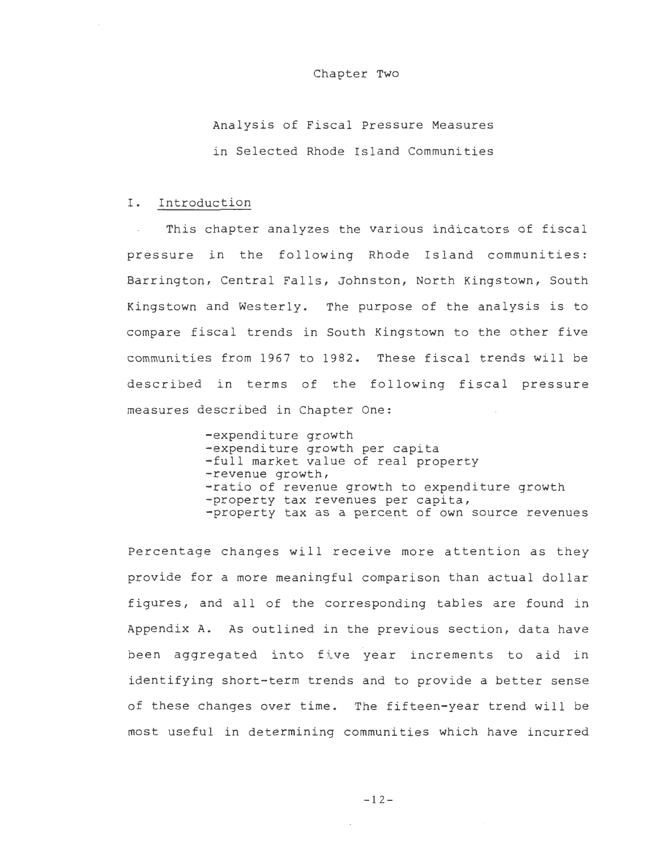#### Chapter Two

Analysis of Fiscal Pressure Measures in Selected Rhode Island Communities

## I. Introduction

This chapter analyzes the various indicators of fiscal pressure in the following Rhode Island communities: Barrington, Central Falls, Johnston, North Kingstown, South Kingstown and Westerly. The purpose of the analysis is to compare fiscal trends in South Kingstown to the other five communities from 1967 to 1982. These fiscal trends will be described in terms of the following fiscal pressure measures described in Chapter One:

> -expenditure growth -expenditure growth per capita -full market value of real property -revenue growth, -ratio of revenue growth to expenditure growth -property tax revenues per capita, -property tax as a percent of own source revenues

Percentage changes will receive more attention as they provide for a more meaningful comparison than actual dollar figures, and all of the corresponding tables are found in Appendix A. As outlined in the previous section, data have been aggregated into five year increments to aid in identifying short-term trends and to provide a better sense of these changes over time. The fifteen-year trend will be most useful in determining communities which have incurred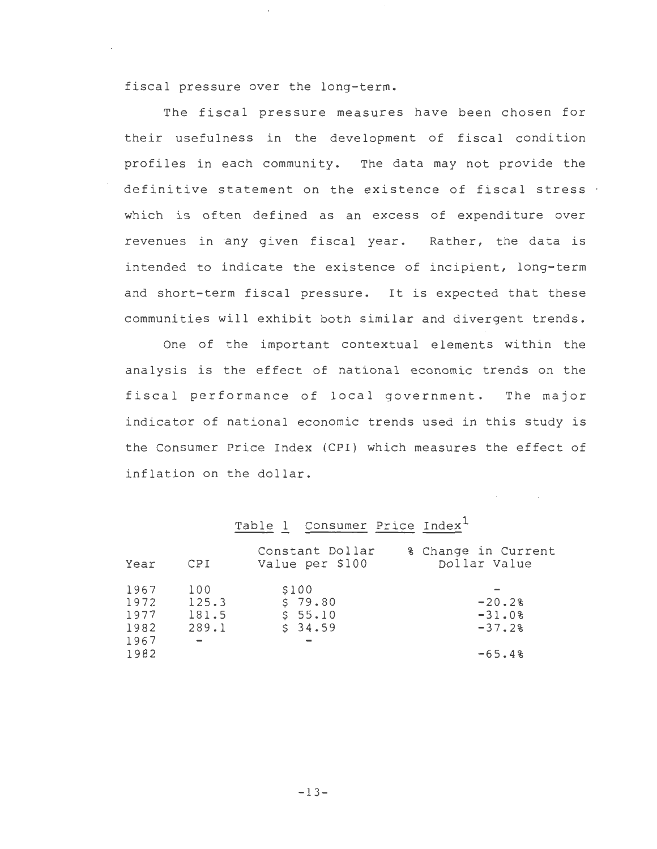fiscal pressure over the long-term.

The fiscal pressure measures have been chosen for their usefulness in the development of fiscal condition profiles in each community. The data may not provide the definitive statement on the existence of fiscal stress . which is often defined as an excess of expenditure over revenues in any given fiscal year. Rather, the data is intended to indicate the existence of incipient, long-term and short-term fiscal pressure. It is expected that these communities will exhibit both similar and divergent trends.

One of the important contextual elements within the analysis is the effect of national economic trends on the fiscal performance of local government. The major indicator of national economic trends used in this study is the Consumer Price Index (CPI) which measures the effect of inflation on the dollar.

## Table 1 Consumer Price Index<sup>1</sup>

| Year                                         | CPI                            | Constant Dollar<br>Value per \$100     | % Change in Current<br>Dollar Value          |
|----------------------------------------------|--------------------------------|----------------------------------------|----------------------------------------------|
| 1967<br>1972<br>1977<br>1982<br>1967<br>1982 | 100<br>125.3<br>181.5<br>289.1 | \$100<br>\$79.80<br>\$55.10<br>\$34.59 | $-20.28$<br>$-31.0%$<br>$-37.2%$<br>$-65.4%$ |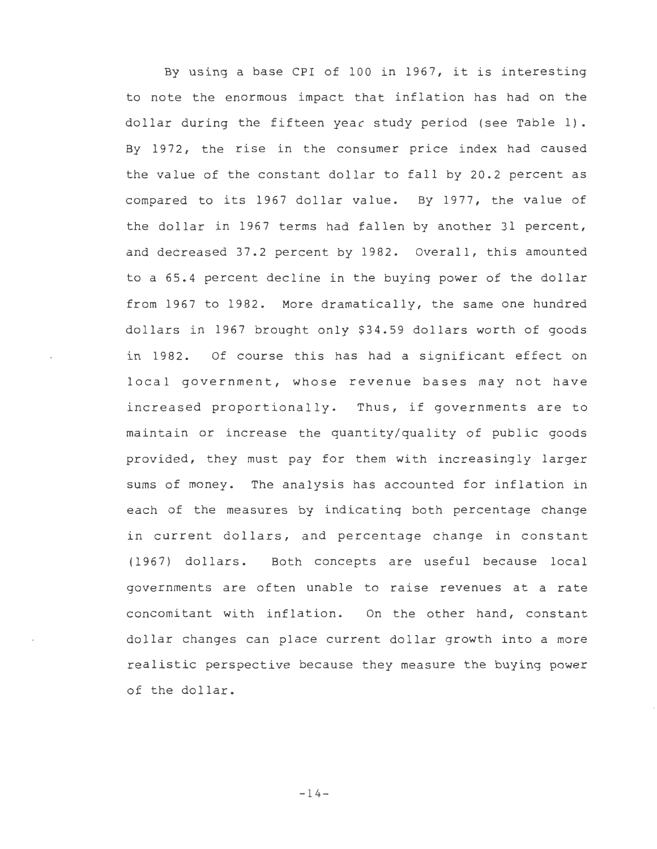By using a base CPI of 100 in 1967, it is interesting to note the enormous impact that inflation has had on the dollar during the fifteen yeac study period (see Table 1). By 1972, the rise in the consumer price index had caused the value of the constant dollar to fall by 20.2 percent as compared to its 1967 dollar value. By 1977, the value of the dollar in 1967 terms had fallen by another 31 percent, and decreased 37.2 percent by 1982. Overall, this amounted to a 65.4 percent decline in the buying power of the dollar from 1967 to 1982. More dramatically, the same one hundred dollars in 1967 brought only \$34.59 dollars worth of goods in 1982. Of course this has had a significant effect on local government, whose revenue bases may not have increased proportionally. Thus, if governments are to maintain or increase the quantity/quality of public goods provided, they must pay for them with increasingly larger sums of money. The analysis has accounted for inflation in each of the measures by indicating both percentage change in current dollars, and percentage change in constant (1967) dollars. Both concepts are useful because local governments are often unable to raise revenues at a rate concomitant with inflation. On the other hand, constant dollar changes can place current dollar growth into a more realistic perspective because they measure the buying power of the dollar.

 $-14-$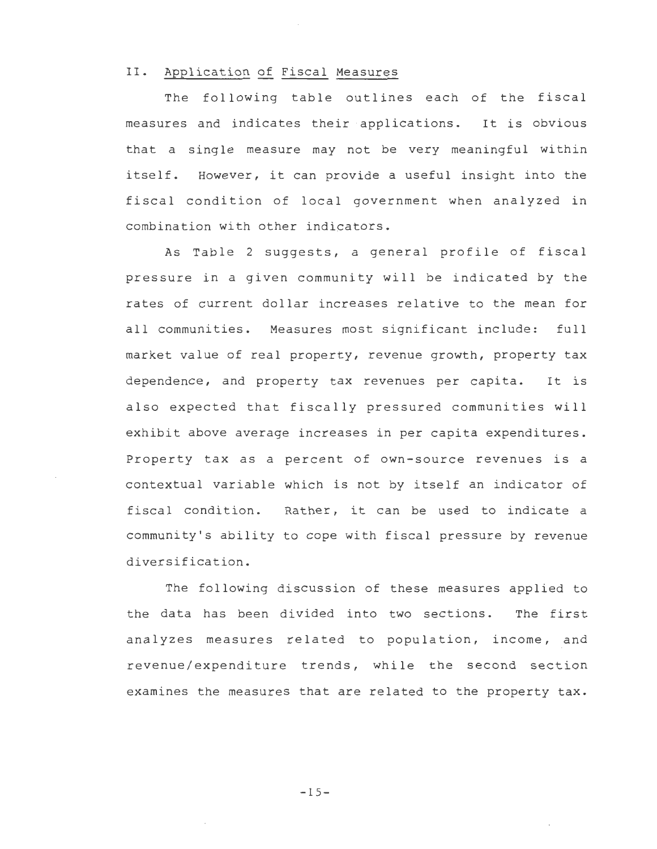## II. Application of Fiscal Measures

The following table outlines each of the fiscal measures and indicates their applications. It is obvious that a single measure may not be very meaningful within itself. However, it can provide a useful insight into the fiscal condition of local government when analyzed in combination with other indicators.

As Table 2 suggests, a general profile of fiscal pressure in a given community will be indicated by the rates of current dollar increases relative to the mean for all communities. Measures most significant include: full market value of real property, revenue growth, property tax dependence, and property tax revenues per capita. It is also expected that fiscally pressured communities will exhibit above average increases in per capita expenditures. Property tax as a percent of own-source revenues is a contextual variable which is not by itself an indicator of fiscal condition. Rather, it can be used to indicate a community's ability to cope with fiscal pressure by revenue diversification.

The following discussion of these measures applied to the data has been divided into two sections. The first analyzes measures related to population, income, and revenue/expenditure trends, while the second section examines the measures that are related to the property tax.

 $-15-$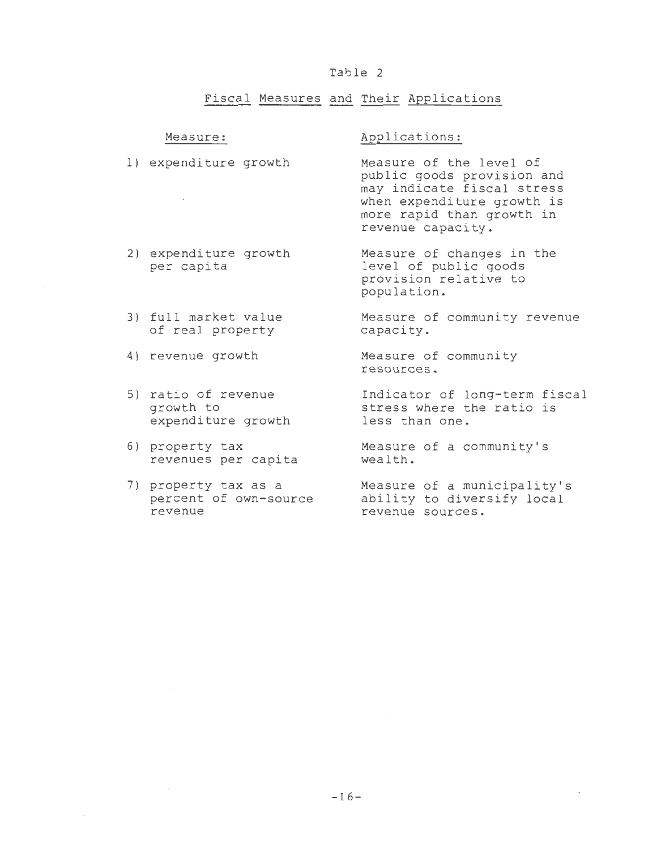## Table 2

## Fiscal Measures and Their Applications

#### Measure:

## Applications:

- 1) expenditure growth Measure of the level of public goods provision and may indicate fiscal stress  $\sim 10^{-11}$ when expenditure growth is more rapid than growth in revenue capacity.
- 2) expenditure growth per capita Measure of changes in the level of public goods provision relative to
- 3) full market value of real property Measure of community revenue capacity.
- 4) revenue growth
- 5) ratio of revenue growth to expenditure growth
- 6) property tax revenues per capita
- 7) property tax as a percent of own-source revenue

population.

Measure of community resources.

Indicator of long-term fiscal stress where the ratio is less than one.

Measure of a community's wealth.

Measure of a municipality's ability to diversify local revenue sources.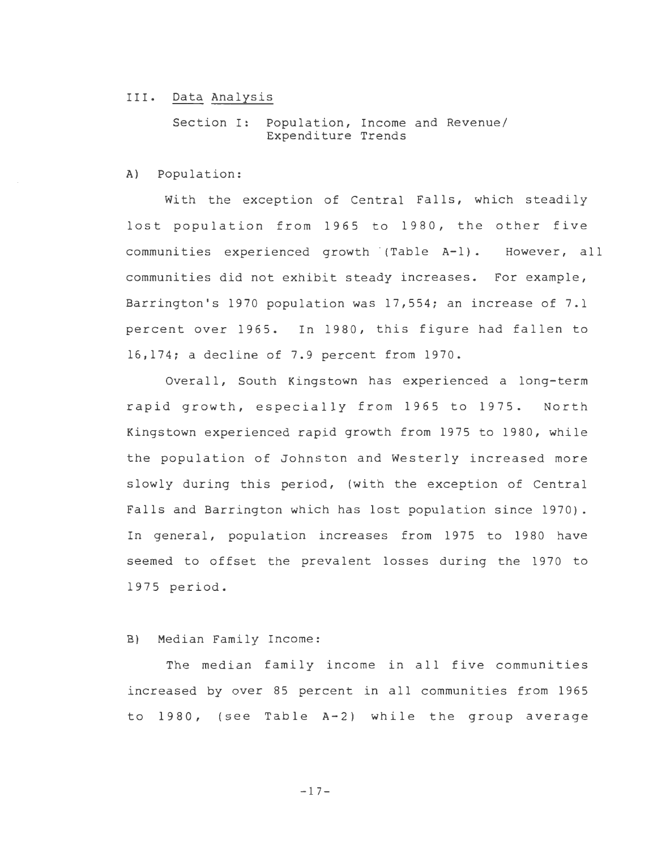#### III. Data Analysis

Section I: Population, Income and Revenue/ Expenditure Trends

A) Population:

With the exception of Central Falls, which steadily lost population from 1965 to 1980, the other five communities experienced growth (Table A-1). However, all communities did not exhibit steady increases. For example, Barrington's 1970 population was 17,554; an increase of 7.1 percent over 1965. In 1980, this figure had fallen to 16,174; a decline of 7.9 percent from 1970.

Overall, South Kingstown has experienced a long-term rapid growth, especially from 1965 to 1975. North Kingstown experienced rapid growth from 1975 to 1980, while the population of Johnston and Westerly increased more slowly during this period, (with the exception of Central Falls and Barrington which has lost population since 1970). In general, population increases from 1975 to 1980 have seemed to offset the prevalent losses during the 1970 to 1975 period.

## B) Median Family Income:

The median family income in all five communities increased by over 85 percent in all communities from 1965 to 1980, (see Table A-2) while the group average

 $-17-$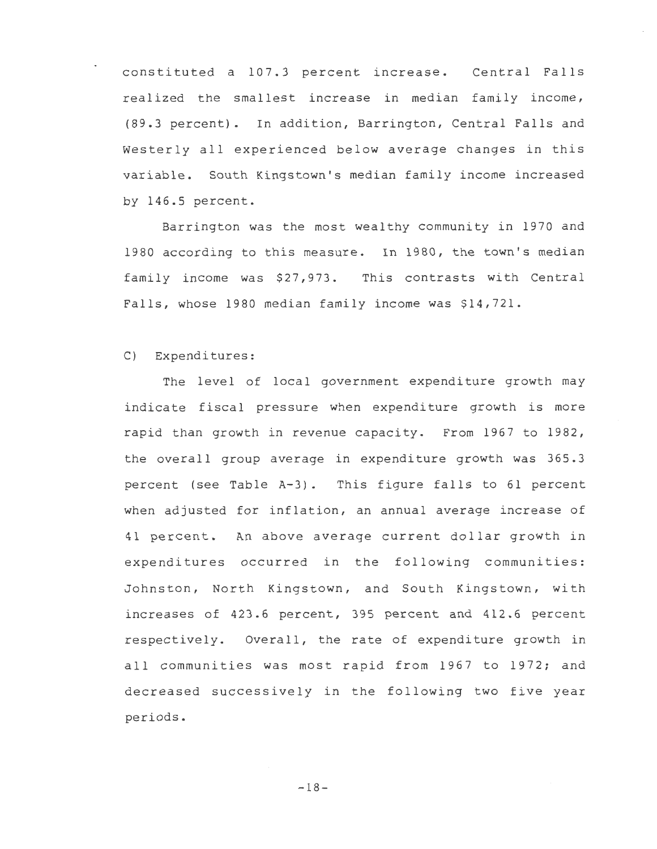constituted a 107.3 percent increase. Central Falls realized the smallest increase in median family income, (89.3 percent). In addition, Barrington, Central Falls and Westerly all experienced below average changes in this variable. South Kingstown's median family income increased by 146.5 percent.

Barrington was the most wealthy community in 1970 and 1980 according to this measure. In 1980, the town's median family income was \$27, 973. This contrasts with Central Falls, whose 1980 median family income was \$14,721.

## C) Expenditures:

The level of local government expenditure growth may indicate fiscal pressure when expenditure growth is more rapid than growth in revenue capacity. From 1967 to 1982, the overall group average in expenditure growth was 365.3 percent (see Table A-3). This figure falls to 61 percent when adjusted for inflation, an annual average increase of 41 percent. An above average current dollar growth in expenditures occurred in the following communities: Johnston, North Kingstown, and South Kingstown, with increases of 423.6 percent, 395 percent and 412.6 percent respectively. Overall, the rate of expenditure growth in all communities was most rapid from 1967 to 1972; and decreased successively in tne following two five year periods.

 $-18-$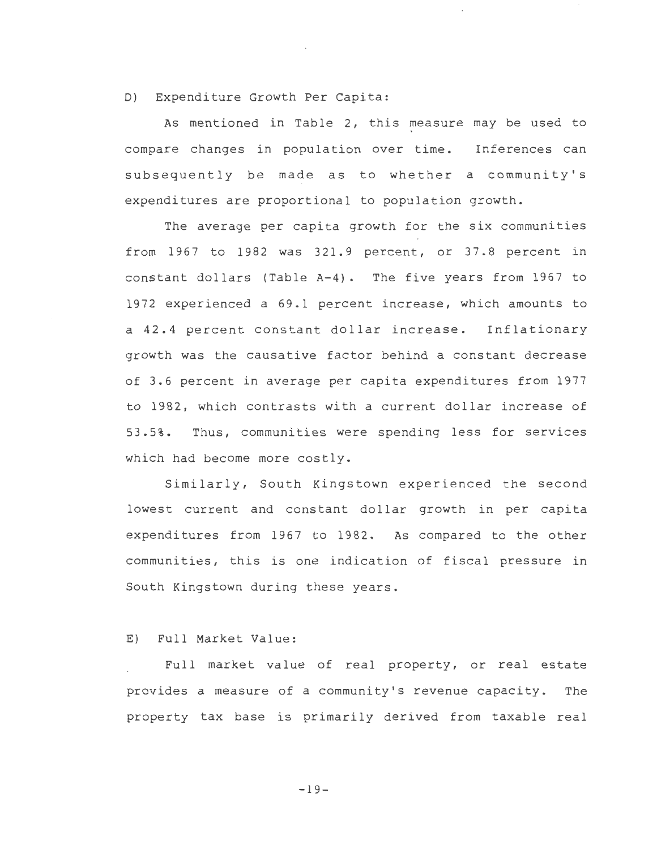## D) Expenditure Growth Per Capita:

As mentioned in Table 2, this measure may be used to compare changes in population over time. Inferences can subsequently be made as to whether a community's expenditures are proportional to population growth.

The average per capita growth for the six communities from 1967 to 1982 was 321.9 percent, or 37.8 percent in constant dollars (Table A-4). The five years from 1967 to 1972 experienced a 69.1 percent increase, which amounts to a 42.4 percent constant dollar increase. Inflationary growth was the causative factor behind a constant decrease of 3.6 percent in average per capita expenditures from 1977 to 1982, which contrasts with a current dollar increase of 53. 5%. Thus, communities were spending less for services which had become more costly.

Similarly, South Kingstown experienced the second lowest current and constant dollar growth in per capita expenditures from 1967 to 1982. As compared to the other communities, this is one indication of fiscal pressure in South Kingstown during these years.

## E) Full Market Value:

Full market value of real property, or real estate provides a measure of a community's revenue capacity. The property tax base is primarily derived from taxable real

-19-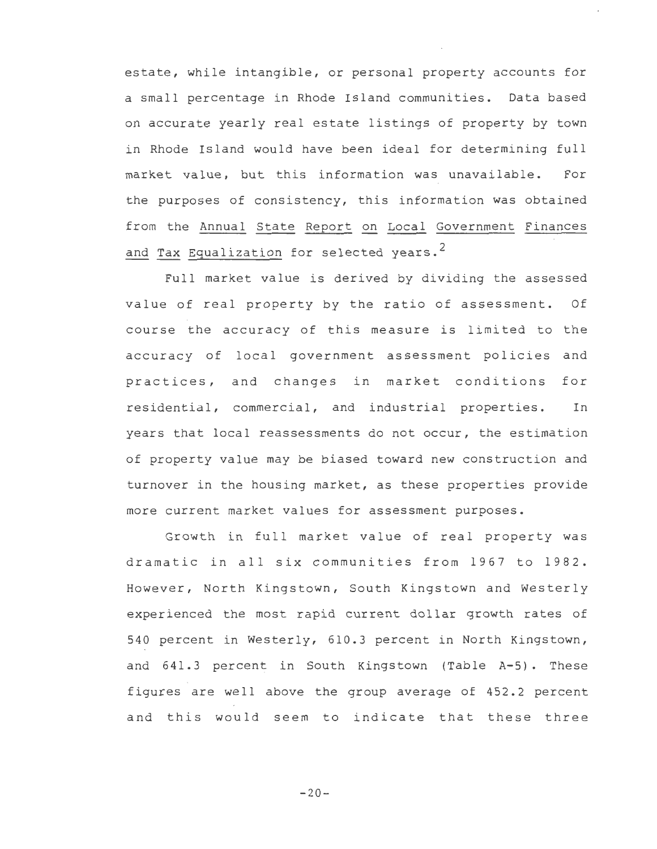estate, while intangible, or personal property accounts for a small percentage in Rhode Island communities. Data based on accurate yearly real estate listings of property by town in Rhode Island would have been ideal for determining full market value, but this information was unavailable. For the purposes of consistency, this information was obtained from the Annual State Report on Local Government Finances and Tax Equalization for selected years.<sup>2</sup>

Full market value is derived by dividing the assessed value of real property by the ratio of assessment. Of course the accuracy of this measure is limited to the accuracy of local government assessment policies and practices, and changes in market conditions for residential, commercial, and industrial properties. In years that local reassessments do not occur, the estimation of property value may be biased toward new construction and turnover in the housing market, as these properties provide more current market values for assessment purposes.

Growth in full market value of real property was dramatic in all six communities from 1967 to 1982. However, North Kingstown, South Kingstown and Westerly experienced the most rapid current dollar growth rates of 540 percent in Westerly, 610.3 percent in North Kingstown, and 641.3 percent in South Kingstown (Table A-5). These figures are well above the group average of 452.2 percent and this would seem to indicate that these three

 $-20-$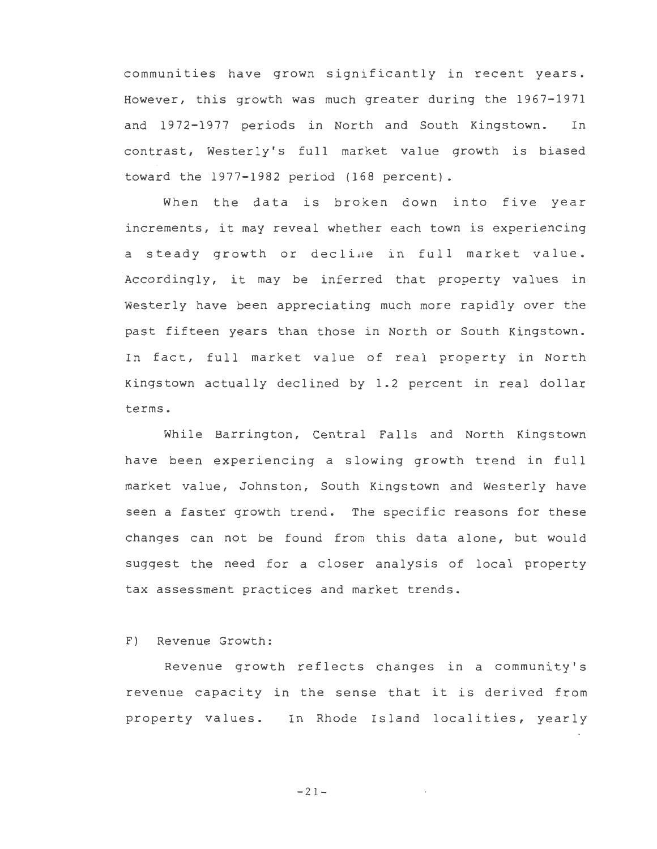communities have grown significantly in recent years. However, this growth was much greater during the 1967-1971 and 1972-1977 periods in North and South Kingstown. In contrast, Westerly's full market value growth is biased toward the 1977-1982 period (168 percent).

When the data is broken down into five year increments, it may reveal whether each town is experiencing a steady growth or decline in full market value. Accordingly, it may be inferred that property values in Westerly have been appreciating much more rapidly over the past fifteen years than those in North or South Kingstown. In fact, full market value of real property in North Kingstown actually declined by 1.2 percent in real dollar terms.

While Barrington, Central Falls and North Kingstown have been experiencing a slowing growth trend in full market value, Johnston, South Kingstown and Westerly have seen a faster growth trend. The specific reasons for these changes can not be found from this data alone, but would suggest the need for a closer analysis of local property tax assessment practices and market trends.

## F) Revenue Growth:

Revenue growth reflects changes in a community's revenue capacity in the sense that it is derived from property values. In Rhode Island localities, yearly

-21-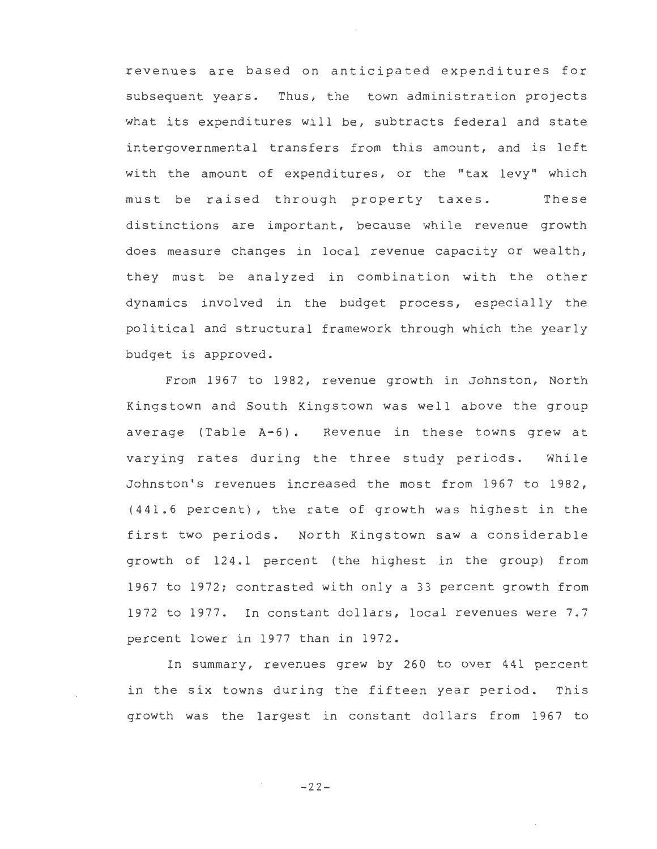revenues are based on anticipated expenditures for subsequent years. Thus, the town administration projects what its expenditures will be, subtracts federal and state intergovernmental transfers from this amount, and is left with the amount of expenditures, or the "tax levy" which must be raised through property taxes. These distinctions are important, because while revenue growth does measure changes in local revenue capacity or wealth, they must be analyzed in combination with the other dynamics involved in the budget process, especially the political and structural framework through which the yearly budget is approved.

From 1967 to 1982, revenue growth in Johnston, North Kingstown and South Kingstown was well above the group average (Table A-6). Revenue in these towns grew at varying rates during the three study periods. While Johnston's revenues increased the most from 1967 to 1982, (441.6 percent), the rate of growth was highest in the first two periods. North Kingstown saw a considerable growth of 124.1 percent (the highest in the group) from 1967 to 1972; contrasted with only a 33 percent growth from 1972 to 1977. In constant dollars, local revenues were 7.7 percent lower in 1977 than in 1972.

In summary, revenues grew by 260 to over 441 percent in the six towns during the fifteen year period. This growth was the largest in constant dollars from 1967 to

 $-22-$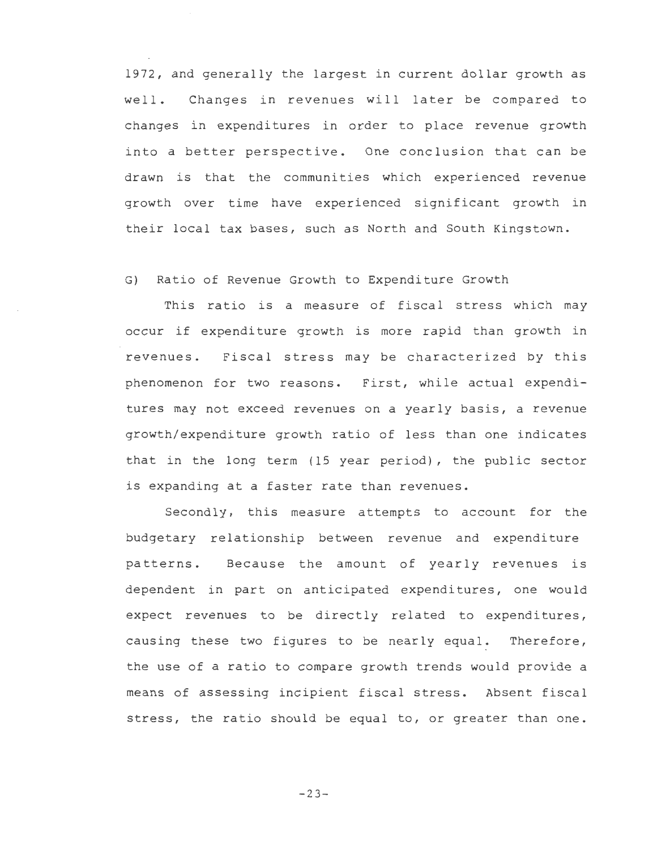1972, and generally the largest in current dollar growth as well. Changes in revenues will later be compared to changes in expenditures in order to place revenue growth into a better perspective. One conclusion that can be drawn is that the communities which experienced revenue growth over time have experienced significant growth in their local tax bases, such as North and South Kingstown.

## G) Ratio of Revenue Growth to Expenditure Growth

This ratio is a measure of fiscal stress which may occur if expenditure growth is more rapid than growth in revenues. Fiscal stress may be characterized by this phenomenon for two reasons. First, while actual expenditures may not exceed revenues on a yearly basis, a revenue growth/expenditure growth ratio of less than one indicates that in the long term (15 year period), the public sector is expanding at a faster rate than revenues.

Secondly, this measure attempts to account for the budgetary relationship between revenue and expenditure patterns. Because the amount of yearly revenues is dependent in part on anticipated expenditures, one would expect revenues to be directly related to expenditures, causing these two figures to be nearly equal. Therefore, the use of a ratio to compare growth trends would provide a means of assessing incipient fiscal stress. Absent fiscal stress, the ratio should be equal to, or greater than one.

 $-23-$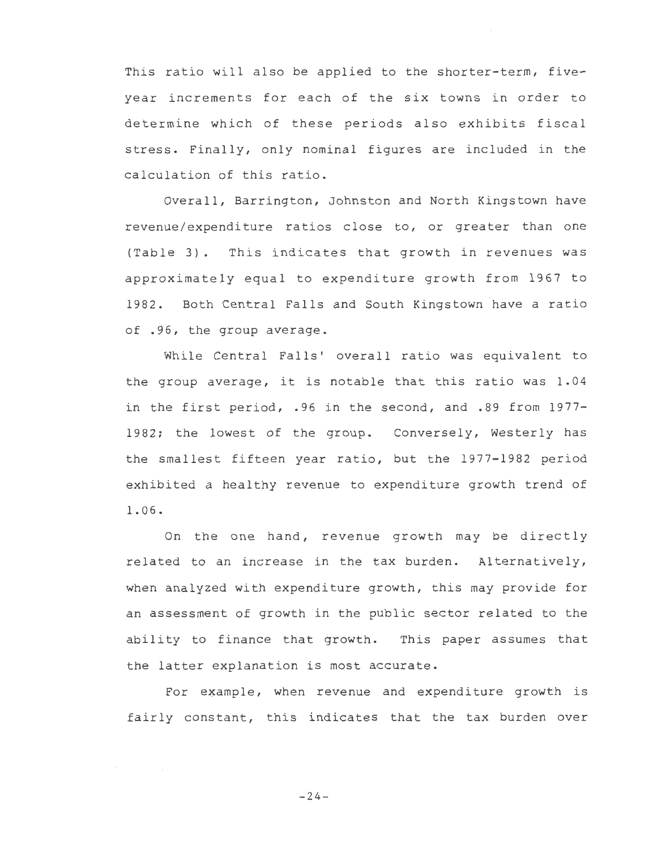This ratio will also be applied to the shorter-term, fiveyear increments for each of the six towns in order to determine which of these periods also exhibits fiscal stress. Finally, only nominal figures are included in the calculation of this ratio.

Overall, Barrington, Johnston and North Kingstown have revenue/expenditure ratios close to, or greater than one (Table 3). This indicates that growth in revenues was approximately equal to expenditure growth from 1967 to 1982. Both Central Falls and South Kingstown have a ratio of .96, the group average.

While Central Falls' overall ratio was equivalent to the group average, it is notable that this ratio was 1.04 in the first period, .96 in the second, and .89 from 1977- 1982; the lowest of the group. Conversely, Westerly has the smallest fifteen year ratio, but the 1977-1982 period exhibited a healthy revenue to expenditure growth trend of 1. 06.

On the one hand, revenue growth may be directly related to an increase in the tax burden. Alternatively, when analyzed with expenditure growth, this may provide for an assessment of growth in the public sector related to the ability to finance that growth. This paper assumes that the latter explanation is most accurate.

For example, when revenue and expenditure growth is fairly constant, this indicates that the tax burden over

 $-24-$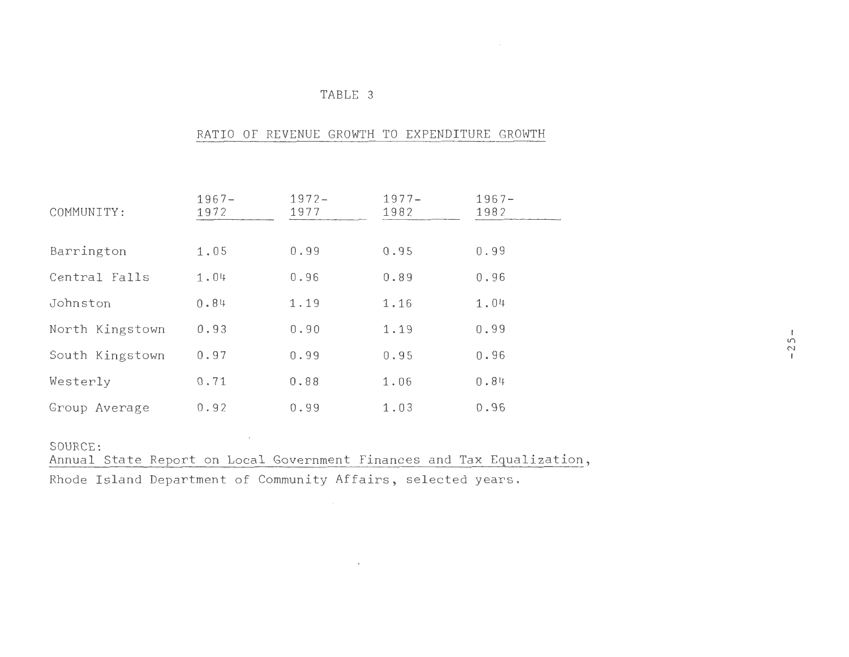## TABLE 3

## RATIO OF REVENUE GROWTH TO EXPENDITURE GROWTH

| COMMUNITY:      | $1967 -$<br>1972 | $1972 -$<br>1977 | $1977 -$<br>1982 | $1967 -$<br>1982 |        |
|-----------------|------------------|------------------|------------------|------------------|--------|
|                 |                  | 0.99             | 0.95             | 0.99             |        |
| Barrington      | 1.05             |                  |                  |                  |        |
| Central Falls   | 1.04             | 0.96             | 0.89             | 0.96             |        |
| Johnston        | 0.84             | 1.19             | 1.16             | 1.04             |        |
| North Kingstown | 0.93             | 0.90             | 1.19             | 0.99             | $25 -$ |
| South Kingstown | 0.97             | 0.99             | 0.95             | 0.96             |        |
| Westerly        | 0.71             | 0.88             | 1.06             | 0.84             |        |
| Group Average   | 0.92             | 0.99             | 1.03             | 0.96             |        |

SOURCE:

Annual State Report on Local Government Finances and Tax Equalization,

 $\sim 10^{11}$  m  $^{-1}$ 

Rhode Island Department of Community Affairs, selected years.

 $\mathcal{L}(\mathcal{L})$  and  $\mathcal{L}(\mathcal{L})$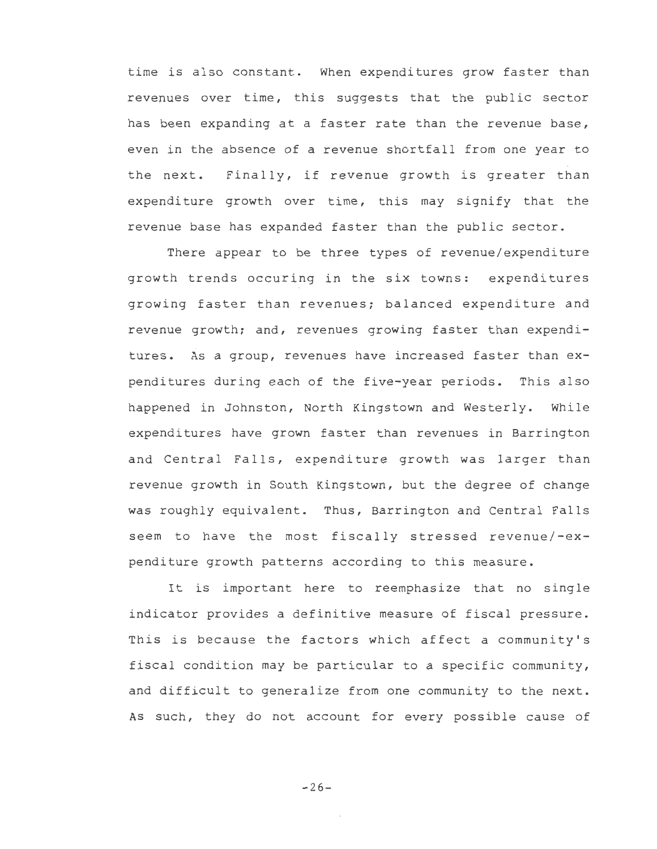time is also constant. When expenditures grow faster than revenues over time, this suggests that the public sector has been expanding at a faster rate than the revenue base, even in the absence of a revenue shortfall from one year to the next. Finally, if revenue growth is greater than expenditure growth over time, this may signify that the revenue base has expanded faster than the public sector.

There appear to be three types of revenue/expenditure growth trends occuring in the six towns: expenditures growing faster than revenues; balanced expenditure and revenue growth; and, revenues growing faster than expenditures. As a group, revenues have increased faster than expenditures during each of the five-year periods. This also happened in Johnston, North Kingstown and Westerly. While expenditures have grown faster than revenues in Barrington and Central Falls, expenditure growth was larger than revenue growth in South Kingstown, but the degree of change was roughly equivalent. Thus, Barrington and Central Falls seem to have the most fiscally stressed revenue/-expenditure growth patterns according to this measure.

It is important here to reemphasize that no single indicator provides a definitive measure of fiscal pressure. This is because the factors which affect a community's fiscal condition may be particular to a specific community, and difficult to generalize from one community to the next. As such, they do not account for every possible cause of

 $-26-$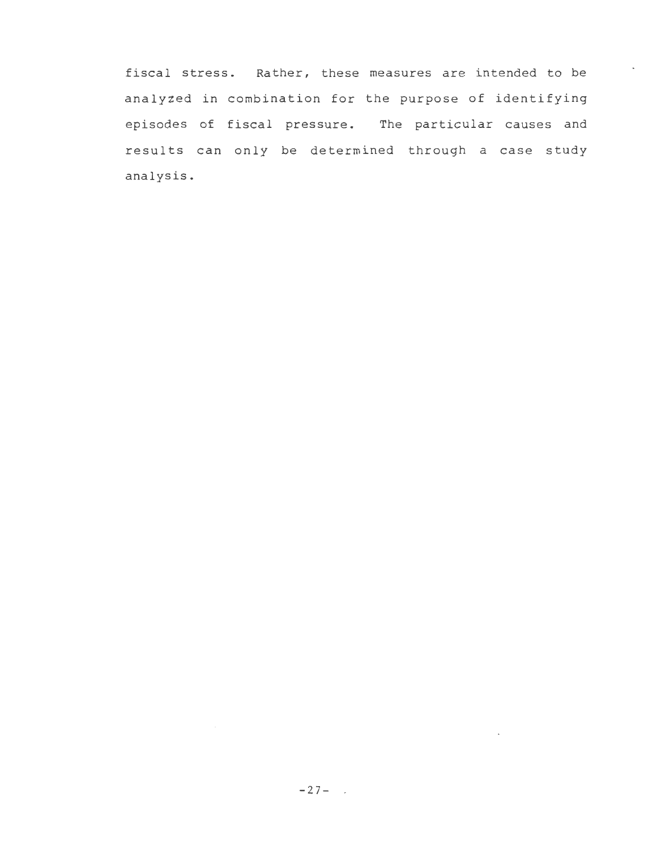fiscal stress. Rather, these measures are intended to be analyzed in combination for the purpose of identifying episodes of fiscal pressure. The particular causes and results can only be determined through a case study analysis.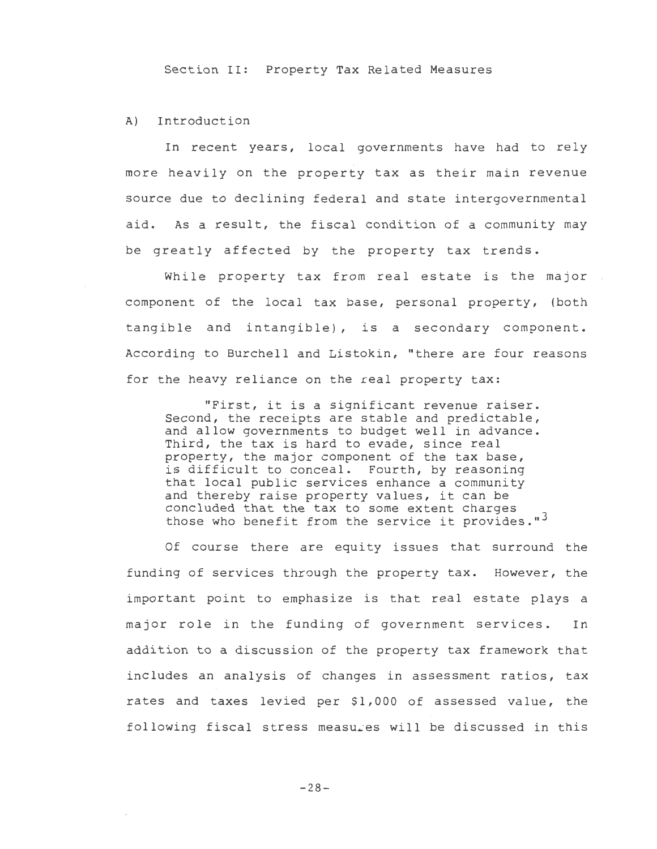Section II: Property Tax Related Measures

## A) Introduction

In recent years, local governments have had to rely more heavily on the property tax as their main revenue source due to declining federal and state intergovernmental aid. As a result, the fiscal condition of a community may be greatly affected by the property tax trends.

While property tax from real estate is the major component of the local tax base, personal property, (both tangible and intangible), is a secondary component. According to Burchell and Listokin, "there are four reasons for the heavy reliance on the real property tax:

"First, it is a significant revenue raiser. Second, the receipts are stable and predictable, and allow governments to budget well in advance. Third, the tax is hard to evade, since real property, the major component of the tax base, is difficult to conceal. Fourth, by reasoning that local public services enhance a community and thereby raise property values, it can be concluded that the tax to some extent charges those who benefit from the service it provides."<sup>3</sup>

Of course there are equity issues that surround the funding of services through the property tax. However, the important point to emphasize is that real estate plays a major role in the funding of government services. In addition to a discussion of the property tax framework that includes an analysis of changes in assessment ratios, tax rates and taxes levied per \$1,000 of assessed value, the following fiscal stress measures will be discussed in this

 $-28-$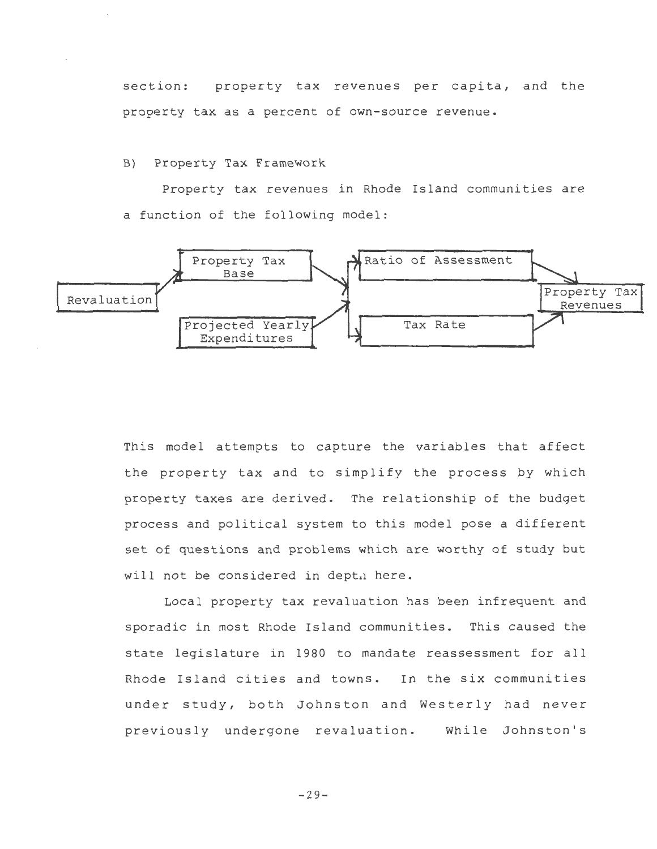section: property tax revenues per capita, and the property tax as a percent of own-source revenue.

B) Property Tax Framework

Property tax revenues in Rhode Island communities are a function of the following model:



This model attempts to capture the variables that affect the property tax and to simplify the process by which property taxes are derived. The relationship of the budget process and political system to this model pose a different set of questions and problems which are worthy of study but will not be considered in depth here.

Local property tax revaluation has been infrequent and sporadic in most Rhode Island communities. This caused the state legislature in 1980 to mandate reassessment for all Rhode Island cities and towns. In the six communities under study, both Johnston and Westerly had never previously undergone revaluation. While Johnston's

 $-29-$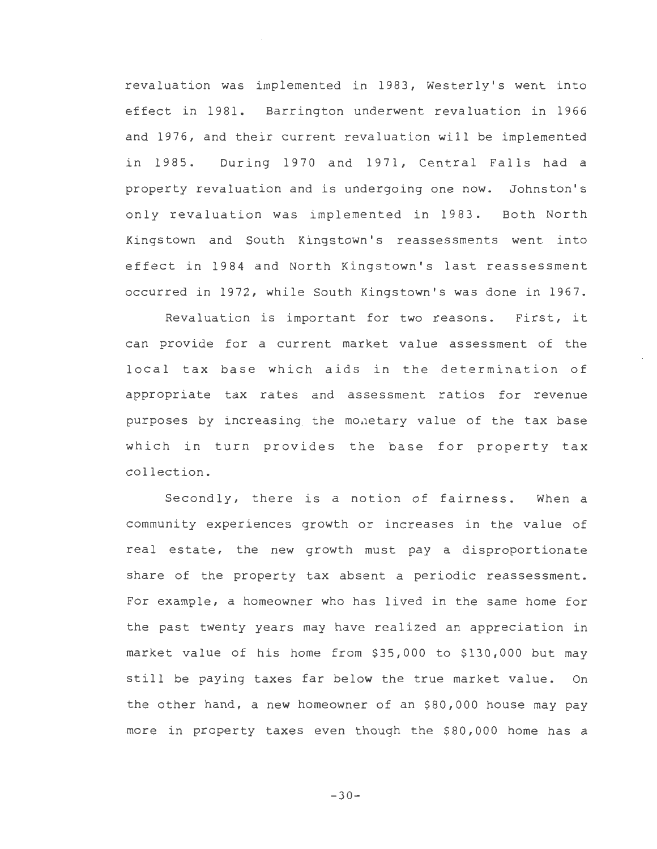revaluation was implemented in 1983, Westerly's went into effect in 1981. Barrington underwent revaluation in 1966 and 1976, and their current revaluation will be implemented in 1985. During 1970 and 1971, Central Falls had a property revaluation and is undergoing one now. Johnston's only revaluation was implemented in 1983. Both North Kingstown and South Kingstown's reassessments went into effect in 1984 and North Kingstown's last reassessment occurred in 1972, while South Kingstown's was done in 1967.

Revaluation is important for two reasons. First, it can provide for a current market value assessment of the local tax base which aids in the determination of appropriate tax rates and assessment ratios for revenue purposes by increasing the monetary value of the tax base which in turn provides the base for property tax collection.

Secondly, there is a notion of fairness. When a community experiences growth or increases in the value of real estate, the new growth must pay a disproportionate share of the property tax absent a periodic reassessment. For example, a homeowner who has lived in the same home for the past twenty years may have realized an appreciation in market value of his home from \$35,000 to \$130,000 but may still be paying taxes far below the true market value. On the other hand, a new homeowner of an \$80,000 house may pay more in property taxes even though the \$80,000 home has a

 $-30-$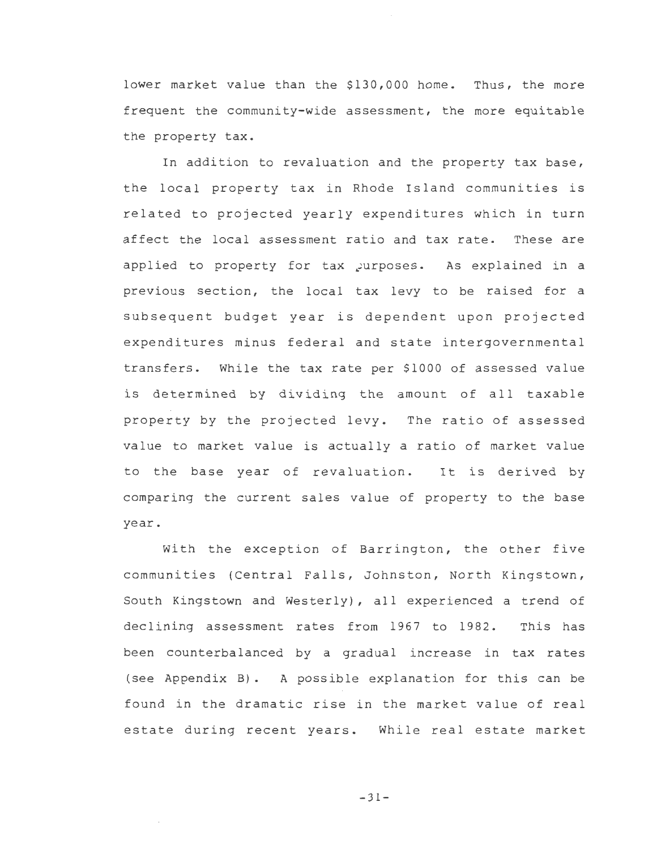lower market value than the \$130,000 home. Thus, the more frequent the community-wide assessment, the more equitable the property tax.

In addition to revaluation and the property tax base, the local property tax in Rhode Island communities is related to projected yearly expenditures which in turn affect the local assessment ratio and tax rate. These are applied to property for tax purposes. As explained in a previous section, the local tax levy to be raised for a subsequent budget year is dependent upon projected expenditures minus federal and state intergovernmental transfers. While the tax rate per \$1000 of assessed value is determined by dividing the amount of all taxable property by the projected levy. The ratio of assessed value to market value is actually a ratio of market value to the base year of revaluation. It is derived by comparing the current sales value of property to the base year.

With the exception of Barrington, the other five communities (Central Falls, Johnston, North Kingstown, South Kingstown and Westerly), all experienced a trend of declining assessment rates from 1967 to 1982. This has been counterbalanced by a gradual increase in tax rates (see Appendix B) . A possible explanation for this can be found in the dramatic rise in the market value of real estate during recent years. While real estate market

 $-31-$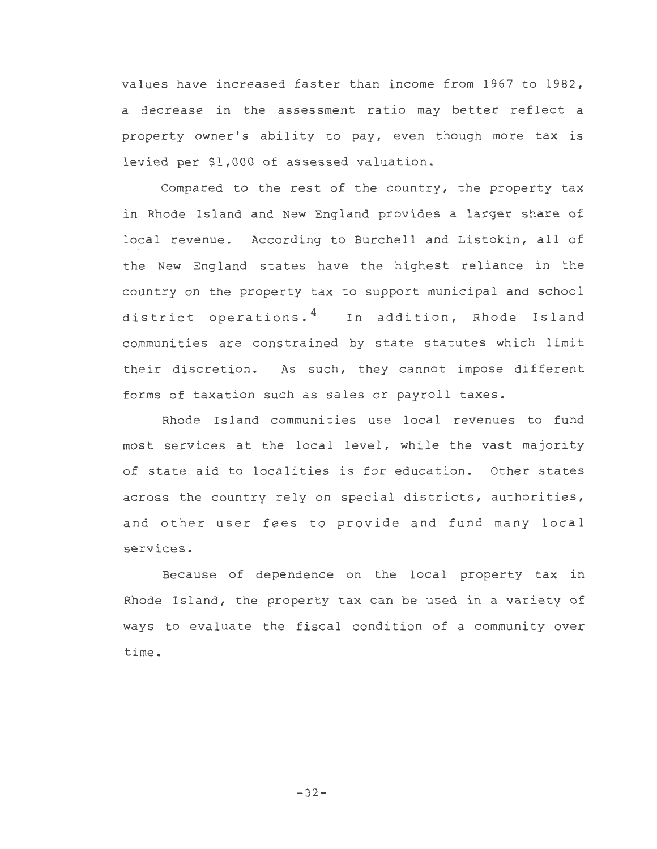values have increased faster than income from 1967 to 1982, a decrease in the assessment ratio may better reflect a property owner's ability to pay, even though more tax is levied per \$1,000 of assessed valuation.

Compared to the rest of the country, the property tax in Rhode Island and New England provides a larger share of local revenue. According to Burchell and Listokin, all of the New England states have the highest reliance in the country on the property tax to support municipal and school district operations.<sup>4</sup> In addition, Rhode Island communities are constrained by state statutes which limit their discretion. As such, they cannot impose different forms of taxation such as sales or payroll taxes.

Rhode Is land communities use local revenues to fund most services at the local level, while the vast majority of state aid to localities is for education. Other states across the country rely on special districts, authorities, and other user fees to provide and fund many local services.

Because of dependence on the local property tax in Rhode Island, the property tax can be used in a variety of ways to evaluate the fiscal condition of a community over time.

 $-32-$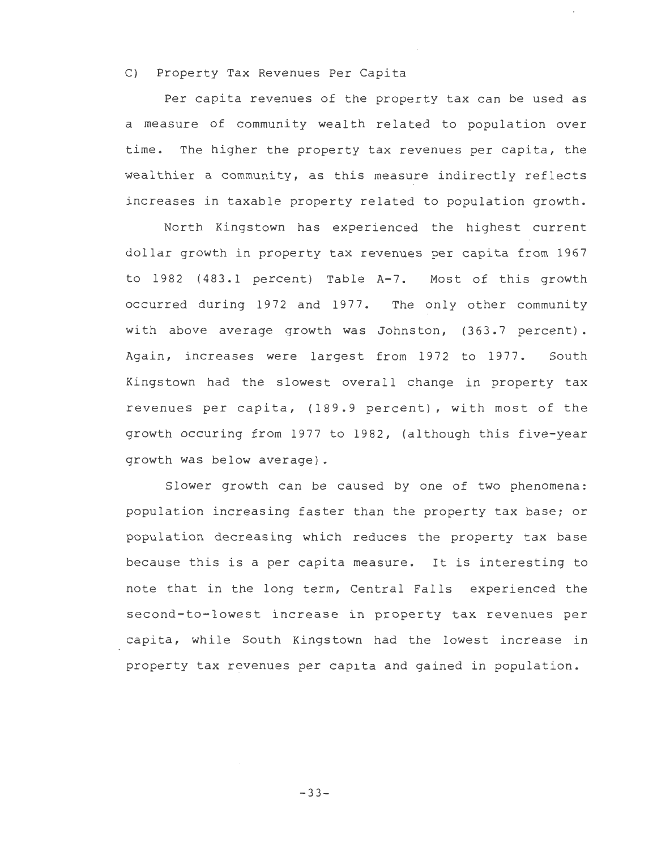### C) Property Tax Revenues Per Capita

Per capita revenues of the property tax can be used as a measure of community wealth related to population over time. The higher the property tax revenues per capita, the wealthier a community, as this measure indirectly reflects increases in taxable property related to population growth.

North Kingstown has experienced the highest current dollar growth in property tax revenues per capita from 1967 to 1982 (483.1 percent) Table A-7. Most of this growth occurred during 1972 and 1977. The only other community with above average growth was Johnston, (363.7 percent). Again, increases were largest from 1972 to 1977. South Kingstown had the slowest overall change in property tax revenues per capita, (189.9 percent), with most of the growth occuring from 1977 to 1982, (although this five-year growth was below average).

Slower growth can be caused by one of two phenomena: population increasing faster than the property tax base; or population decreasing which reduces the property tax base because this is a per capita measure. It is interesting to note that in the long term, Central Falls experienced the second-to-lowest increase in property tax revenues per capita, while South Kingstown had the lowest increase in property tax revenues per capita and gained in population.

-33-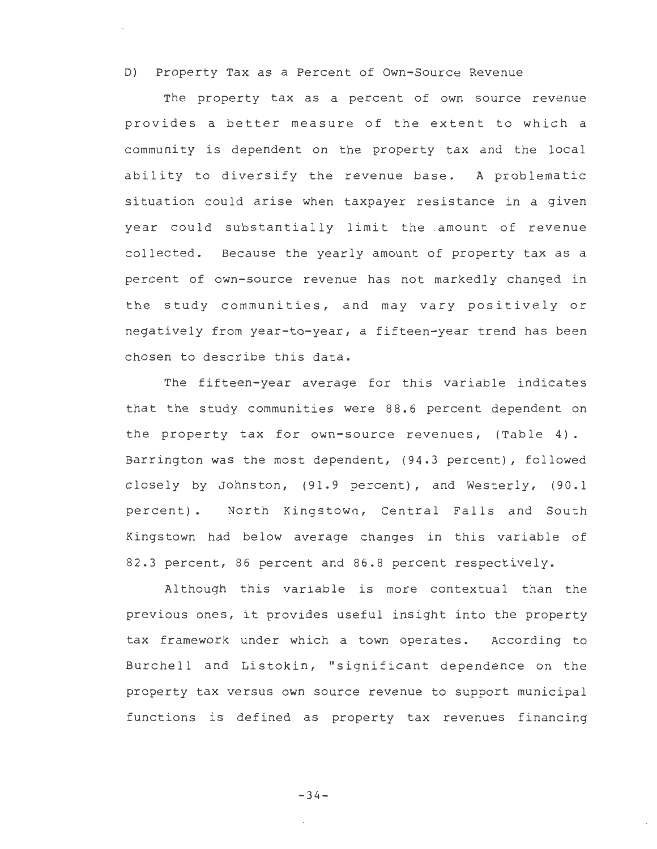D) Property Tax as a Percent of Own-Source Revenue

The property tax as a percent of own source revenue provides a better measure of the extent to which a community is dependent on the property tax and the local ability to diversify the revenue base. A problematic situation could arise when taxpayer resistance in a given year could substantially limit the .amount of revenue collected. Because the yearly amount of property tax as a percent of own-source revenue has not markedly changed in the study communities, and may vary positively or negatively from year-to-year, a fifteen-year trend has been chosen to describe this data.

The fifteen-year average for this variable indicates that the study communities were 88.6 percent dependent on the property tax for own-source revenues, (Table 4). Barrington was the most dependent, (94.3 percent), followed closely by Johnston, (91.9 percent), and Westerly, (90.l percent). North Kingstown, Central Falls and South Kingstown had below average changes in this variable of 82.3 percent, 86 percent and 86.8 percent respectively.

Al though this variable is more contextual than the previous ones, it provides useful insight into the property tax framework under which a town operates. According to Burchell and Listokin, "significant dependence on the property tax versus own source revenue to support municipal functions is defined as property tax revenues financing

-34-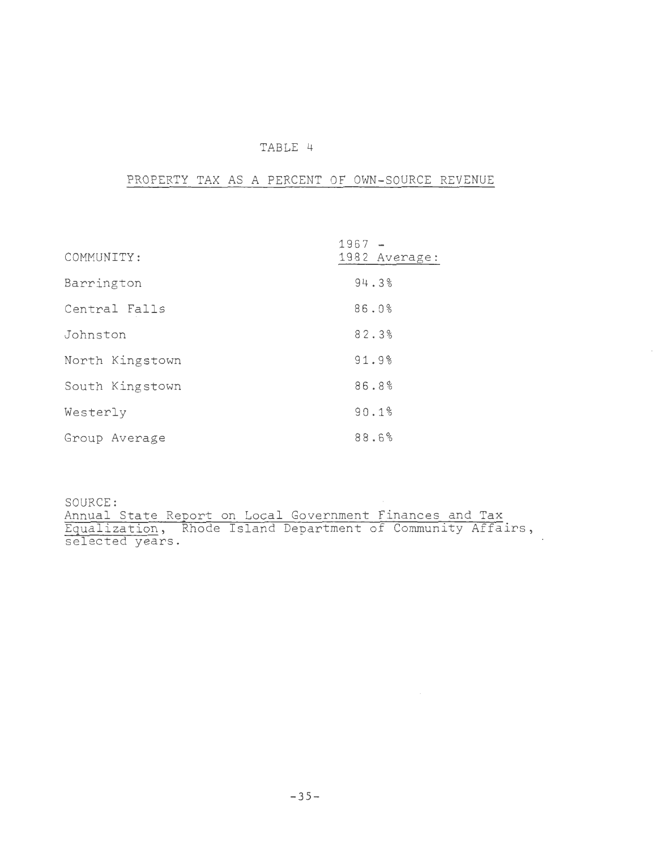## TABLE 4

# PROPERTY TAX AS A PERCENT OF OWN-SOURCE REVENUE

| COMMUNITY:      | $1967 -$<br>1982 Average: |
|-----------------|---------------------------|
| Barrington      | 94.3%                     |
| Central Falls   | 86.0%                     |
| Johnston        | 82.3%                     |
| North Kingstown | 91.9%                     |
| South Kingstown | 86.8%                     |
| Westerly        | 90.1%                     |
| Group Average   | 88.6%                     |

SOURCE: Annual State Report on Local Government Finances and Tax Equalization, Rhode Island Department of Community Affairs, selected years.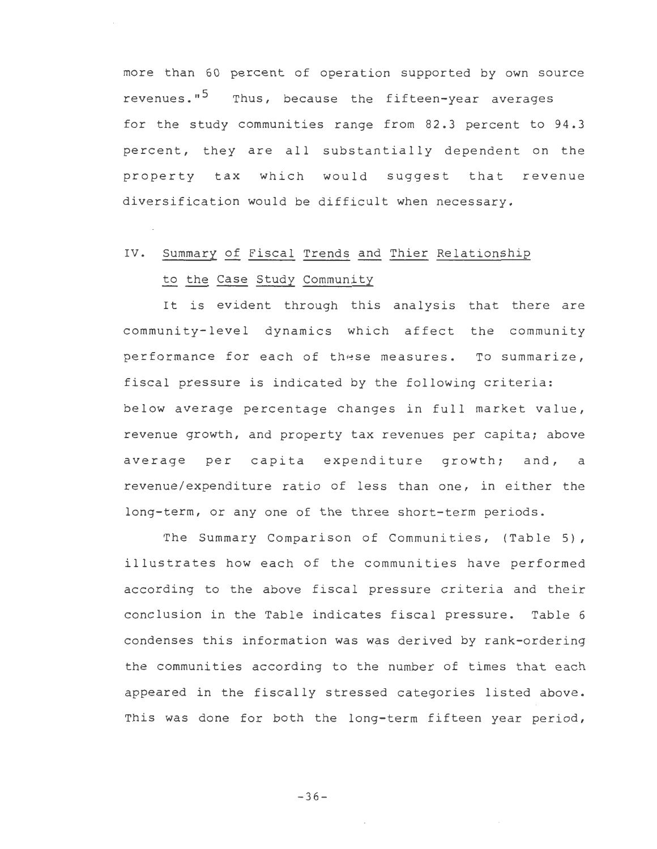more than 60 percent of operation supported by own source revenues."<sup>5</sup> Thus, because the fifteen-year averages for the study communities range from 82.3 percent to 94.3 percent, they are all substantially dependent on the property tax which would suggest that revenue diversification would be difficult when necessary.

# IV. Summary of Fiscal Trends and Thier Relationship to the Case Study Community

It is evident through this analysis that there are community-level dynamics which affect the community performance for each of these measures. To summarize, fiscal pressure is indicated by the following criteria: below average percentage changes in full market value, revenue growth, and property tax revenues per capita; above average per capita expenditure growth; and, a revenue/expenditure ratio of less than one, in either the long-term, or any one of the three short-term periods.

The Summary Comparison of Communities, (Table 5), illustrates how each of the communities have performed according to the above fiscal pressure criteria and their conclusion in the Table indicates fiscal pressure. Table 6 condenses this information was was derived by rank-ordering the communities according to the number of times that each appeared in the fiscally stressed categories listed above. This was done for both the long-term fifteen year period,

 $-36-$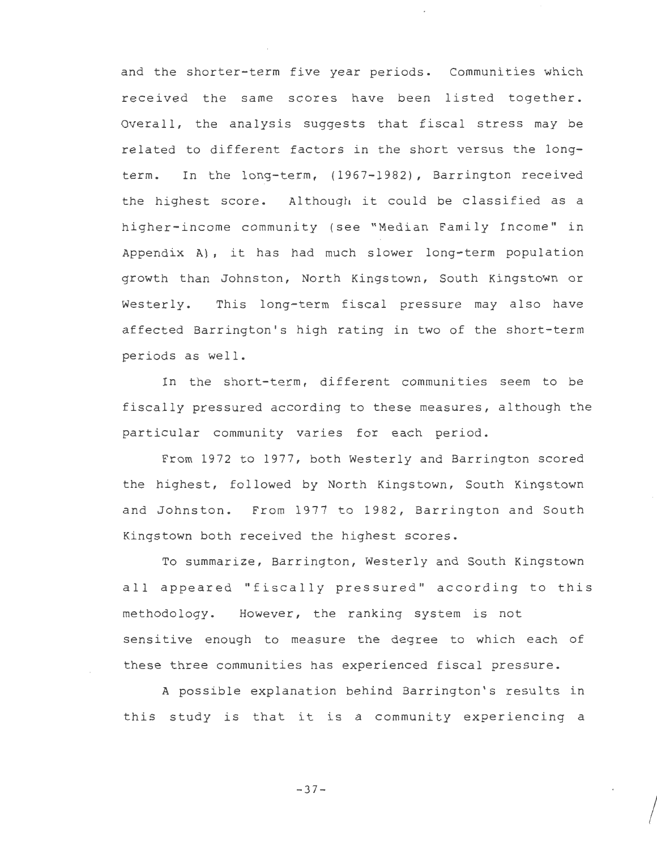and the shorter-term five year periods. Communities which received the same scores have been listed together. Overall, the analysis suggests that fiscal stress may be related to different factors in the short versus the longterm. In the long-term, (1967-1982), Barrington received the highest score. Although it could be classified as a higher-income community (see "Median Family Income" in Appendix A), it has had much slower long-term population growth than Johnston, North Kingstown, South Kingstown or Westerly. This long-term fiscal pressure may also have affected Barrington's high rating in two of the short-term periods as well.

In the short-term, different communities seem to be fiscally pressured according to these measures, although the particular community varies for each period.

From 1972 to 1977, both Westerly and Barrington scored the highest, followed by North Kingstown, South Kingstown and Johnston. From 1977 to 1982, Barrington and South Kingstown both received the highest scores.

To summarize, Barrington, Westerly and South Kingstown all appeared "fiscally pressured" according to this methodology. However, the ranking system is not sensitive enough to measure the degree to which each of these three communities has experienced fiscal pressure.

A possible explanation behind Barrington's results in this study is that it is a community experiencing a

-37-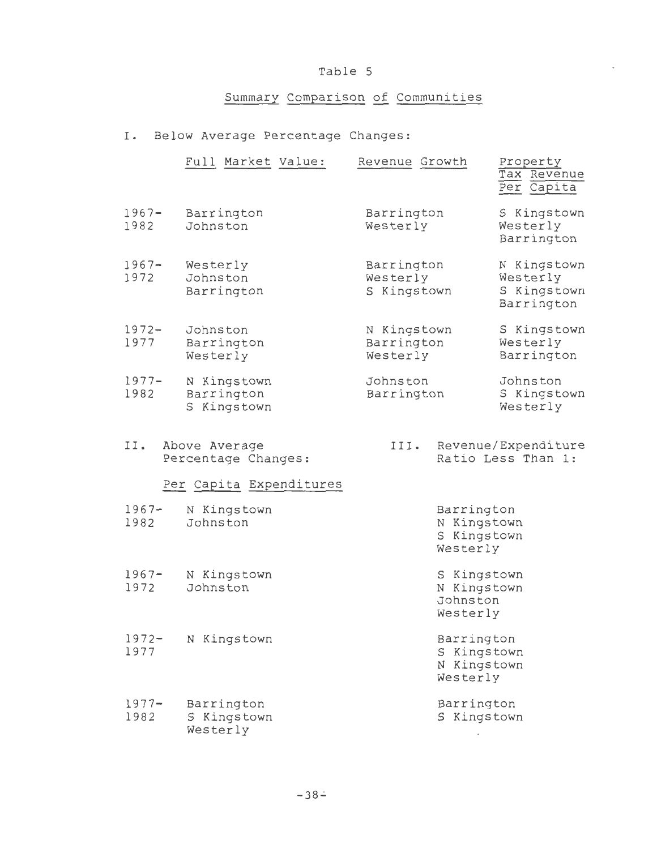# Table 5

# Summary Comparison of Communities

# I. Below Average Percentage Changes:

|                  | Full Market Value:                                 | Revenue Growth                        | Property<br>Tax Revenue<br>Per Capita                |
|------------------|----------------------------------------------------|---------------------------------------|------------------------------------------------------|
| $1967 -$<br>1982 | Barrington<br>Johnston                             | Barrington<br>Westerly                | S Kingstown<br>Westerly<br>Barrington                |
| $1967 -$<br>1972 | Westerly<br>Johnston<br>Barrington                 | Barrington<br>Westerly<br>S Kingstown | N Kingstown<br>Westerly<br>S Kingstown<br>Barrington |
| $1972 -$<br>1977 | Johnston<br>Barrington<br>Westerly                 | N Kingstown<br>Barrington<br>Westerly | S Kingstown<br>Westerly<br>Barrington                |
| $1977 -$<br>1982 | N Kingstown<br>Barrington<br>S Kingstown           | Johnston<br>Barrington                | Johnston<br>S Kingstown<br>Westerly                  |
| II.              | Above Average<br>Percentage Changes:               | III.                                  | Revenue/Expenditure<br>Ratio Less Than 1:            |
| $1967 -$<br>1982 | Per Capita Expenditures<br>N Kingstown<br>Johnston |                                       | Barrington<br>N Kingstown<br>S Kingstown<br>Westerly |
| $1967 -$<br>1972 | N Kingstown<br>Johnston                            |                                       | S Kingstown<br>N Kingstown<br>Johnston<br>Westerly   |
| 1972-<br>1977    | N Kingstown                                        |                                       | Barrington<br>S Kingstown<br>N Kingstown<br>Westerly |
| $1977 -$<br>1982 | Barrington<br>S Kingstown<br>Westerly              |                                       | Barrington<br>S Kingstown                            |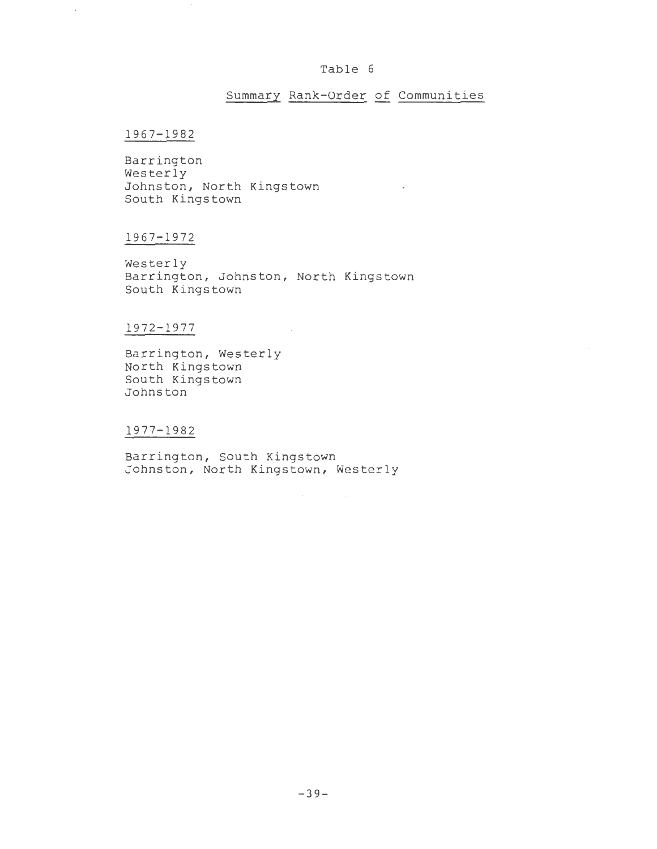#### Table 6

## Summary Rank-Order of Communities

 $\mathcal{L}^{\text{max}}_{\text{max}}$  and  $\mathcal{L}^{\text{max}}_{\text{max}}$ 

### 1967-1982

Barrington Westerly Johnston, North Kingstown South Kingstown

## 1967-1972

Westerly Barrington, Johnston, North Kingstown South Kingstown

 $\sim$ 

## 1972-1977

Barrington, Westerly North Kingstown South Kingstown Johnston

#### 1977-1982

Barrington, South Kingstown Johnston, North Kingstown, Westerly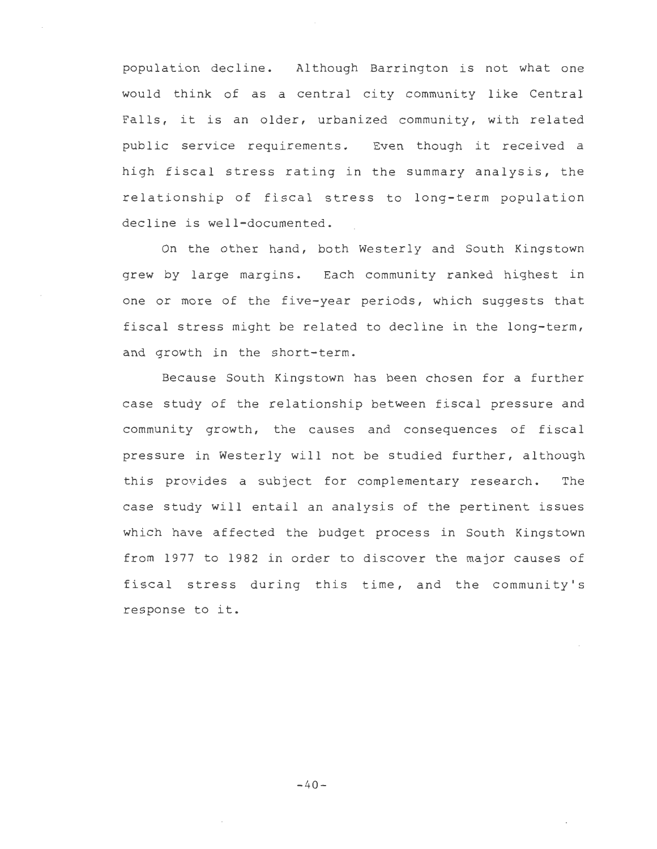population decline. Al though Barrington is not what one would think of as a central city community like Central Falls, it is an older, urbanized community, with related public service requirements. Even though it received a high fiscal stress rating in the summary analysis, the relationship of fiscal stress to long-term population decline is well-documented.

On the other hand, both Westerly and South Kingstown grew by large margins. Each community ranked highest in one or more of the five-year periods, which suggests that fiscal stress might be related to decline in the long-term, and growth in the short-term.

Because South Kingstown has been chosen for a further case study of the relationship between fiscal pressure and community growth, the causes and consequences of fiscal pressure in Westerly will not be studied further, although this provides a subject for complementary research. The case study will entail an analysis of the pertinent issues which have affected the budget process in South Kingstown from 1977 to 1982 in order to discover the major causes of fiscal stress during this time, and the community's response to it.

 $-40-$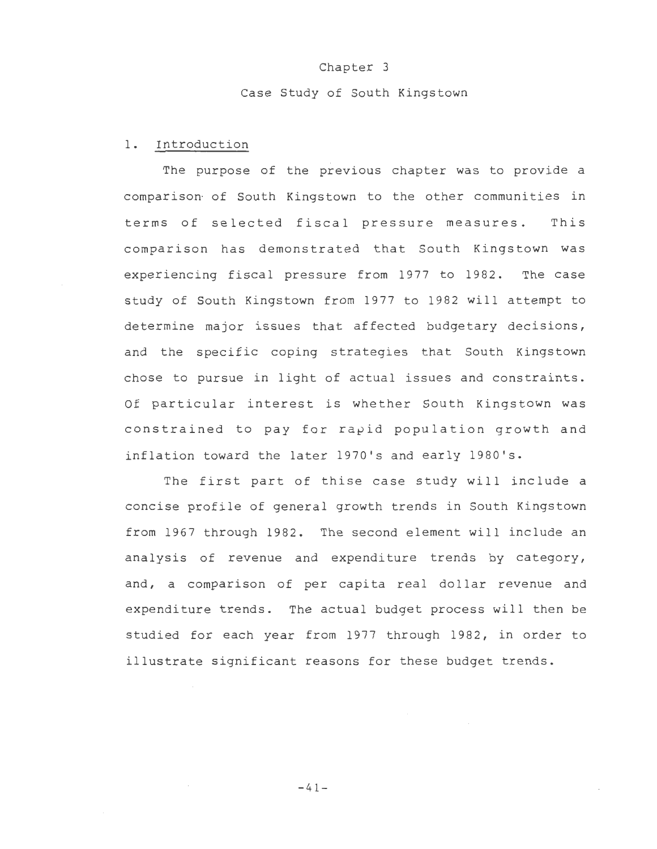#### Chapter 3

#### Case Study of South Kingstown

#### 1. Introduction

The purpose of the previous chapter was to provide a comparison of South Kingstown to the other communities in terms of selected fiscal pressure measures. This comparison has demonstrated that South Kingstown was experiencing fiscal pressure from 1977 to 1982. The case study of South Kingstown from 1977 to 1982 will attempt to determine major issues that affected budgetary decisions, and the specific coping strategies that South Kingstown chose to pursue in light of actual issues and constraints. Of particular interest is whether South Kingstown was constrained to pay for rapid population growth and inflation toward the later 1970's and early 1980's.

The first part of thise case study will include a concise profile of general growth trends in South Kingstown from 1967 through 1982. The second element will include an analysis of revenue and expenditure trends by category, and, a comparison of per capita real dollar revenue and expenditure trends. The actual budget process will then be studied for each year from 1977 through 1982, in order to illustrate significant reasons for these budget trends.

 $-41-$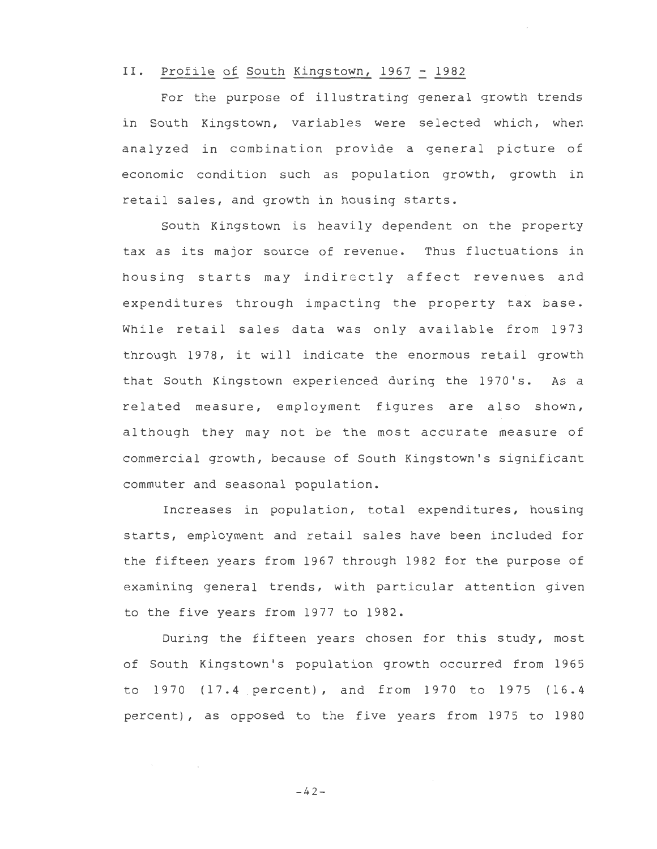## II. Profile of South Kingstown, 1967 = 1982

For the purpose of illustrating general growth trends in South Kingstown, variables were selected which, when analyzed in combination provide a general picture of economic condition such as population growth, growth in retail sales, and growth in housing starts.

South Kingstown is heavily dependent on the property tax as its major source of revenue. Thus fluctuations in housing starts may indirectly affect revenues and expenditures through impacting the property tax base. While retail sales data was only available from 1973 through 1978, it will indicate the enormous retail growth that South Kingstown experienced during the 1970's. As a related measure, employment figures are also shown, although they may not be the most accurate measure of commercial growth, because of South Kingstown's significant commuter and seasonal population.

Increases in population, total expenditures, housing starts, employment and retail sales have been included for the fifteen years from 1967 through 1982 for the purpose of examining general trends, with particular attention given to the five years from 1977 to 1982.

During the fifteen years chosen for this study, most of South Kingstown's population growth occurred from 1965 to 1970 (17.4 . percent), and from 1970 to 1975 (16.4 percent), as opposed to the five years from 1975 to 1980

 $-42-$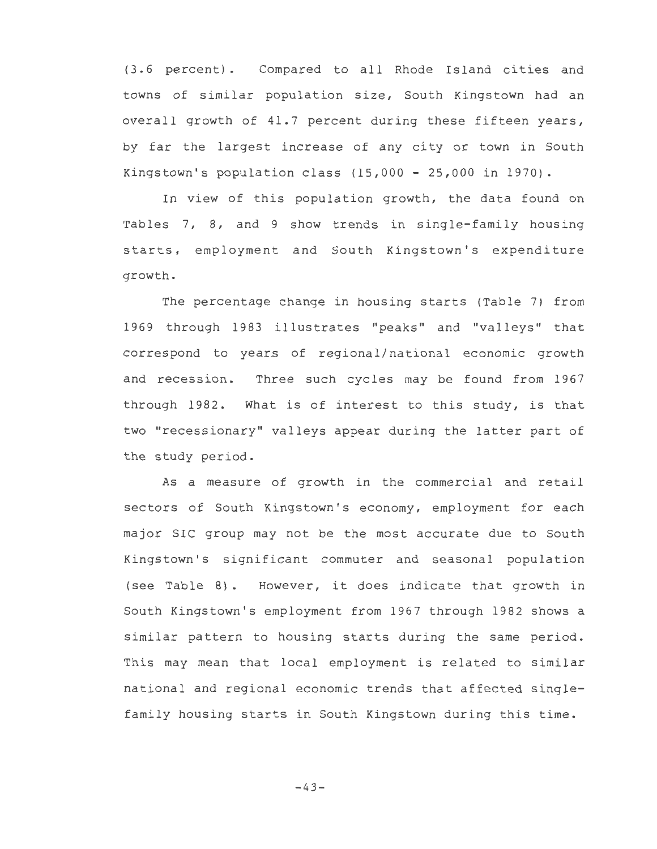(3. 6 percent). Compared to all Rhode Island cities and towns of similar population size, South Kingstown had an overall growth of 41.7 percent during these fifteen years, by far the largest increase of any city or town in South Kingstown's population class  $(15,000 - 25,000$  in 1970).

In view of this population growth, the data found on Tables 7, 8, and 9 show trends in single-family housing starts, employment and South Kingstown's expenditure growth.

The percentage change in housing starts (Table 7) from 1969 through 1983 illustrates "peaks" and "valleys" that correspond to years of regional/national economic growth and recession. Three such cycles may be found from 1967 through 1982. What is of interest to this study, is that two "recessionary" valleys appear during the latter part of the study period.

As a measure of growth in the commercial and retail sectors of South Kingstown's economy, employment for each major SIC group may not be the most accurate due to South Kingstown's significant commuter and seasonal population (see Table 8). However, it does indicate that growth in South Kingstown's employment from 1967 through 1982 shows a similar pattern to housing starts during the same period. This may mean that local employment is related to similar national and regional economic trends that affected singlefamily housing starts in South Kingstown during this time.

 $-43-$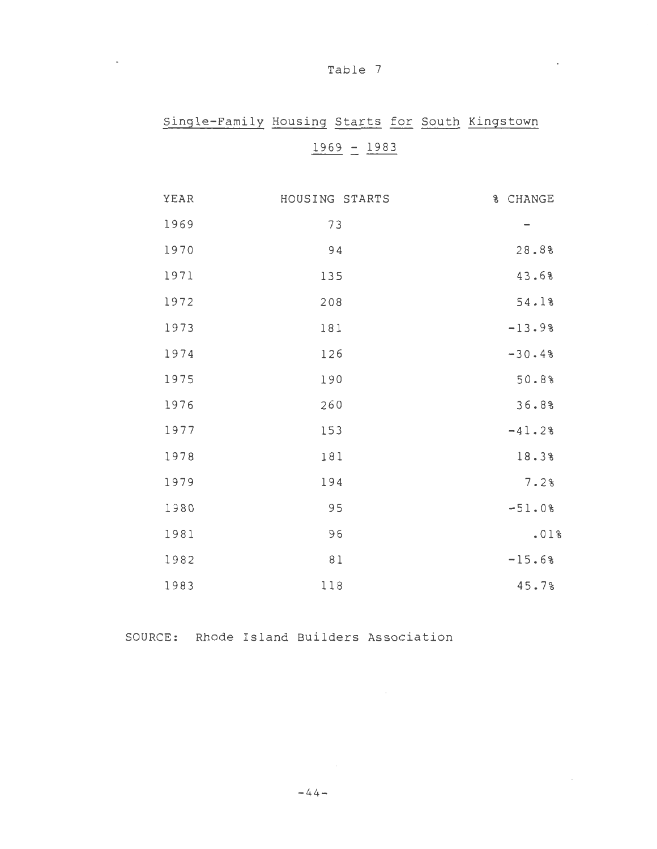| Т<br>ab |  |  |
|---------|--|--|
|---------|--|--|

 $\sim 10^{-10}$ 

# Single-Family Housing Starts for South Kingstown

# $1969 - 1983$

| YEAR | HOUSING STARTS | % CHANGE |
|------|----------------|----------|
| 1969 | 73             |          |
| 1970 | 94             | 28.8%    |
| 1971 | 135            | 43.68    |
| 1972 | 208            | 54.1%    |
| 1973 | 181            | $-13.98$ |
| 1974 | 126            | $-30.48$ |
| 1975 | 190            | 50.8%    |
| 1976 | 260            | 36.8%    |
| 1977 | 153            | $-41.28$ |
| 1978 | 181            | 18.3%    |
| 1979 | 194            | 7.2%     |
| 1980 | 95             | $-51.08$ |
| 1981 | 96             | .01%     |
| 1982 | 81             | $-15.6%$ |
| 1983 | 118            | 45.7%    |

 $\sim 10^{-10}$  m  $^{-1}$ 

SOURCE: Rhode Island Builders Association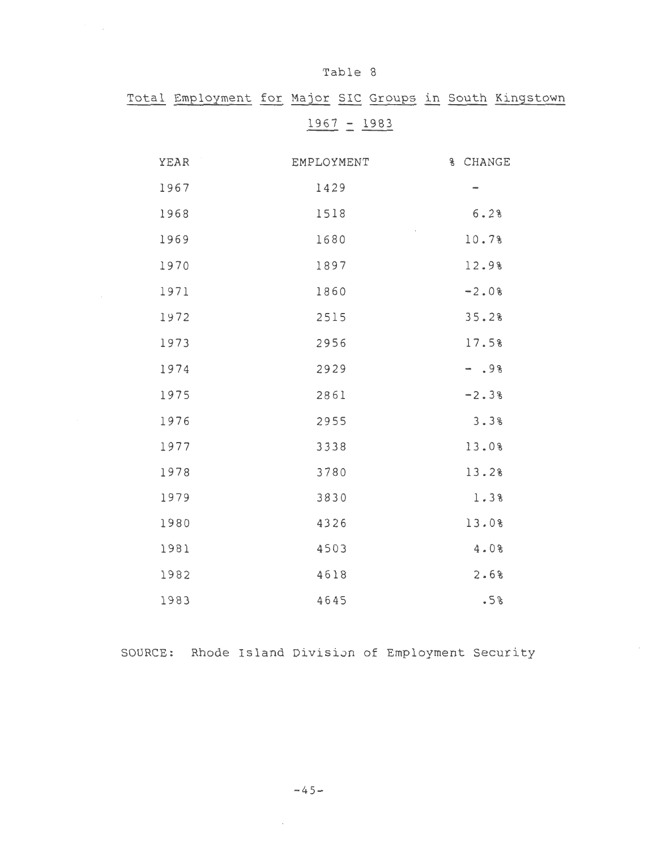|      | Total Employment for Major SIC Groups in South Kingstown |          |
|------|----------------------------------------------------------|----------|
|      | $1967 - 1983$                                            |          |
| YEAR | EMPLOYMENT                                               | % CHANGE |
| 1967 | 1429                                                     | -        |
| 1968 | 1518                                                     | 6.2%     |
| 1969 | 1680                                                     | 10.7%    |
| 1970 | 1897                                                     | 12.9%    |
| 1971 | 1860                                                     | $-2.0%$  |
| 1972 | 2515                                                     | 35.2%    |
| 1973 | 2956                                                     | 17.5%    |
| 1974 | 2929                                                     | $- .98$  |
| 1975 | 2861                                                     | $-2.3%$  |
| 1976 | 2955                                                     | 3.3%     |
| 1977 | 3338                                                     | 13.0%    |
| 1978 | 3780                                                     | 13.2%    |
| 1979 | 3830                                                     | 1.3%     |
| 1980 | 4326                                                     | 13.0%    |
| 1981 | 4503                                                     | 4.0%     |
| 1982 | 4618                                                     | 2.68     |
| 1983 | 4645                                                     | .5%      |

 $\mathcal{O}(\mathcal{O}_{\mathcal{A}})$ 

SOURCE: Rhode Island Division of Employment Security

 $\sim$ 

 $\sim$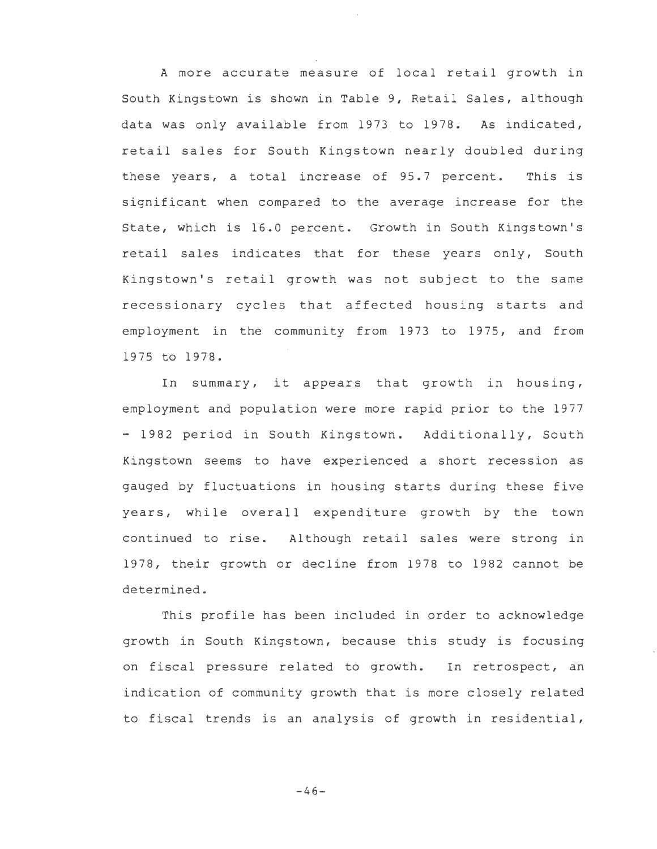A more accurate measure of local retail growth in South Kingstown is shown in Table 9, Retail Sales, although data was only available from 1973 to 1978. As indicated, retail sales for South Kingstown nearly doubled during these years, a total increase of 95.7 percent. This is significant when compared to the average increase for the State, which is 16.0 percent. Growth in South Kingstown's retail sales indicates that for these years only, South Kingstown's retail growth was not subject to the same recessionary cycles that affected housing starts and employment in the community from 1973 to 1975, and from 1975 to 1978.

In summary, it appears that growth in housing, employment and population were more rapid prior to the 1977 - 1982 period in South Kingstown. Additionally, South Kingstown seems to have experienced a short recession as gauged by fluctuations in housing starts during these five years, while overall expenditure growth by the town continued to rise. Although retail sales were strong in 1978, their growth or decline from 1978 to 1982 cannot be determined.

This profile has been included in order to acknowledge growth in South Kingstown, because this study is focusing on fiscal pressure related to growth. In retrospect, an indication of community growth that is more closely related to fiscal trends is an analysis of growth in residential,

 $-46-$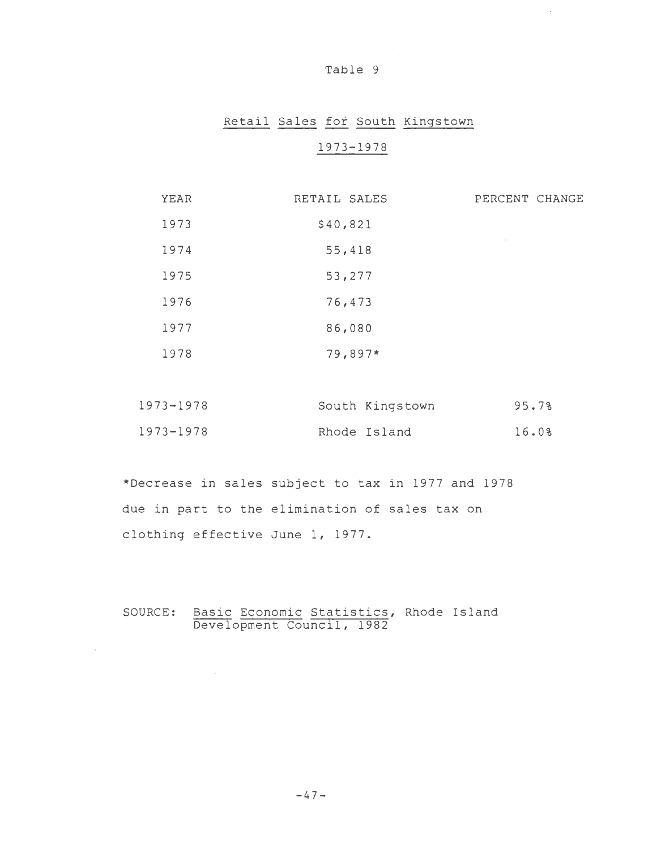#### Table 9

 $\sim 10^{11}$ 

 $\sim$ 

 $\bar{\mathcal{A}}$ 

# Retail Sales for South Kingstown 1973-1978

| YEAR | RETAIL SALES | PERCENT CHANGE    |
|------|--------------|-------------------|
| 1973 | \$40,821     |                   |
| 1974 | 55,418       | <b>Contractor</b> |
| 1975 | 53,277       |                   |
| 1976 | 76,473       |                   |
| 1977 | 86,080       |                   |
| 1978 | 79,897*      |                   |
|      |              |                   |

| 1973-1978 | South Kingstown | 95.78 |
|-----------|-----------------|-------|
| 1973-1978 | Rhode Island    | 16.0% |

\*Decrease in sales subject to tax in 1977 and 1978 due in part to the elimination of sales tax on clothing effective June 1, 1977.

SOURCE: Basic Economic Statistics, Rhode Island Development Council, 1982

 $\mathcal{L}^{\text{max}}_{\text{max}}$ 

 $\sim$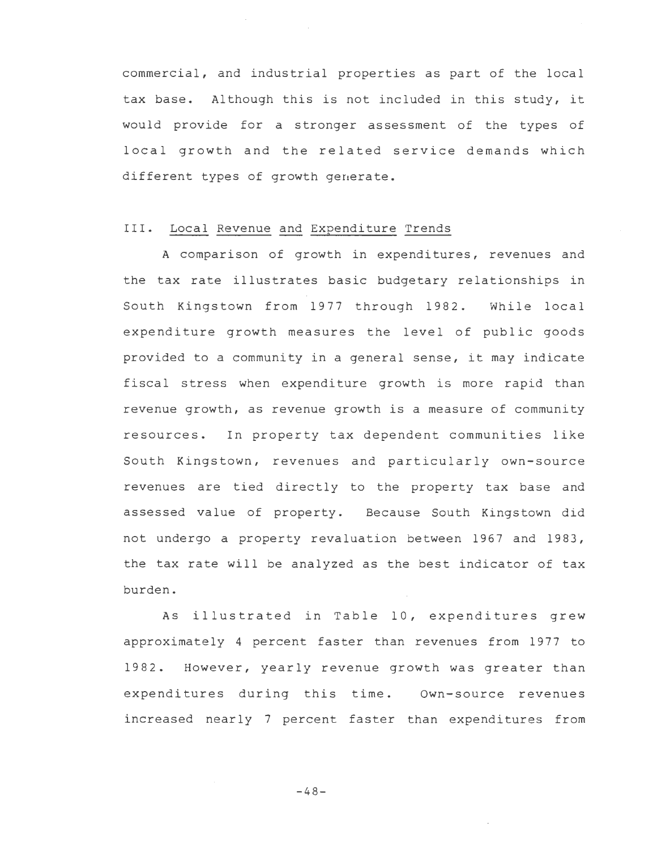commercial, and industrial properties as part of the local tax base. Although this is not included in this study, it would provide for a stronger assessment of the types of local growth and the related service demands which different types of growth generate.

## III. Local Revenue and Expenditure Trends

A comparison of growth in expenditures, revenues and the tax rate illustrates basic budgetary relationships in South Kingstown from 1977 through 1982. While local expenditure growth measures the level of public goods provided to a community in a general sense, it may indicate fiscal stress when expenditure growth is more rapid than revenue growth, as revenue growth is a measure of community resources. In property tax dependent communities like South Kingstown, revenues and particularly own-source revenues are tied directly to the property tax base and assessed value of property. Because South Kingstown did not undergo a property revaluation between 1967 and 1983, the tax rate will be analyzed as the best indicator of tax burden.

As illustrated in Table 10, expenditures grew approximately 4 percent faster than revenues from 1977 to 1982. However, yearly revenue growth was greater than expenditures during this time. Own-source revenues increased nearly 7 percent faster than expenditures from

-48-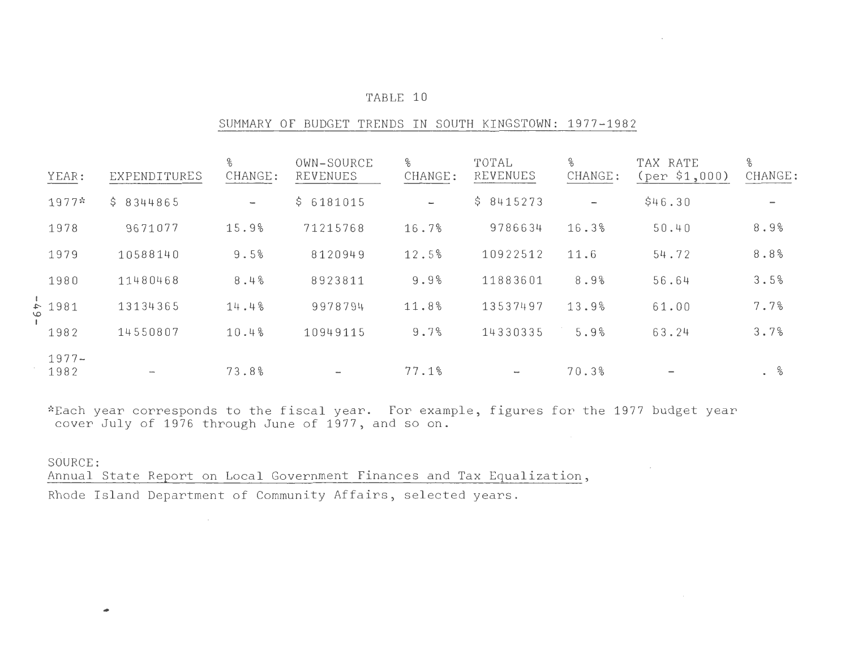### TABLE 10

#### SUMMARY OF BUDGET TRENDS IN SOUTH KINGSTOWN: 1977-1982

| YEAR:              | EXPENDITURES  | %<br>CHANGE:             | OWN-SOURCE<br>REVENUES | %<br>CHANGE:             | TOTAL<br>REVENUES | %<br>CHANGE:      | TAX RATE<br>(per \$1,000) | %<br>CHANGE: |
|--------------------|---------------|--------------------------|------------------------|--------------------------|-------------------|-------------------|---------------------------|--------------|
| $1977*$            | \$8344865     | $\overline{\phantom{0}}$ | \$6181015              | $\overline{\phantom{a}}$ | \$8415273         | $\longrightarrow$ | \$46.30                   |              |
| 1978               | 9671077       | 15.9%                    | 71215768               | 16.7%                    | 9786634           | 16.3%             | 50.40                     | 8.9%         |
| 1979               | 10588140      | 9.5%                     | 8120949                | 12.5%                    | 10922512          | 11.6              | 54.72                     | 8.8%         |
| 1980               | 11480468      | 8.4%                     | 8923811                | 9.9%                     | 11883601          | 8.9%              | 56.64                     | 3.5%         |
| $\frac{1}{5}$ 1981 | 13134365      | 14.4%                    | 9978794                | 11.8%                    | 13537497          | 13.9%             | 61.00                     | 7.7%         |
| 1982               | 14550807      | 10.4%                    | 10949115               | 9.7%                     | 14330335          | 5.9%              | 63.24                     | 3.7%         |
| $1977 -$<br>1982   | $\rightarrow$ | 73.8%                    |                        | 77.1%                    | $\sim$            | 70.3%             |                           | $\%$         |

\*Each year corresponds to the fiscal year. For example, figures for the 1977 budget year cover July of 1976 through June of 1977, and so on.

## SOURCE:

•

 Annual State Report on Local Government Finances and Tax Equalization, Rhode Island Department of Community Affairs, selected years .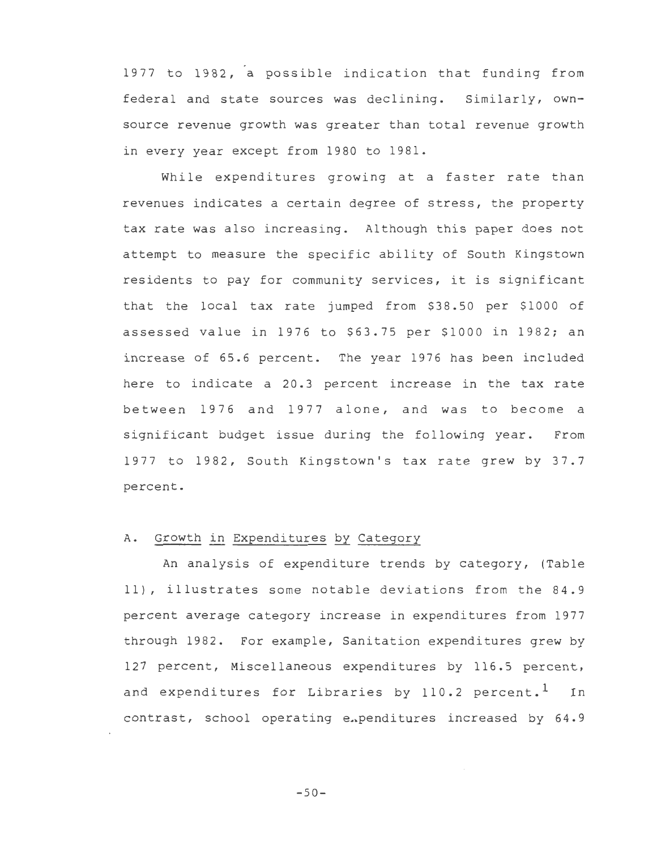1977 to 1982, a possible indication that funding from federal and state sources was declining. Similarly, ownsource revenue growth was greater than total revenue growth in every year except from 1980 to 1981.

While expenditures growing at a faster rate than revenues indicates a certain degree of stress, the property tax rate was also increasing. Although this paper does not attempt to measure the specific ability of South Kingstown residents to pay for community services, it is significant that the local tax rate jumped from \$38.50 per \$1000 of assessed value in 1976 to \$63.75 per \$1000 in 1982; an increase of 65.6 percent. The year 1976 has been included here to indicate a 20.3 percent increase in the tax rate between 1976 and 1977 alone, and was to become a significant budget issue during the following year. From 1977 to 1982, South Kingstown's tax rate grew by 37.7 percent.

#### A. Growth in Expenditures by Category

An analysis of expenditure trends by category, (Table 11), illustrates some notable deviations from the 84.9 percent average category increase in expenditures from 1977 through 1982. For example, Sanitation expenditures grew by 127 percent, Miscellaneous expenditures by 116.5 percent, and expenditures for Libraries by 110.2 percent.<sup>1</sup> In contrast, school operating expenditures increased by 64.9

 $-50-$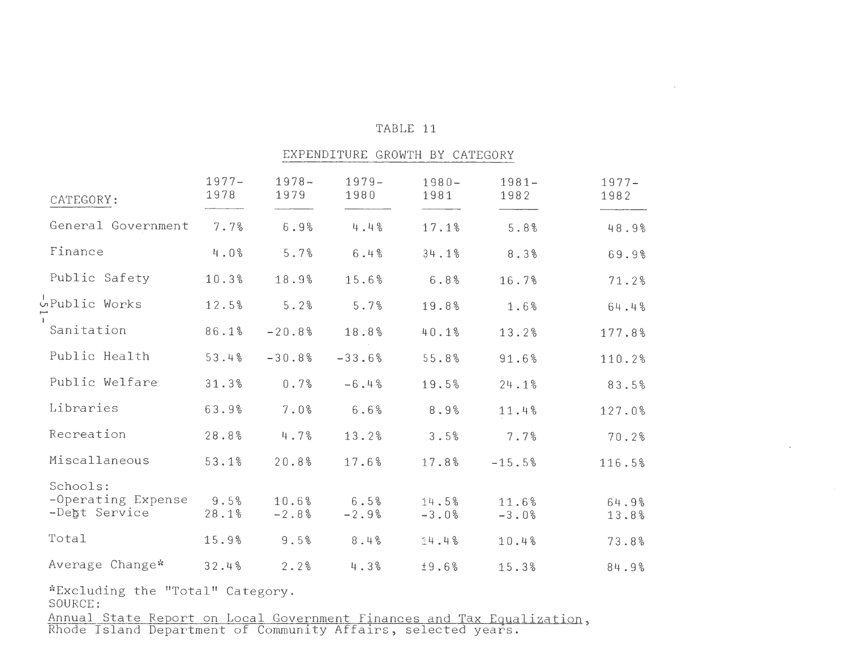#### TABLE 11

 $\mathcal{L}^{\text{max}}_{\text{max}}$ 

 $\bar{z}$ 

 $\sim$ 

#### EXPENDITURE GROWTH BY CATEGORY

| CATEGORY:                                       | $1977 -$<br>1978 | $1978 -$<br>1979 | $1979-$<br>1980 | $1980 -$<br>1981 | $1981 -$<br>1982 | $1977 -$<br>1982 |
|-------------------------------------------------|------------------|------------------|-----------------|------------------|------------------|------------------|
| General Government                              | 7.7%             | 6.9%             | 4.4%            | 17.1%            | 5.8%             | 48.9%            |
| Finance                                         | 4.0%             | 5.7%             | 6.4%            | 34.1%            | 8.3%             | 69.9%            |
| Public Safety                                   | 10.3%            | 18.9%            | 15.6%           | 6.8%             | 16.7%            | 71.2%            |
| upublic Works                                   | 12.5%            | 5.2%             | 5.7%            | 19.8%            | 1.6%             | 64.4%            |
| Sanitation                                      | 86.1%            | $-20.8%$         | 18.8%           | 40.1%            | 13.2%            | 177.8%           |
| Public Health                                   | 53.4%            | $-30.8%$         | $-33.6%$        | 55.8%            | 91.6%            | 110.2%           |
| Public Welfare                                  | 31.3%            | 0.7%             | $-6.4%$         | 19.5%            | 24.1%            | 83.5%            |
| Libraries                                       | 63.9%            | 7.0%             | 6.6%            | 8.9%             | 11.4%            | 127.0%           |
| Recreation                                      | 28.8%            | 4.7%             | 13.2%           | 3.5%             | 7.7%             | 70.2%            |
| Miscallaneous                                   | 53.1%            | 20.8%            | 17.6%           | 17.8%            | $-15.5%$         | 116.5%           |
| Schools:<br>-Operating Expense<br>-Debt Service | 9.5%<br>28.1%    | 10.6%<br>$-2.8%$ | 6.5%<br>$-2.9%$ | 14.5%<br>$-3.0%$ | 11.6%<br>$-3.0%$ | 64.9%<br>13.8%   |
| Total                                           | 15.9%            | 9.5%             | 8.4%            | 14.4%            | 10.4%            | 73.8%            |
| Average Change*                                 | 32.4%            | 2.2%             | 4.3%            | ±9.6%            | 15.3%            | 84.9%            |
| *Excluding the "Total" Category.                |                  |                  |                 |                  |                  |                  |

SOURCE:

Annual State Report on Local Government Finances and Tax Equa<br>Rhode Island Department of Community Affairs, selected years.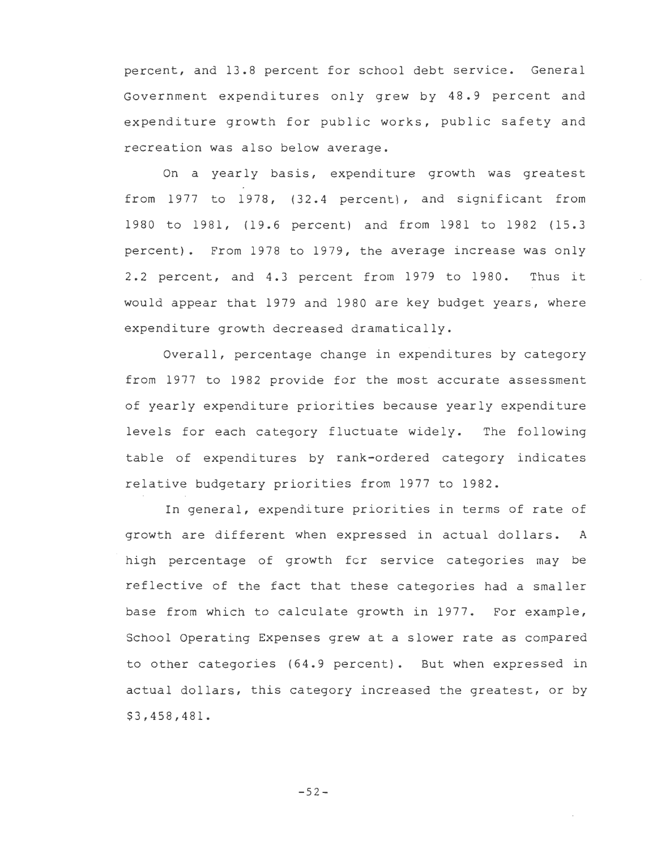percent, and 13.8 percent for school debt service. General Government expenditures only grew by 48.9 percent and expenditure growth for public works, public safety and recreation was also below average.

On a yearly basis, expenditure growth was greatest from 1977 to 1978, (32.4 percent), and significant from 1980 to 1981, (19.6 percent) and from 1981 to 1982 (15.3 percent). From 1978 to 1979, the average increase was only 2.2 percent, and 4.3 percent from 1979 to 1980. Thus it would appear that 1979 and 1980 are key budget years, where expenditure growth decreased dramatically.

Overall, percentage change in expenditures by category from 1977 to 1982 provide for the most accurate assessment of yearly expenditure priorities because yearly expenditure levels for each category fluctuate widely. The following table of expenditures by rank-ordered category indicates relative budgetary priorities from 1977 to 1982.

In general, expenditure priorities in terms of rate of growth are different when expressed in actual dollars. A high percentage of growth for service categories may be reflective of the fact that these categories had a smaller base from which to calculate growth in 1977. For example, School Operating Expenses grew at a slower rate as compared to other categories (64.9 percent). But when expressed in actual dollars, this category increased the greatest, or by \$3,458,481.

-52-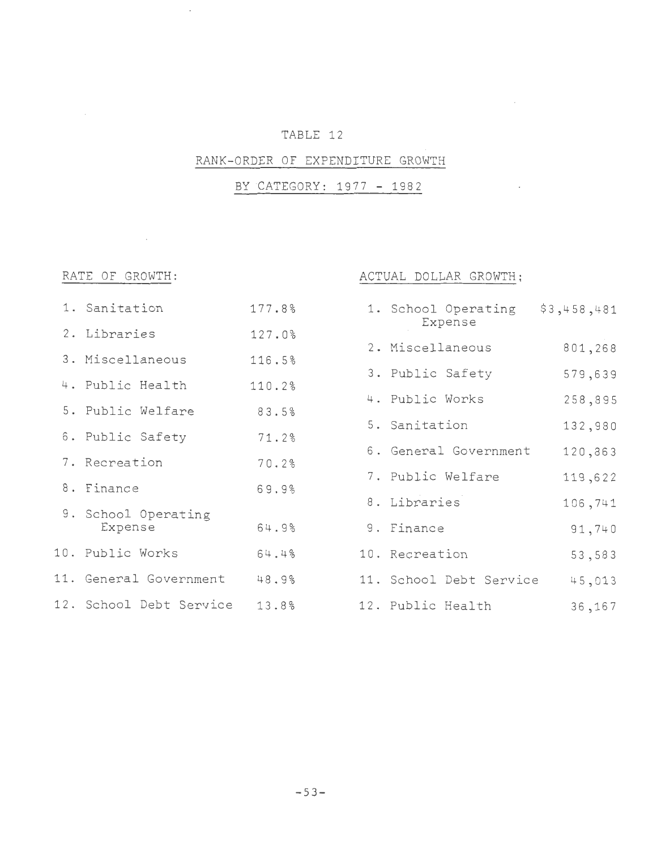# TABLE 12

## RANK-ORDER OF EXPENDITURE GROWTH

BY CATEGORY: 1977 - 1982

 $\mathcal{L}^{\text{max}}_{\text{max}}$  ,  $\mathcal{L}^{\text{max}}_{\text{max}}$ 

 $\bar{z}$ 

# RATE OF GROWTH:  $ACTUAL$  DOLLAR GROWTH;

 $\mathcal{L}^{\mathcal{L}}(\mathcal{L}^{\mathcal{L}})$  ,  $\mathcal{L}^{\mathcal{L}}(\mathcal{L}^{\mathcal{L}})$ 

| 1. Sanitation                  | 177.8% | 1. School Operating<br>Expense | \$3,458,481 |
|--------------------------------|--------|--------------------------------|-------------|
| 2. Libraries                   | 127.0% | 2. Miscellaneous               | 801,268     |
| 3. Miscellaneous               | 116.5% | 3. Public Safety               | 579,639     |
| 4. Public Health               | 110.2% | 4. Public Works                | 258,895     |
| 5. Public Welfare              | 83.5%  | 5. Sanitation                  | 132,980     |
| 6. Public Safety               | 71.2%  | 6. General Government          | 120,863     |
| 7. Recreation                  | 70.2%  | 7. Public Welfare              | 119,622     |
| 8. Finance                     | 69.9%  | 8. Libraries                   | 106,741     |
| 9. School Operating<br>Expense | 64.9%  | 9. Finance                     | 91,740      |
| 10. Public Works               | 64.4%  | 10. Recreation                 | 53,583      |
| 11. General Government         | 48.9%  | 11. School Debt Service        | 45,013      |
| 12. School Debt Service        | 13.8%  | 12. Public Health              | 36,167      |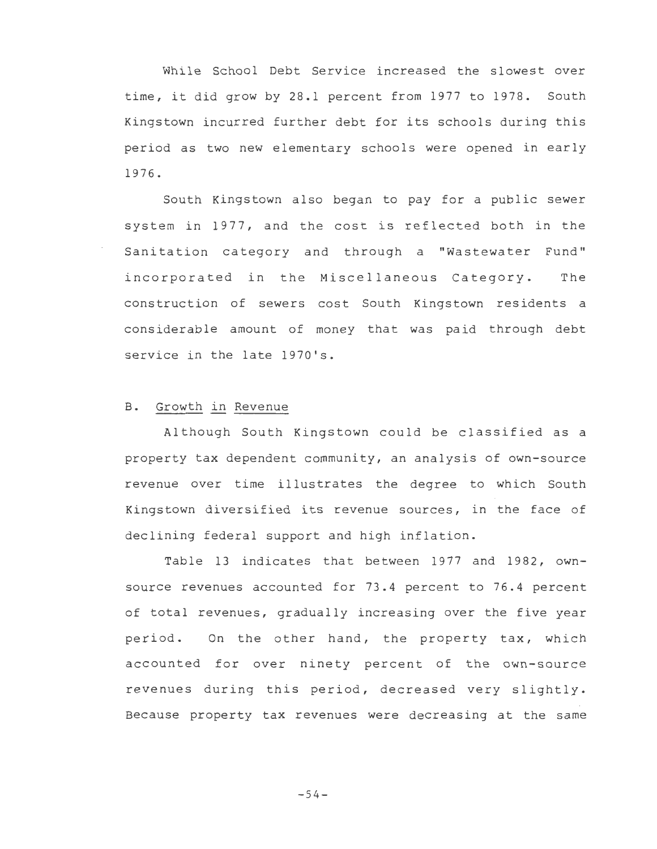While School Debt Service increased the slowest over time, it did grow by 28.1 percent from 1977 to 1978. South Kingstown incurred further debt for its schools during this period as two new elementary schools were opened in early 1976.

South Kingstown also began to pay for a public sewer system in 1977, and the cost is reflected both in the Sanitation category and through a "Wastewater Fund" incorporated in the Miscellaneous Category. The construction of sewers cost South Kingstown residents a considerable amount of money that was paid through debt service in the late 1970's.

## B. Growth in Revenue

Although South Kingstown could be classified as a property tax dependent community, an analysis of own-source revenue over time illustrates the degree to which South Kingstown diversified its revenue sources, in the face of declining federal support and high inflation.

Table 13 indicates that between 1977 and 1982, ownsource revenues accounted for 73.4 percent to 76.4 percent of total revenues, gradually increasing over the five year period. On the other hand, the property tax, which accounted for over ninety percent of the own-source revenues during this period, decreased very slightly. Because property tax revenues were decreasing at the same

 $-54-$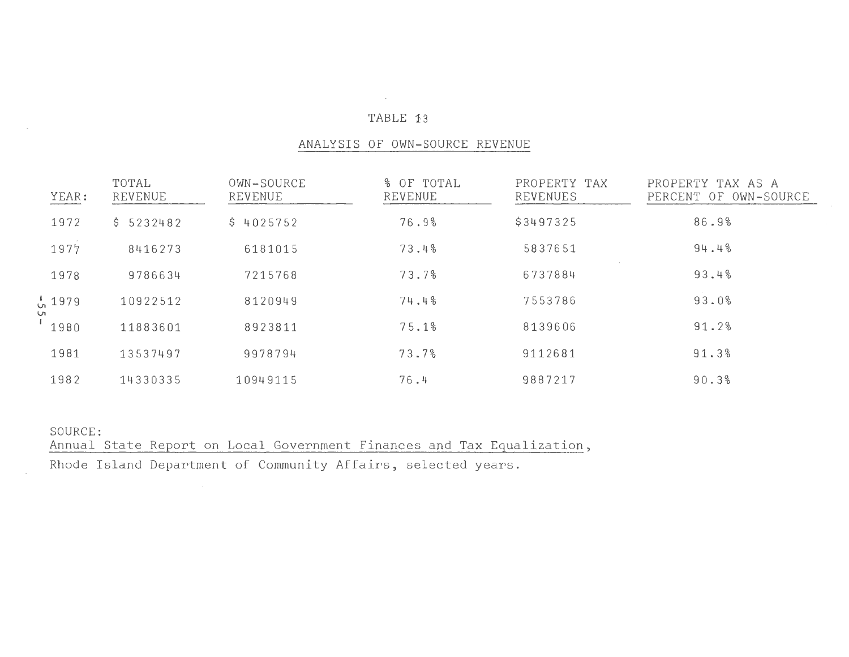#### TABLE 13

 $\sim 10^{11}$  km s  $^{-1}$ 

#### ANALYSIS OF OWN-SOURCE REVENUE

| YEAR:               | TOTAL<br><b>REVENUE</b> | OWN-SOURCE<br><b>REVENUE</b> | % OF TOTAL<br><b>REVENUE</b> | PROPERTY TAX<br><b>REVENUES</b> | PROPERTY TAX AS A<br>PERCENT OF OWN-SOURCE |
|---------------------|-------------------------|------------------------------|------------------------------|---------------------------------|--------------------------------------------|
| 1972                | \$5232482               | \$4025752                    | 76.9%                        | \$3497325                       | 86.9%                                      |
| 1977                | 8416273                 | 6181015                      | 73.4%                        | 5837651                         | 94.4%                                      |
| 1978                | 9786634                 | 7215768                      | 73.7%                        | 6737884                         | 93.4%                                      |
| $\frac{1}{20}$ 1979 | 10922512                | 8120949                      | 74.4%                        | 7553786                         | 93.0%                                      |
| UТ<br>1980          | 11883601                | 8923811                      | 75.1%                        | 8139606                         | 91.2%                                      |
| 1981                | 13537497                | 9978794                      | 73.7%                        | 9112681                         | 91.3%                                      |
| 1982                | 14330335                | 10949115                     | 76.4                         | 9887217                         | 90.3%                                      |

SOURCE:

Annual State Report on Local Government Finances and Tax Equalization, Rhode Island Department of Community Affairs, selected years.

 $\sim$   $\sim$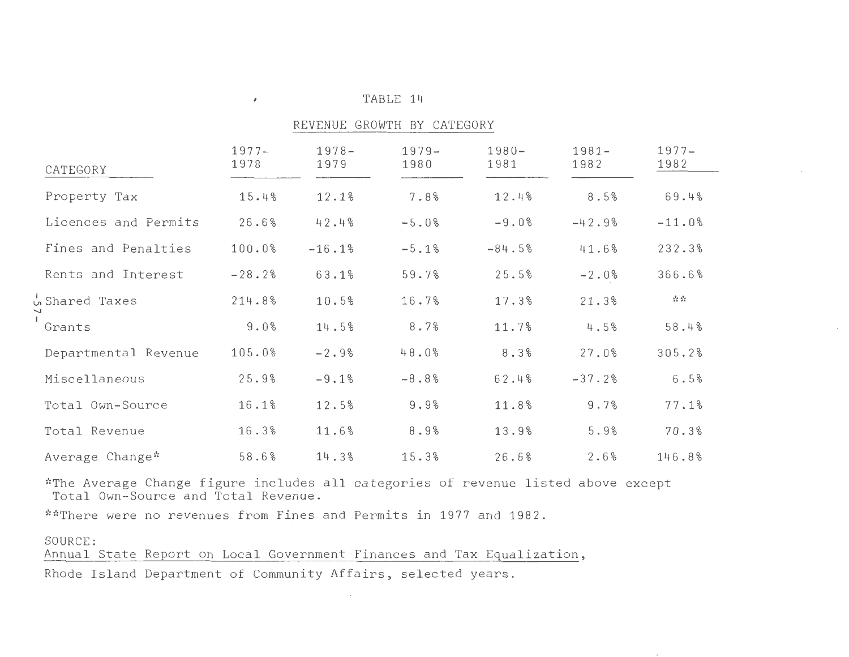| CATEGORY             | $1977 -$<br>1978 | $1978 -$<br>1979 | $1979 -$<br>1980 | $1980 -$<br>1981 | $1981 -$<br>1982 | $1977 -$<br>1982 |
|----------------------|------------------|------------------|------------------|------------------|------------------|------------------|
| Property Tax         | 15.4%            | 12.1%            | 7.8%             | 12.4%            | 8.5%             | 69.4%            |
| Licences and Permits | 26.6%            | 42.4%            | $-5.0%$          | $-9.0%$          | $-42.9%$         | $-11.0%$         |
| Fines and Penalties  | 100.0%           | $-16.1%$         | $-5.1%$          | $-84.5%$         | 41.6%            | 232.3%           |
| Rents and Interest   | $-28.2%$         | 63.1%            | 59.7%            | 25.5%            | $-2.0%$          | 366.6%           |
| Shared Taxes         | 214.8%           | 10.5%            | 16.7%            | 17.3%            | 21.3%            | ☆☆               |
| Grants               | 9.0%             | 14.5%            | 8.7%             | 11.7%            | 4.5%             | 58.4%            |
| Departmental Revenue | 105.0%           | $-2.9%$          | 48.0%            | 8.3%             | 27.0%            | 305.2%           |
| Miscellaneous        | 25.9%            | $-9.1%$          | $-8.8%$          | 62.4%            | $-37.2%$         | 6.5%             |
| Total Own-Source     | 16.1%            | 12.5%            | 9.9%             | 11.8%            | 9.7%             | 77.1%            |
| Total Revenue        | 16.3%            | 11.6%            | 8.9%             | 13.9%            | 5.9%             | 70.3%            |
| Average Change*      | 58.6%            | 14.3%            | 15.3%            | 26.6%            | 2.6%             | 146.8%           |

TABLE 14 REVENUE GROWTH BY CATEGORY

\*The Average Change figure includes all categories of revenue listed above except Total Own-Source and Total Revenue.

\*\*There were no revenues from Fines and Permits in 1977 and 1982.

 $\mathcal{L}_{\mathcal{A}}$ 

SOURCE:

Annual State Report on Local Government ·Finances and Tax Equalization, Rhode Island Department of Community Affairs, selected years.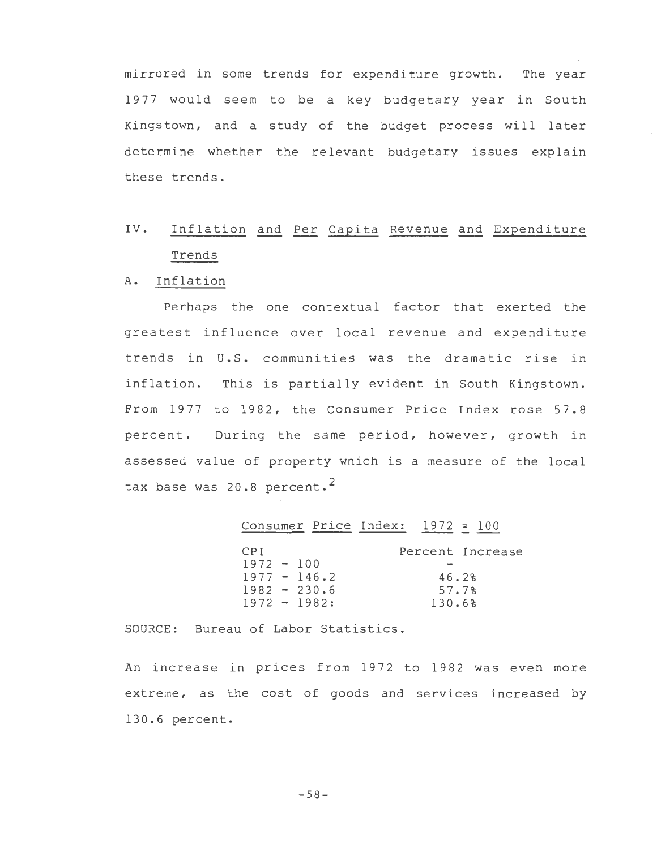mirrored in some trends for expenditure growth. The year 1977 would seem to be a key budgetary year in South Kingstown, and a study of the budget process will later determine whether the relevant budgetary issues explain these trends.

# IV. Inflation and Per Capita Revenue and Expenditure Trends

#### A. Inflation

Perhaps the one contextual factor that exerted the greatest influence over local revenue and expenditure trends in U.S. communities was the dramatic rise in inflation. This is partially evident in South Kingstown. From 1977 to 1982, the Consumer Price Index rose 57.8 percent. During the same period, however, growth in assessed value of property wnich is a measure of the local tax base was  $20.8$  percent.<sup>2</sup>

### Consumer Price Index: 1972 = 100

| CPI          |                 | Percent Increase |
|--------------|-----------------|------------------|
| $1972 - 100$ |                 |                  |
|              | $1977 - 146.2$  | 46.2%            |
|              | $1982 - 230.6$  | 57.7%            |
|              | $1972 - 1982$ : | 130.6%           |

SOURCE: Bureau of Labor Statistics.

An increase in prices from 1972 to 1982 was even more extreme, as the cost of goods and services increased by 130.6 percent.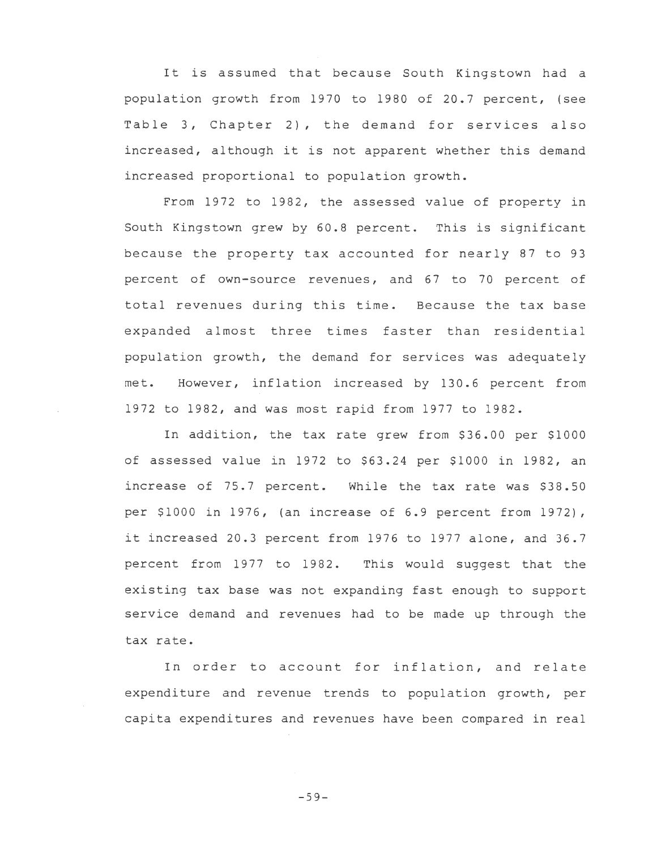It is assumed that because South Kingstown had a population growth from 1970 to 1980 of 20.7 percent, (see Table 3, Chapter 2), the demand for services also increased, although it is not apparent whether this demand increased proportional to population growth.

From 1972 to 1982, the assessed value of property in South Kingstown grew by 60.8 percent. This is significant because the property tax accounted for nearly 87 to 93 percent of own-source revenues, and 67 to 70 percent of total revenues during this time. Because the tax base expanded almost three times faster than residential population growth, the demand for services was adequately met. However, inflation increased by 130.6 percent from 1972 to 1982, and was most rapid from 1977 to 1982.

In addition, the tax rate grew from \$36.00 per \$1000 of assessed value in 1972 to \$63.24 per \$1000 in 1982, an increase of 75.7 percent. While the tax rate was \$38.50 per \$1000 in 1976, (an increase of 6.9 percent from 1972), it increased 20.3 percent from 1976 to 1977 alone, and 36.7 percent from 1977 to 1982. This would suggest that the existing tax base was not expanding fast enough to support service demand and revenues had to be made up through the tax rate.

In order to account for inflation, and relate expenditure and revenue trends to population growth, per capita expenditures and revenues have been compared in real

 $-59-$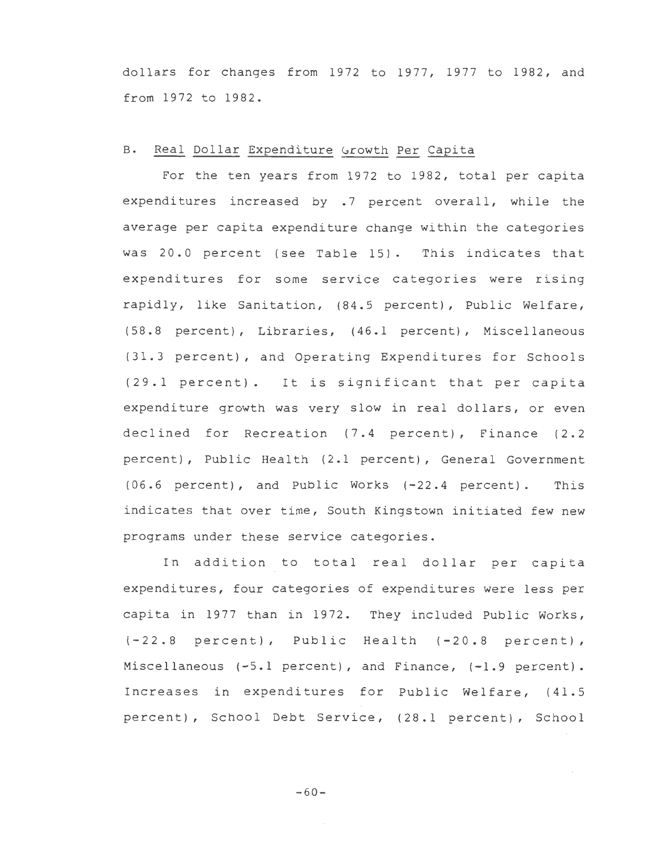dollars for changes from 1972 to 1977, 1977 to 1982, and from 1972 to 1982.

### B. Real Dollar Expenditure Growth Per Capita

For the ten years from 1972 to 1982, total per capita expenditures increased by .7 percent overall, while the average per capita expenditure change within the categories was 20.0 percent (see Table 15). This indicates that expenditures for some service categories were rising rapidly, like Sanitation, (84.5 percent), Public Welfare, (58.8 percent), Libraries, (46.1 percent), Miscellaneous (31.3 percent), and Operating Expenditures for Schools (29.1 percent). It is significant that per capita expenditure growth was very slow in real dollars, or even declined for Recreation (7.4 percent), Finance (2.2 percent), Public Health (2.1 percent), General Government (06.6 percent), and Public Works (-22.4 percent). This indicates that over time, South Kingstown initiated few new programs under these service categories.

In addition to total real dollar per capita expenditures, four categories of expenditures were less per capita in 1977 than in 1972. They included Public Works, (-22.8 percent), Public Health (-20.8 percent), Miscellaneous (-5.1 percent), and Finance, (-1.9 percent). Increases in expenditures for Public Welfare, (41.5 percent), School Debt Service, (28.1 percent), School

-60-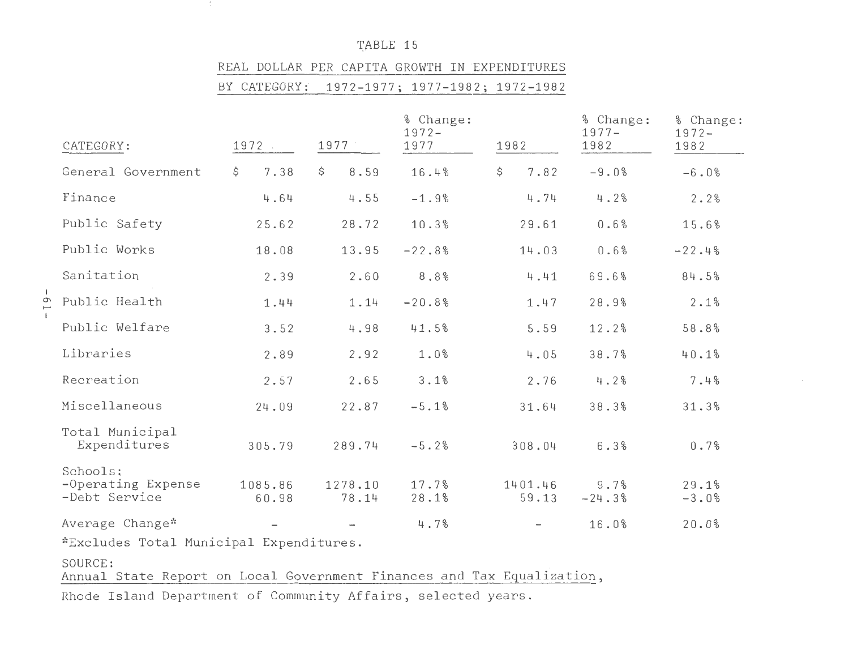TABLE 15

nt i

#### REAL DOLLAR PER CAPITA GROWTH IN 'EXPENDITURES

BY CATEGORY : 1972-1977; 1977-1982; 1972-1982

|                                                 |                  |                  | % Change:<br>$1972 -$ |                  | % Change:<br>$1977 -$ | % Change:<br>$1972 -$ |  |
|-------------------------------------------------|------------------|------------------|-----------------------|------------------|-----------------------|-----------------------|--|
| CATEGORY:                                       | 1972             | 1977             | 1977                  | 1982             | 1982                  | 1982                  |  |
| General Government                              | \$<br>7.38       | \$<br>8.59       | 16.4%                 | \$<br>7.82       | $-9.0%$               | $-6.0%$               |  |
| Finance                                         | 4.64             | 4.55             | $-1.9%$               | 4.74             | 4.2%                  | 2.2%                  |  |
| Public Safety                                   | 25.62            | 28.72            | 10.3%                 | 29.61            | 0.6%                  | 15.6%                 |  |
| Public Works                                    | 18.08            | 13.95            | $-22.8%$              | 14.03            | 0.6%                  | $-22.4%$              |  |
| Sanitation                                      | 2.39             | 2.60             | $8.8\%$               | 4.41             | 69.6%                 | 84.5%                 |  |
| Public Health                                   | 1.44             | 1.14             | $-20.8%$              | 1.47             | 28.9%                 | 2.1%                  |  |
| Public Welfare                                  | 3.52             | 4.98             | 41.5%                 | 5.59             | 12.2%                 | 58.8%                 |  |
| Libraries                                       | 2.89             | 2.92             | 1.0%                  | 4.05             | 38.7%                 | 40.1%                 |  |
| Recreation                                      | 2.57             | 2.65             | 3.1%                  | 2.76             | 4.2%                  | 7.4%                  |  |
| Miscellaneous                                   | 24.09            | 22.87            | $-5.1%$               | 31.64            | 38.3%                 | 31.3%                 |  |
| Total Municipal<br>Expenditures                 | 305.79           | 289.74           | $-5.2%$               | 308.04           | 6.3%                  | 0.7%                  |  |
| Schools:<br>-Operating Expense<br>-Debt Service | 1085.86<br>60.98 | 1278.10<br>78.14 | 17.7%<br>28.1%        | 1401.46<br>59.13 | 9.7%<br>$-24.3%$      | 29.1%<br>$-3.0%$      |  |
| Average Change*                                 |                  |                  | 4.7%                  |                  | 16.0%                 | 20.0%                 |  |
| *Excludes Total Municipal Expenditures.         |                  |                  |                       |                  |                       |                       |  |

SOURCE:

 $-0.1 -$ 

Annual State Report on Local Government Finances and Tax Equalization,

Rhode Island Department of Community Affairs, selected years.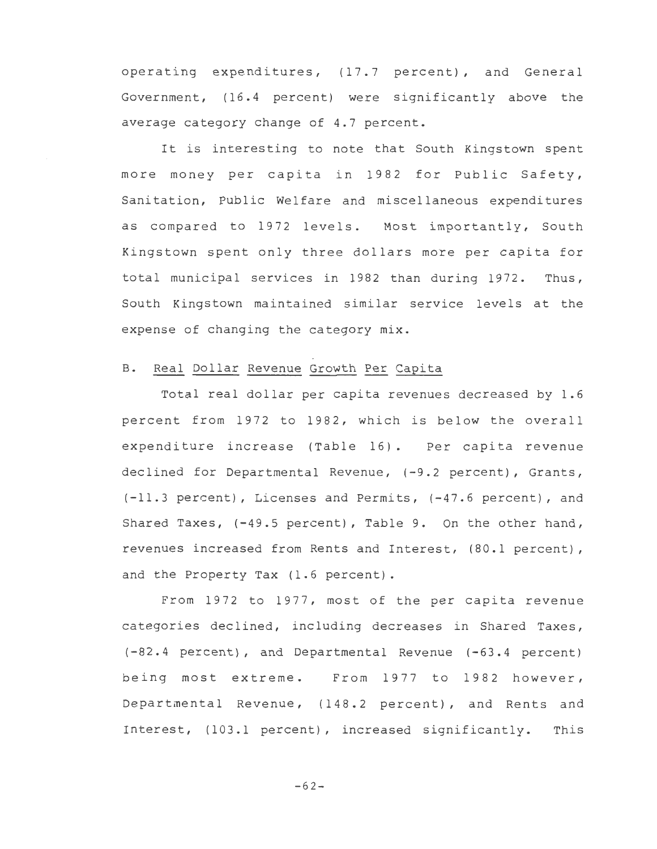operating expenditures, {17.7 percent), and General Government, {16.4 percent) were significantly above the average category change of 4.7 percent.

It is interesting to note that South Kingstown spent more money per capita in 1982 for Public Safety, Sanitation, Public Welfare and miscellaneous expenditures as compared to 1972 levels. Most importantly, South Kingstown spent only three dollars more per capita for total municipal services in 1982 than during 1972. Thus, South Kingstown maintained similar service levels at the expense of changing the category mix.

#### B. Real Dollar Revenue Growth Per Capita

Total real dollar per capita revenues decreased by 1.6 percent from 1972 to 1982, which is below the overall expenditure increase {Table 16). Per capita revenue declined for Departmental Revenue, (-9.2 percent), Grants, (-11.3 percent), Licenses and Permits, (-47.6 percent), and Shared Taxes, (-49.5 percent), Table 9. On the other hand, revenues increased from Rents and Interest, (80.l percent), and the Property Tax (1.6 percent).

From 1972 to 1977, most of the per capita revenue categories dee lined, including decreases in Shared Taxes, (-82.4 percent), and Departmental Revenue {-63.4 percent) being most extreme. From 1977 to 1982 however, Departmental Revenue, {148.2 percent), and Rents and Interest, (103.1 percent), increased significantly. This

 $-62-$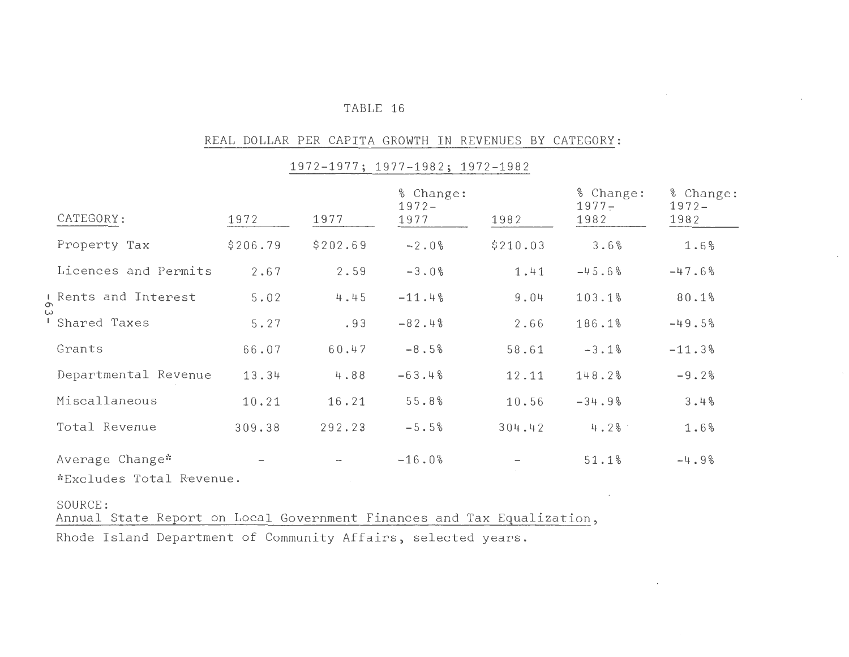#### TABLE 16

#### REAL DOLLAR PER CAPITA GROWTH IN REVENUES BY CATEGORY:

# 1972-1977; 1977-1982; 1972-1982

| CATEGORY:                                                                         | 1972                     | 1977     | % Change:<br>$1972 -$<br>1977 | 1982     | % Change:<br>$1977 -$<br>1982 | % Change:<br>$1972 -$<br>1982 |
|-----------------------------------------------------------------------------------|--------------------------|----------|-------------------------------|----------|-------------------------------|-------------------------------|
| Property Tax                                                                      | \$206.79                 | \$202.69 | $-2.0%$                       | \$210.03 | 3.6%                          | 1.6%                          |
| Licences and Permits                                                              | 2.67                     | 2.59     | $-3.0%$                       | 1.41     | $-45.6%$                      | $-47.6%$                      |
| Rents and Interest                                                                | 5.02                     | 4.45     | $-11.4%$                      | 9.04     | 103.1%                        | 80.1%                         |
| Shared Taxes                                                                      | 5.27                     | .93      | $-82.4%$                      | 2.66     | 186.1%                        | $-49.5%$                      |
| Grants                                                                            | 66.07                    | 60.47    | $-8.5%$                       | 58.61    | $-3.1%$                       | $-11.3%$                      |
| Departmental Revenue                                                              | 13.34                    | 4.88     | $-63.4%$                      | 12.11    | 148.2%                        | $-9.2%$                       |
| Miscallaneous                                                                     | 10.21                    | 16.21    | 55.8%                         | 10.56    | $-34.9%$                      | 3.4%                          |
| Total Revenue                                                                     | 309.38                   | 292.23   | $-5.5%$                       | 304.42   | 4.2%                          | 1.6%                          |
| Average Change*<br>*Excludes Total Revenue.                                       | $\overline{\phantom{m}}$ |          | $-16.0%$                      |          | 51.1%                         | $-4.9%$                       |
| SOURCE:<br>Annual State Report on Local Government Finances and Tax Equalization, |                          |          |                               |          |                               |                               |

Rhode Island Department of Community Affairs, selected years.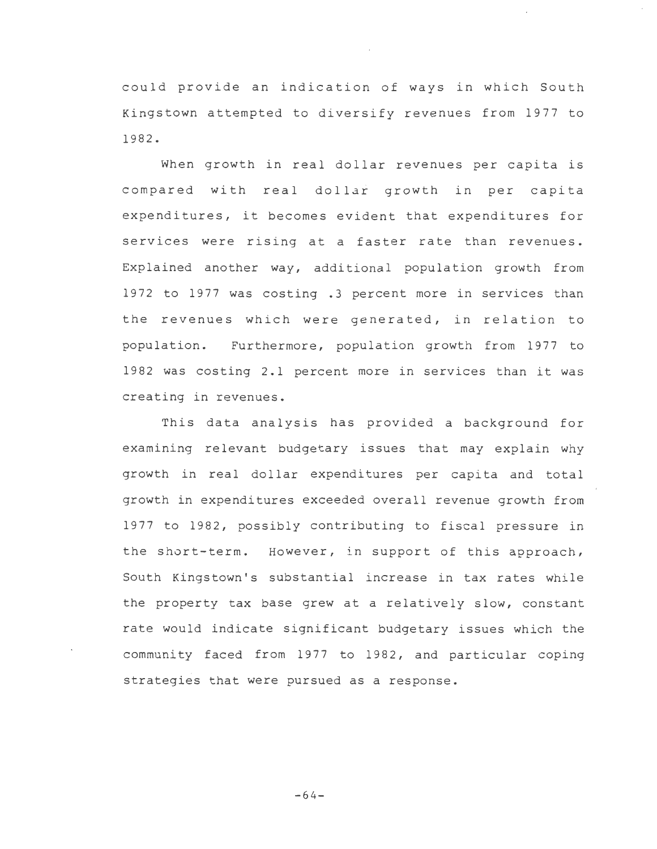could provide an indication of ways in which South Kingstown attempted to diversify revenues from 1977 to 1982.

When growth in real dollar revenues per capita is compared with real dollar growth in per capita expenditures, it becomes evident that expenditures for services were rising at a faster rate than revenues. Explained another way, additional population growth from 1972 to 1977 was costing .3 percent more in services than the revenues which were generated, in relation to population. Furthermore, population growth from 1977 to 1982 was costing 2.1 percent more in services than it was creating in revenues.

This data analysis has provided a background for examining relevant budgetary issues that may explain why growth in real dollar expenditures per capita and total growth in expenditures exceeded overall revenue growth from 1977 to 1982, possibly contributing to fiscal pressure in the short-term. However, in support of this approach, South Kingstown's substantial increase in tax rates while the property tax base grew at a relatively slow, constant rate would indicate significant budgetary issues which the community faced from 1977 to 1982, and particular coping strategies that were pursued as a response.

-64-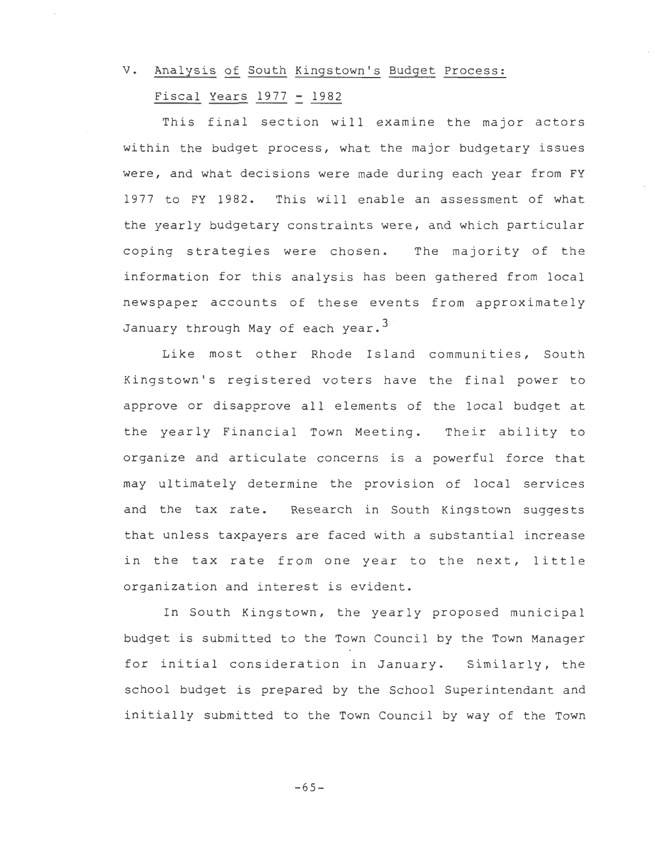## V. Analysis of South Kingstown's Budget Process:

## Fiscal Years 1977 - 1982

This final section will examine the major actors within the budget process, what the major budgetary issues were, and what decisions were made during each year from FY 1977 to FY 1982. This will enable an assessment of what the yearly budgetary constraints were, and which particular coping strategies were chosen. The majority of the information for this analysis has been gathered from local newspaper accounts of these events from approximately January through May of each year.<sup>3</sup>

Like most other Rhode Island communities, South Kingstown's registered voters have the final power to approve or disapprove all elements of the local budget at the yearly Financial Town Meeting. Their ability to organize and articulate concerns is a powerful force that may ultimately determine the provision of local services and the tax rate. Research in South Kingstown suggests that unless taxpayers are faced with a substantial increase in the tax rate from one year to the next, little organization and interest is evident.

In South Kingstown, the yearly proposed municipal budget is submitted to the Town Council by the Town Manager for initial consideration in January. Similarly, the school budget is prepared by the School Superintendant and initially submitted to the Town Council by way of the Town

 $-65-$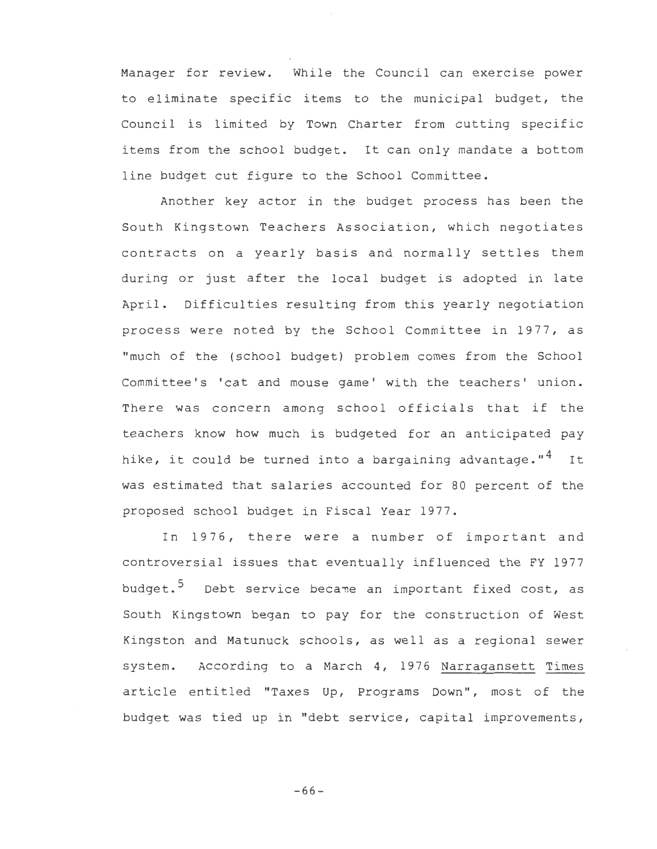Manager for review. While the Council can exercise power to eliminate specific items to the municipal budget, the Council is limited by Town Charter from cutting specific items from the school budget. It can only mandate a bottom line budget cut figure to the School Committee.

Another key actor in the budget process has been the South Kingstown Teachers Association, which negotiates contracts on a yearly basis and normally settles them during or just after the local budget is adopted in late April. Difficulties resulting from this yearly negotiation process were noted by the School Committee in 1977, as "much of the (school budget) problem comes from the School Committee's 'cat and mouse game' with the teachers' union. There was concern among school officials that if the teachers know how much is budgeted for an anticipated pay hike, it could be turned into a bargaining advantage." $4$  It was estimated that salaries accounted for 80 percent of the proposed school budget in Fiscal Year 1977.

In 1976, there were a number of important and controversial issues that eventually influenced the FY 1977 budget.<sup>5</sup> Debt service became an important fixed cost, as South Kingstown began to pay for the construction of West Kingston and Matunuck schools, as well as a regional sewer system. According to a March 4, 1976 Narragansett Times article entitled "Taxes Up, Programs Down", most of the budget was tied up in "debt service, capital improvements,

-66-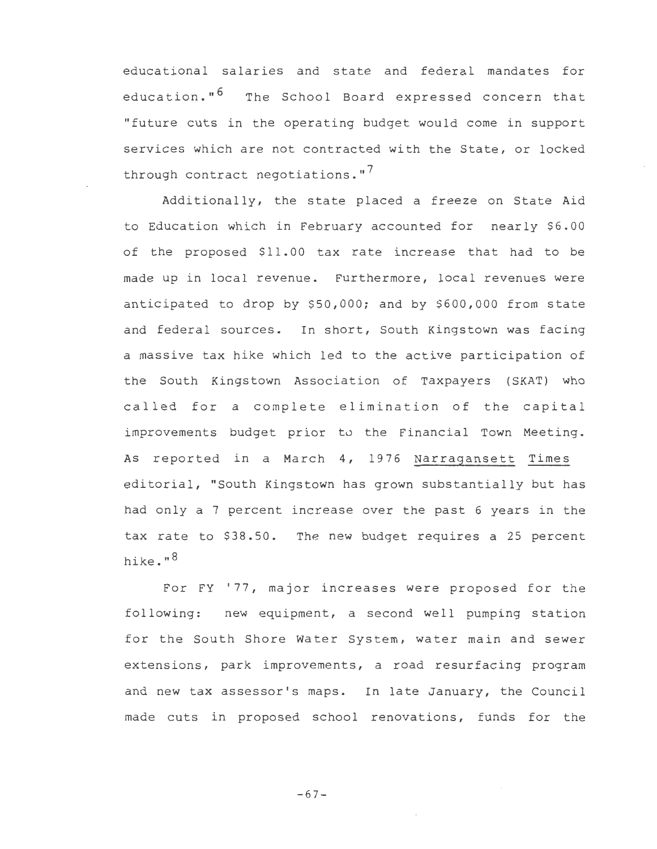educational salaries and state and federal mandates for education."<sup>6</sup> The School Board expressed concern that "future cuts in the operating budget would come in support services which are not contracted with the State, or locked through contract negotiations.  $17$ 

Additionally, the state placed a freeze on State Aid to Education which in February accounted for nearly \$6.00 of the proposed \$11.00 tax rate increase that had to be made up in local revenue. Furthermore, local revenues were anticipated to drop by \$50,000; and by \$600,000 from state and federal sources. In short, South Kingstown was facing a massive tax hike which led to the active participation of the South Kingstown Association of Taxpayers (SKAT) who called for a complete elimination of the capital improvements budget prior to the Financial Town Meeting. As reported in a March 4, 1976 Narragansett Times editorial, "South Kingstown has grown substantially but has had only a 7 percent increase over the past 6 years in the tax rate to \$38.50. The new budget requires a 25 percent hike."<sup>8</sup>

For FY '77, major increases were proposed for the following: new equipment, a second well pumping station for the South Shore Water System, water main and sewer extensions, park improvements, a road resurfacing program and new tax assessor's maps. In late January, the Council made cuts in proposed school renovations, funds for the

-67-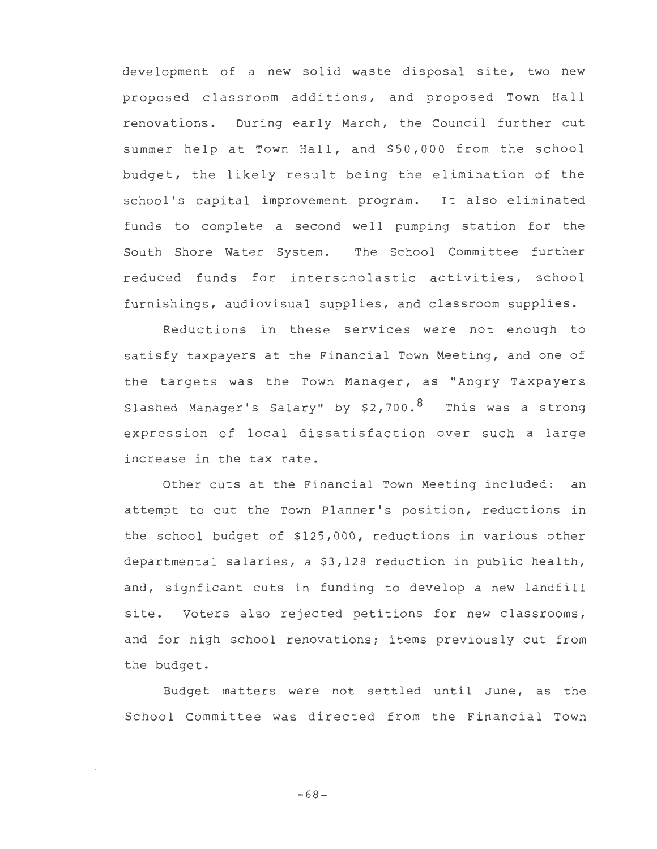development of a new solid waste disposal site, two new proposed classroom additions, and proposed Town Hall renovations. During early March, the Council further cut summer help at Town Hall, and \$50,000 from the school budget, the likely result being the elimination of the school's capital improvement program. It also eliminated funds to complete a second well pumping station for the South Shore Water System. The School Committee further reduced funds for inters cnolastic activities, school furnishings, audiovisual supplies, and classroom supplies.

Reductions in these services were not enough to satisfy taxpayers at the Financial Town Meeting, and one of the targets was the Town Manager, as "Angry Taxpayers Slashed Manager's Salary" by \$2,700.8 This was a strong expression of local dissatisfaction over such a large increase in the tax rate.

Other cuts at the Financial Town Meeting included: an attempt to cut the Town Planner's position, reductions in the school budget of \$125,000, reductions in various other departmental salaries, a \$3,128 reduction in public health, and, signficant cuts in funding to develop a new landfill site. Voters also rejected petitions for new classrooms, and for high school renovations; items previously cut from the budget.

Budget matters were not settled until June, as the School Committee was directed from the Financial Town

-68-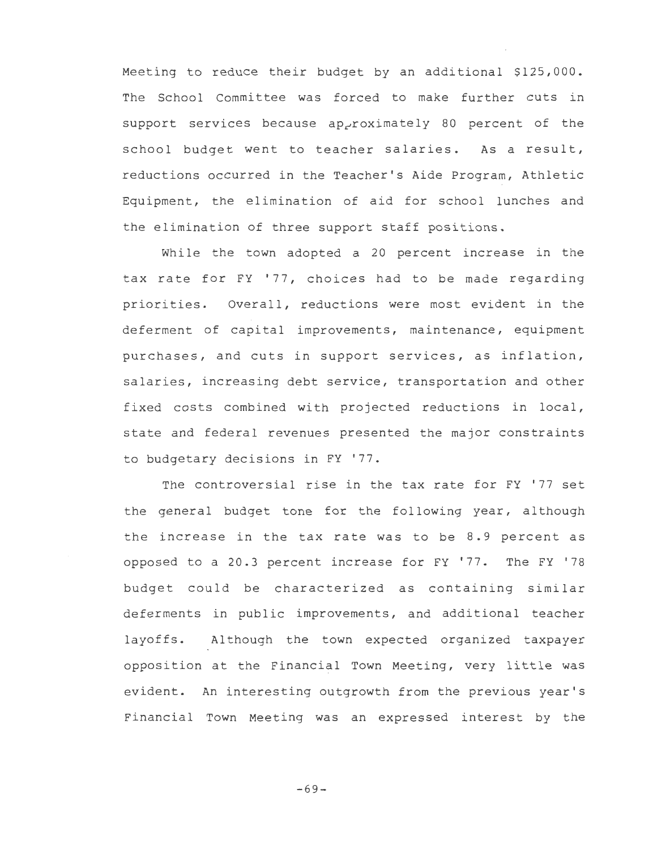Meeting to reduce their budget by an additional \$125,000. The School Committee was forced to make further cuts in support services because ap<sub>r'oximately</sub> 80 percent of the school budget went to teacher salaries. As a result, reductions occurred in the Teacher's Aide Program, Athletic Equipment, the elimination of aid for school lunches and the elimination of three support staff positions.

While the town adopted a 20 percent increase in the tax rate for FY '77, choices had to be made regarding priorities. Overall, reductions were most evident in the deferment of capital improvements, maintenance, equipment purchases, and cuts in support services, as inflation, salaries, increasing debt service, transportation and other fixed costs combined with projected reductions in local, state and federal revenues presented the major constraints to budgetary decisions in FY '77.

The controversial rise in the tax rate for FY '77 set the general budget tone for the following year, although the increase in the tax rate was to be 8.9 percent as opposed to a 20.3 percent increase for FY '77. The FY '78 budget could be characterized as containing similar deferments in public improvements, and additional teacher layoffs. Al though the town expected organized taxpayer opposition at the Financial Town Meeting, very little was evident. An interesting outgrowth from the previous year's Financial Town Meeting was an expressed interest by the

 $-69-$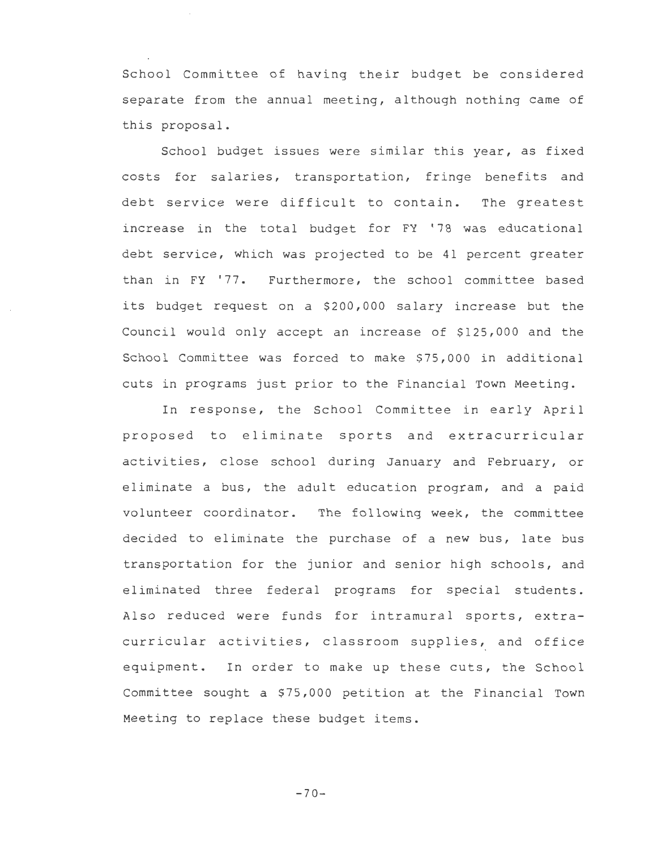School Committee of having their budget be considered separate from the annual meeting, although nothing came of this proposal.

School budget issues were similar this year, as fixed costs for salaries, transportation, fringe benefits and debt service were difficult to contain. The greatest increase in the total budget for FY '78 was educational debt service, which was projected to be 41 percent greater than in FY '77. Furthermore, the school committee based its budget request on a \$200,000 salary increase but the Council would only accept an increase of \$125,000 and the School Committee was forced to make \$75,000 in additional cuts in programs just prior to the Financial Town Meeting.

In response, the School Committee in early April proposed to eliminate sports and extracurricular activities, close school during January and February, or eliminate a bus, the adult education program, and a paid volunteer coordinator. The following week, the committee decided to eliminate the purchase of a new bus, late bus transportation for the junior and senior high schools, and eliminated three federal programs for special students. Also reduced were funds for intramural sports, extracurricular activities, classroom supplies, and office equipment. In order to make up these cuts, the School Committee sought a \$75,000 petition at the Financial Town Meeting to replace these budget items.

 $-70-$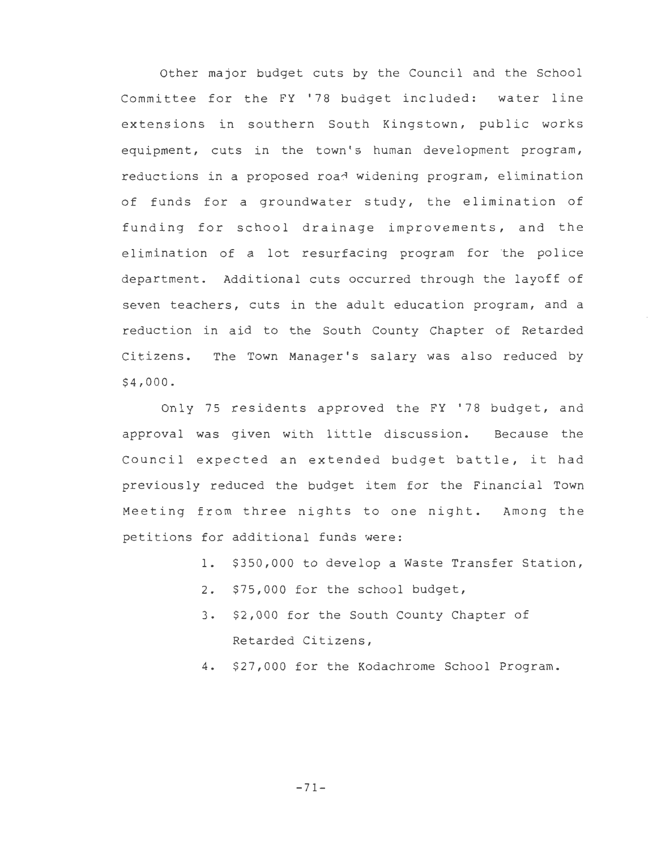Other major budget cuts by the Council and the School Committee for the FY '78 budget included: water line extensions in southern South Kingstown, public works equipment, cuts in the town's human development program, reductions in a proposed road widening program, elimination of funds for a groundwater study, the elimination of funding for school drainage improvements, and the elimination of a lot resurfacing program for the police department. Additional cuts occurred through the layoff of seven teachers, cuts in the adult education program, and a reduction in aid to the South County Chapter of Retarded Citizens. The Town Manager's salary was also reduced by \$4,000.

Only 75 residents approved the FY '78 budget, and approval was given with little discussion. Because the Council expected an extended budget battle, it had previously reduced the budget item for the Financial Town Meeting from three nights to one night. Among the petitions for additional funds were:

- 1. \$350,000 to develop a Waste Transfer Station,
- 2. \$75,000 for the school budget,
- 3. \$2,000 for the South County Chapter of Retarded Citizens,
- 4. \$27,000 for the Kodachrome School Program.

-71-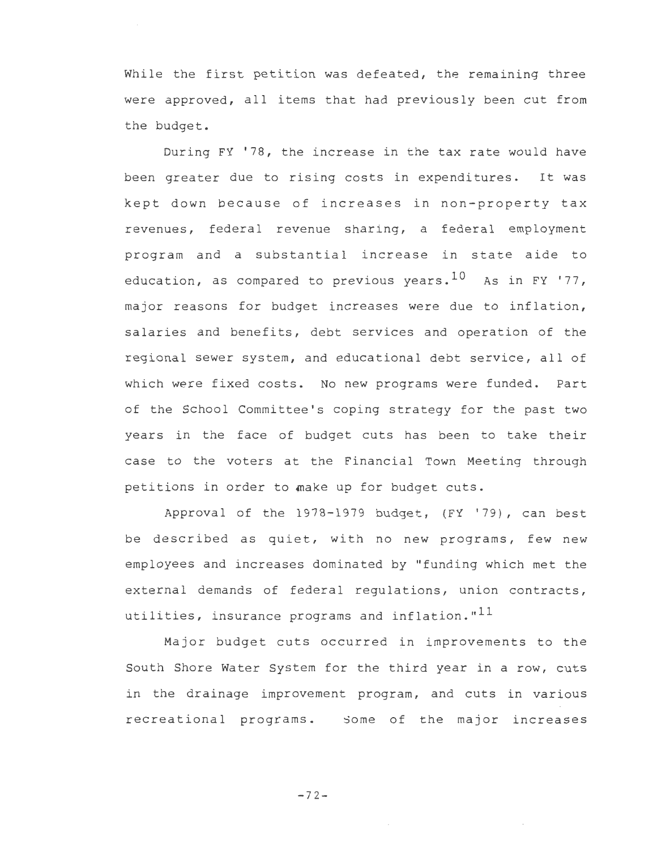While the first petition was defeated, the remaining three were approved, all items that had previously been cut from the budget.

During FY '78, the increase in the tax rate would have been greater due to rising costs in expenditures. It was kept down because of increases in non-property tax revenues, federal revenue sharing, a federal employment program and a substantial increase in state aide to education, as compared to previous years.  $10$  As in FY '77, major reasons for budget increases were due to inflation, salaries and benefits, debt services and operation of the regional sewer system, and educational debt service, all of which were fixed costs. No new programs were funded. Part of the School Committee's coping strategy for the past two years in the face of budget cuts has been to take their case to the voters at the Financial Town Meeting through petitions in order to make up for budget cuts.

Approval of the 1978-1979 budget, (FY '79), can best be described as quiet, with no new programs, few new employees and increases dominated by "funding which met the external demands of federal regulations, union contracts, utilities, insurance programs and inflation." $^{11}$ 

Major budget cuts occurred in improvements to the South Shore Water System for the third year in a row, cuts in the drainage improvement program, and cuts in various recreational programs. Some of the major increases

 $-72-$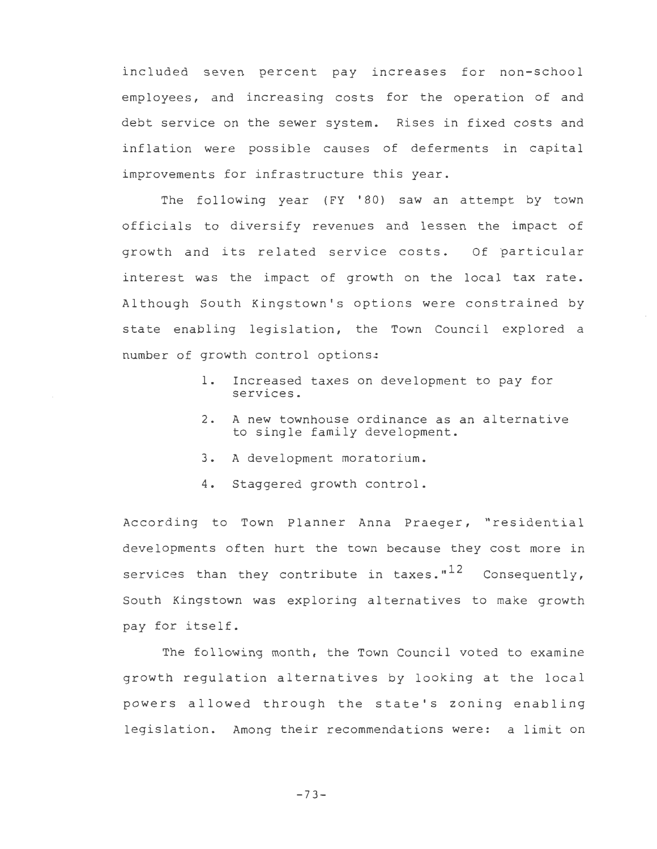included seven percent pay increases for non-school employees, and increasing costs for the operation of and debt service on the sewer system. Rises in fixed costs and inflation were possible causes of deferments in capital improvements for infrastructure this year.

The following year (FY '80) saw an attempt by town officials to diversify revenues and lessen the impact of growth and its related service costs. Of particular interest was the impact of growth on the local tax rate. Although South Kingstown's options were constrained by state enabling legislation, the Town Council explored a number of growth control options:

- 1. Increased taxes on development to pay for services.
- 2. A new townhouse ordinance as an alternative to single family development.
- 3. A development moratorium.
- 4. Staggered growth control.

According to Town Planner Anna Praeger, "residential developments often hurt the town because they cost more in services than they contribute in taxes." $12$  Consequently, South Kingstown was exploring alternatives to make growth pay for itself.

The following month, the Town Council voted to examine growth regulation alternatives by looking at the local powers allowed through the state's zoning enabling legislation. Among their recommendations were: a limit on

 $-73-$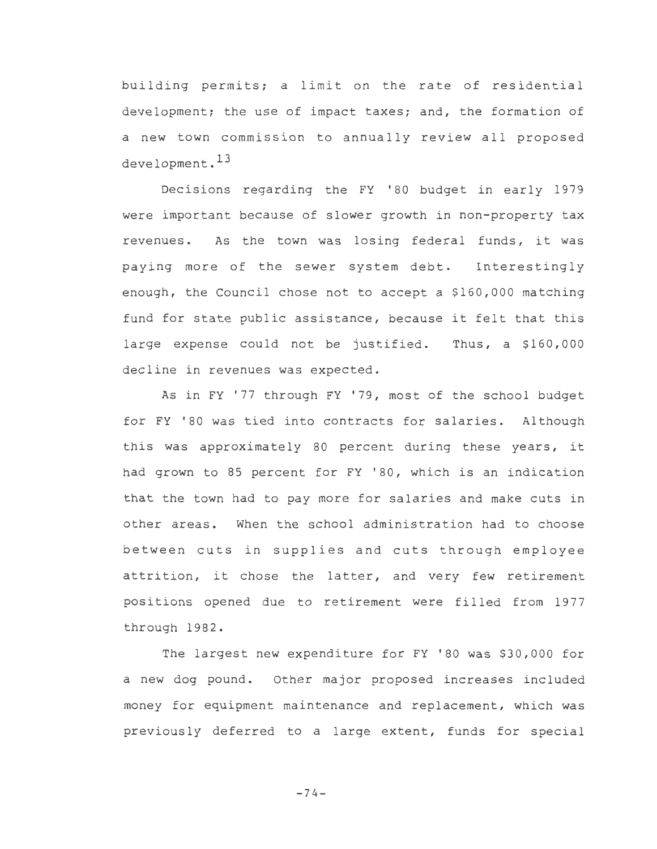building permits; a limit on the rate of residential development; the use of impact taxes; and, the formation of a new town commission to annually review all proposed development. 13

Decisions regarding the FY '80 budget in early 1979 were important because of slower growth in non-property tax revenues. As the town was losing federal funds, it was paying more of the sewer system debt. Interestingly enough, the Council chose not to accept a \$160,000 matching fund for state public assistance, because it felt that this large expense could not be justified. Thus, a \$160,000 decline in revenues was expected.

As in FY '77 through FY '79, most of the school budget for FY '80 was tied into contracts for salaries. Although this was approximately 80 percent during these years, it had grown to 85 percent for FY '80, which is an indication that the town had to pay more for salaries and make cuts in other areas. When the school administration had to choose between cuts in supplies and cuts through employee attrition, it chose the latter, and very few retirement positions opened due to retirement were filled from 1977 through 1982.

The largest new expenditure for FY '80 was \$30,000 for a new dog pound. Other major proposed increases included money for equipment maintenance and replacement, which was previously deferred to a large extent, funds for special

 $-74-$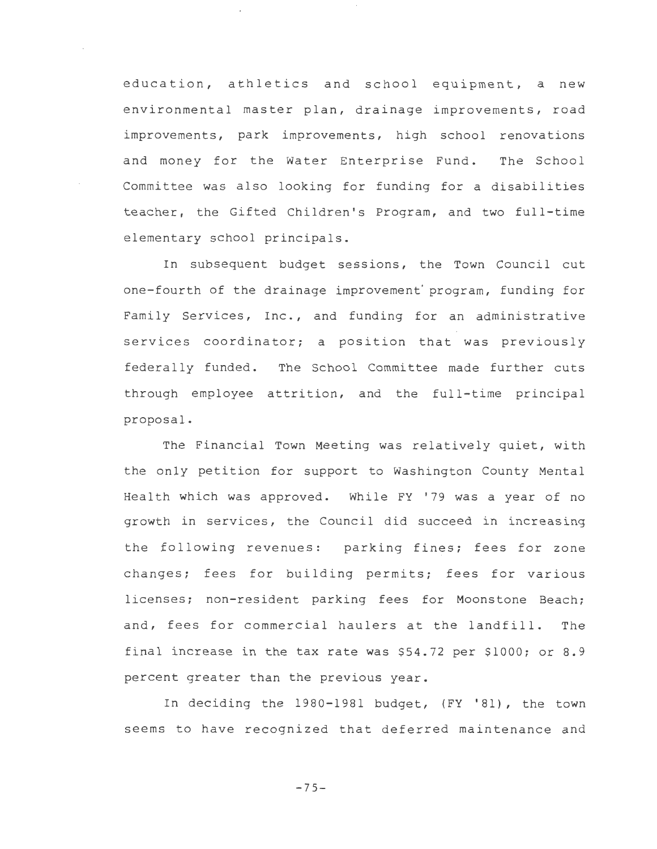education, athletics and school equipment, a new environmental master plan, drainage improvements, road improvements, park improvements, high school renovations and money for the Water Enterprise Fund. The School Committee was also looking for funding for a disabilities teacher, the Gifted Children's Program, and two full-time elementary school principals.

In subsequent budget sessions, the Town Council cut one-fourth of the drainage improvement' program, funding for Family Services, Inc., and funding for an administrative services coordinator; a position that was previously federally funded. The School Committee made further cuts through employee attrition, and the full-time principal proposal.

The Financial Town Meeting was relatively quiet, with the only petition for support to Washington County Mental Health which was approved. While FY '79 was a year of no growth in services, the Council did succeed in increasing the following revenues: parking fines; fees for zone changes; fees for building permits; fees for various licenses; non-resident parking fees for Moonstone Beach; and, fees for commercial haulers at the landfill. The final increase in the tax rate was \$54.72 per \$1000; or 8.9 percent greater than the previous year.

In deciding the 1980-1981 budget, (FY '81), the town seems to have recognized that deferred maintenance and

 $-75-$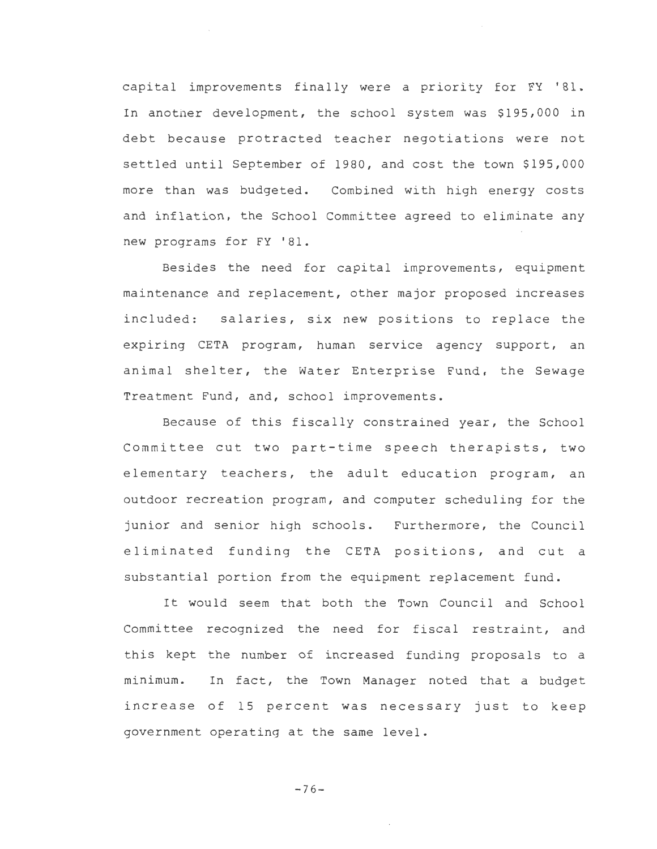capital improvements finally were a priority for FY '81. In another development, the school system was \$195,000 in debt because protracted teacher negotiations were not settled until September of 1980, and cost the town \$195,000 more than was budgeted. Combined with high energy costs and inflation, the School Committee agreed to eliminate any new programs for FY '81.

Besides the need for capital improvements, equipment maintenance and replacement, other major proposed increases included: salaries, six new positions to replace the expiring CETA program, human service agency support, an animal shelter, the Water Enterprise Fund, the Sewage Treatment Fund, and, school improvements.

Because of this fiscally constrained year, the School Committee cut two part-time speech therapists, two elementary teachers, the adult education program, an outdoor recreation program, and computer scheduling for the junior and senior high schools. Furthermore, the Council eliminated funding the CETA positions, and cut a substantial portion from the equipment replacement fund.

It would seem that both the Town Council and School Committee recognized the need for fiscal restraint, and this kept the number of increased funding proposals to a minimum. In fact, the Town Manager noted that a budget increase of 15 percent was necessary just to keep government operating at the same level.

 $-76-$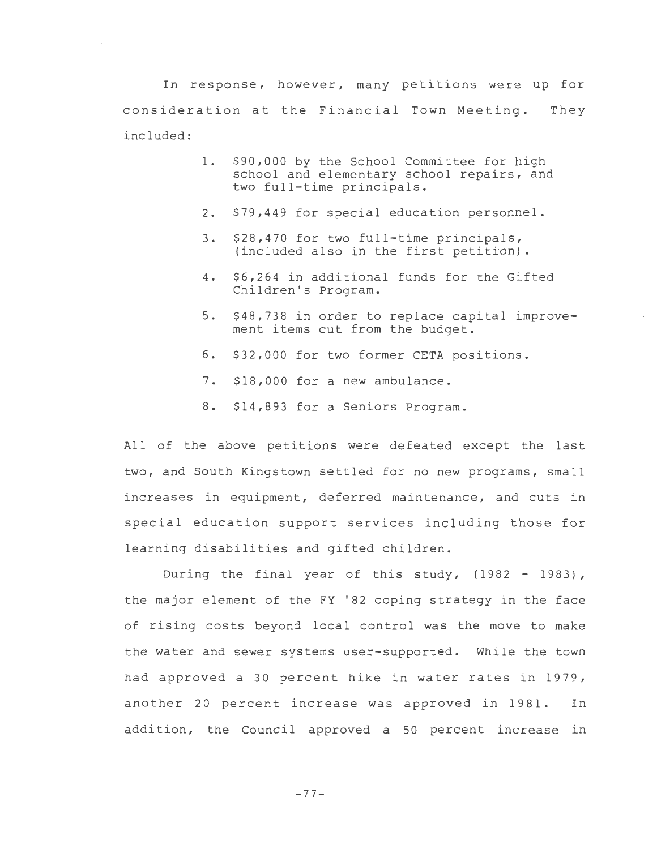In response, however, many petitions were up for consideration at the Financial Town Meeting. They included:

- 1. \$90,000 by the School Committee for high school and elementary school repairs, and two full-time principals.
- 2. \$79,449 for special education personnel.
- 3. \$28,470 for two full-time principals, (included also in the first petition).
- 4. \$6,264 in additional funds for the Gifted Children's Program.
- 5. \$48,738 in order to replace capital improvement items cut from the budget.
- 6. \$32,000 for two former CETA positions.
- 7. \$18,000 for a new ambulance.
- 8. \$14,893 for a Seniors Program.

All of the above petitions were defeated except the last two, and South Kingstown settled for no new programs, small increases in equipment, deferred maintenance, and cuts in special education support services including those for learning disabilities and gifted children.

During the final year of this study, (1982 - 1983), the major element of the FY '82 coping strategy in the face of rising costs beyond local control was the move to make the water and sewer systems user-supported. While the town had approved a 30 percent hike in water rates in 1979, another 20 percent increase was approved in 1981. In addition, the Council approved a 50 percent increase in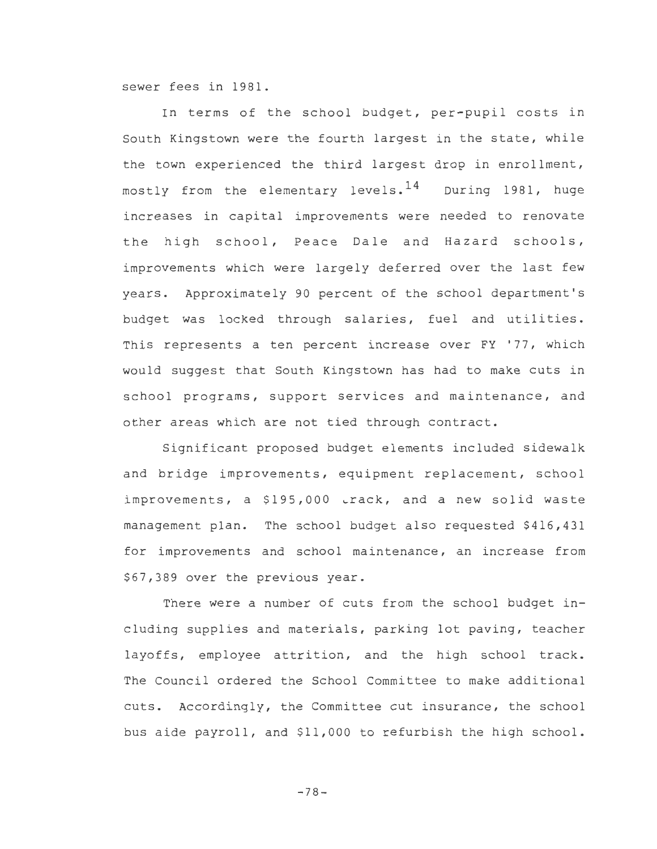sewer fees in 1981.

In terms of the school budget, per-pupil costs in South Kingstown were the fourth largest in the state, while the town experienced the third largest drop in enrollment, mostly from the elementary levels.  $14$  During 1981, huge increases in capital improvements were needed to renovate the high school, Peace Dale and Hazard schools, improvements which were largely deferred over the last few years. Approximately 90 percent of the school department's budget was locked through salaries, fuel and utilities. This represents a ten percent increase over FY '77, which would suggest that South Kingstown has had to make cuts in school programs, support services and maintenance, and other areas which are not tied through contract.

Significant proposed budget elements included sidewalk and bridge improvements, equipment replacement, school improvements, a \$195,000 track, and a new solid waste management plan. The school budget also requested \$416,431 for improvements and school maintenance, an increase from \$67,389 over the previous year.

There were a number of cuts from the school budget including supplies and materials, parking lot paving, teacher layoffs, employee attrition, and the high school track. The Council ordered the School Committee to make additional cuts. Accordingly, the Committee cut insurance, the school bus aide payroll, and \$11,000 to refurbish the high school.

-78-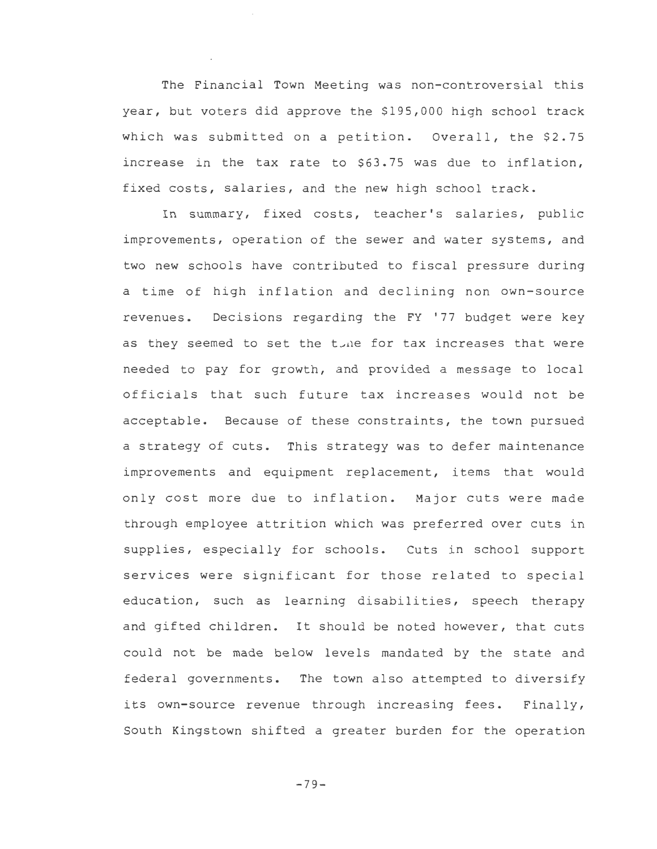The Financial Town Meeting was non-controversial this year, but voters did approve the \$195,000 high school track which was submitted on a petition. Overall, the \$2.75 increase in the tax rate to \$63. 75 was due to inflation, fixed costs, salaries, and the new high school track.

In summary, fixed costs, teacher's salaries, public improvements, operation of the sewer and water systems, and two new schools have contributed to fiscal pressure during a time of high inflation and declining non own-source revenues. Decisions regarding the FY '77 budget were key as they seemed to set the tone for tax increases that were needed to pay for growth, and provided a message to local officials that such future tax increases would not be acceptable. Because of these constraints, the town pursued a strategy of cuts. This strategy was to defer maintenance improvements and equipment replacement, items that would only cost more due to inflation. Major cuts were made through employee attrition which was preferred over cuts in supplies, especially for schools. Cuts in school support services were significant for those related to special education, such as learning disabilities, speech therapy and gifted children. It should be noted however, that cuts could not be made below levels mandated by the state and federal governments. The town also attempted to diversify its own-source revenue through increasing fees. Finally, South Kingstown shifted a greater burden for the operation

 $-79-$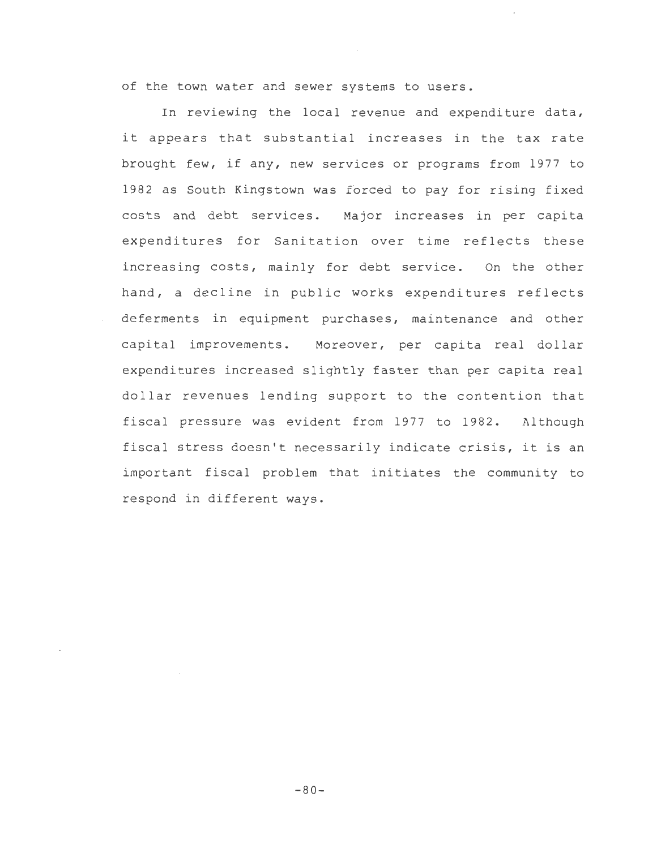of the town water and sewer systems to users.

In reviewing the local revenue and expenditure data, it appears that substantial increases in the tax rate brought few, if any, new services or programs from 1977 to 1982 as South Kingstown was £6rced to pay for rising fixed costs and debt services. Major increases in per capita expenditures for Sanitation over time reflects these increasing costs, mainly for debt service. On the other hand, a decline in public works expenditures reflects deferments in equipment purchases, maintenance and other capital improvements. Moreover, per capita real dollar expenditures increased slightly faster than per capita real dollar revenues lending support to the contention that fiscal pressure was evident from 1977 to 1982. Although fiscal stress doesn't necessarily indicate crisis, it is an important fiscal problem that initiates the community to respond in different ways.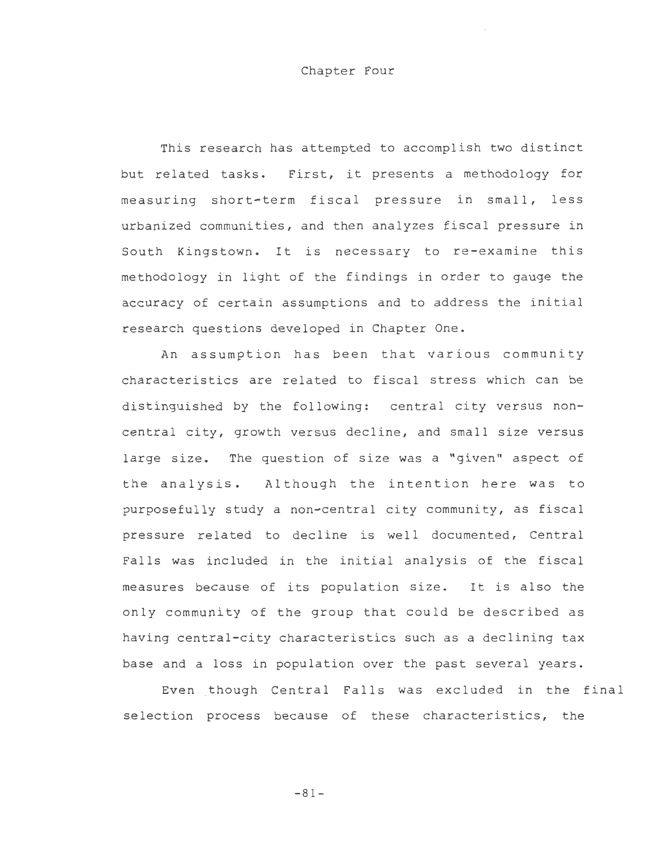### Chapter Four

This research has attempted to accomplish two distinct but related tasks. First, it presents a methodology for measuring short-term fiscal pressure in small, less urbanized communities, and then analyzes fiscal pressure in South Kingstown. It is necessary to re-examine this methodology in light of the findings in order to gauge the accuracy of certain assumptions and to address the initial research questions developed in Chapter One.

An assumption has been that various community characteristics are related to fiscal stress which can be distinguished by the following: central city versus noncentral city, growth versus decline, and small size versus large size. The question of size was a "given" aspect of the analysis. Although the intention here was to purposefully study a non-central city community, as fiscal pressure related to decline is well documented, Central Falls was included in the initial analysis of the fiscal measures because of its population size. It is also the only community of the group that could be described as having central-city characteristics such as a declining tax base and a loss in population over the past several years.

Even though Central Falls was excluded in the final selection process because of these characteristics, the

-81-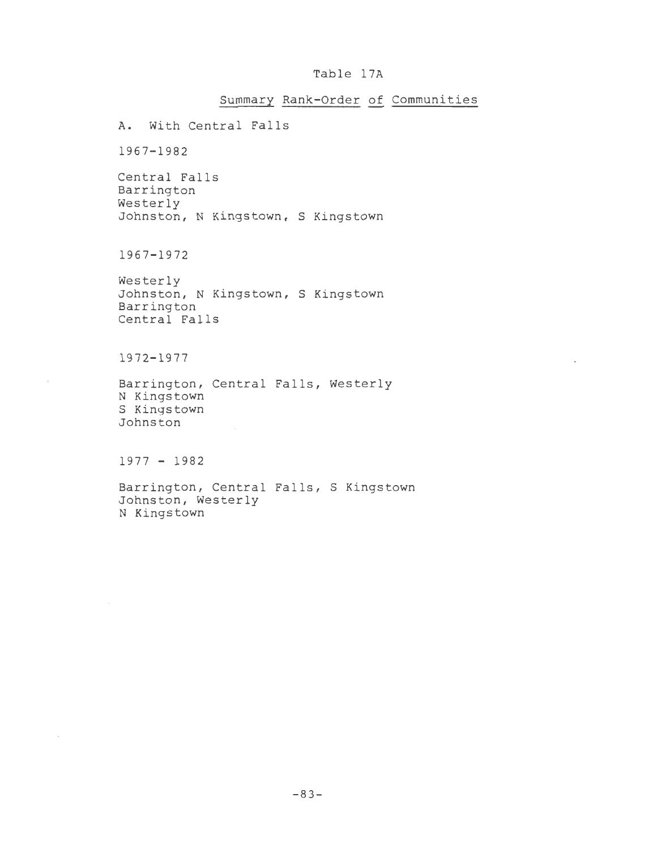## Table 17A

# Summary Rank-Order of Communities

A. With Central Falls

1967-1982

Central Falls Barrington Westerly Johnston, N Kingstown, S Kingstown

1967-1972

Westerly Johnston, N Kingstown, S Kingstown Barrington Central Falls

1972-1977

Barrington, Central Falls, Westerly N Kingstown S Kingstown Johnston

1977 - 1982

 $\lambda$ 

Barrington, Central Falls, S Kingstown Johnston, Westerly N Kingstown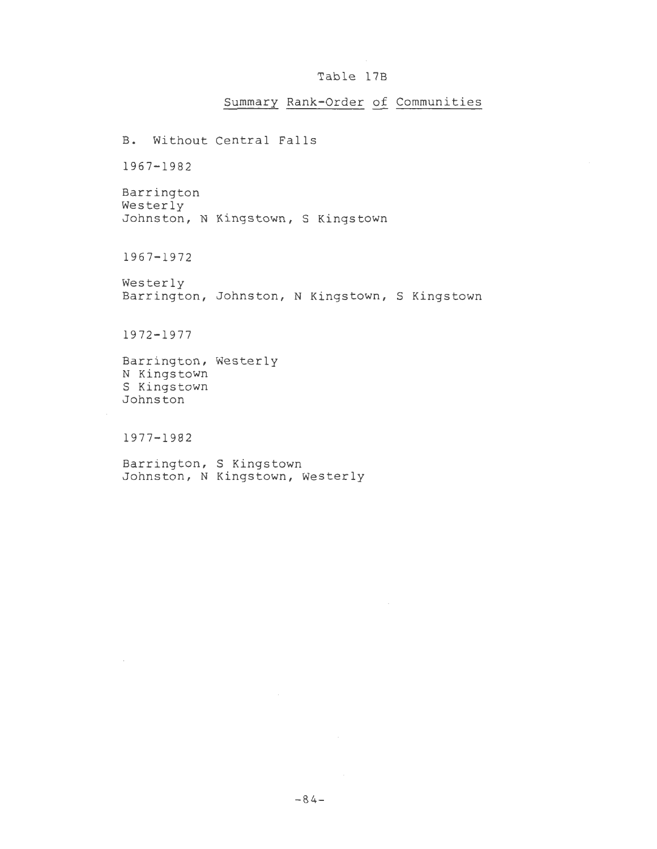### Table 17B

Summary Rank-Order of Communities

B. Without Central Falls 1967-1982 Barrington Westerly Johnston, N Kingstown, S Kingstown 1967-1972 Westerly Barrington, Johnston, N Kingstown, S Kingstown 1972-1977 Barrington, Westerly N Kingstown S Kingstown Johnston 1977-1982 Barrington, S Kingstown

Johnston, N Kingstown, Westerly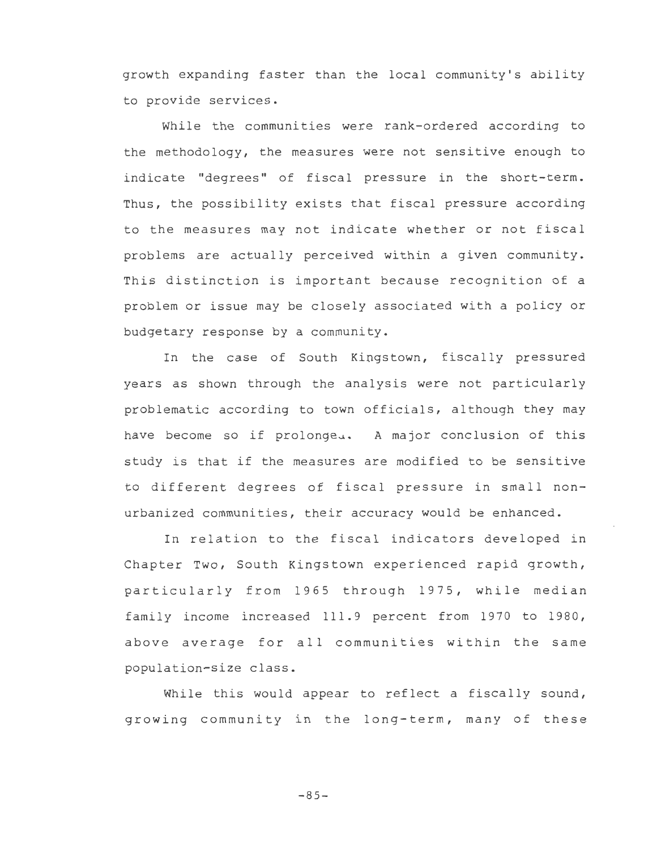growth expanding faster than the local community's ability to provide services.

While the communities were rank-ordered according to the methodology, the measures were not sensitive enough to indicate "degrees" of fiscal pressure in the short-term. Thus, the possibility exists that fiscal pressure according to the measures may not indicate whether or not fiscal problems are actually perceived within a given community. This distinction is important because recognition of a problem or issue may be closely associated with a policy or budgetary response by a community.

In the case of South Kingstown, fiscally pressured years as shown through the analysis were not particularly problematic according to town officials, although they may have become so if prolonge.. A major conclusion of this study is that if the measures are modified to be sensitive to different degrees of fiscal pressure in small nonurbanized communities, their accuracy would be enhanced.

In relation to the fiscal indicators developed in Chapter Two, South Kingstown experienced rapid growth, particularly from 1965 through 1975, while median family income increased 111.9 percent from 1970 to 1980, above average for all communities within the same population-size class.

While this would appear to reflect a fiscally sound, growing community in the long-term, many of these

 $-85-$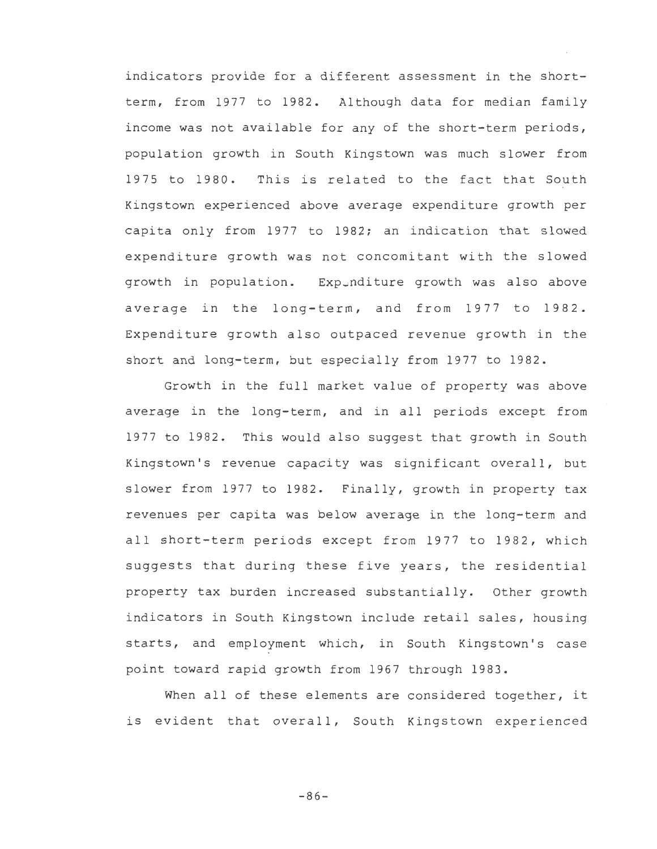indicators provide for a different assessment in the shortterm, from 1977 to 1982. Although data for median family income was not available for any of the short-term periods, population growth in South Kingstown was much slower from 1975 to 1980. This is related to the fact that South Kingstown experienced above average expenditure growth per capita only from 1977 to 1982; an indication that slowed expenditure growth was not concomitant with the slowed growth in population. Expunditure growth was also above average in the long-term, and from 1977 to 1982. Expenditure growth also outpaced revenue growth in the short and long-term, but especially from 1977 to 1982.

Growth in the full market value of property was above average in the long-term, and in all periods except from 1977 to 1982. This would also suggest that growth in South Kingstown's revenue capacity was significant overall, but slower from 1977 to 1982. Finally, growth in property tax revenues per capita was below average in the long-term and all short-term periods except from 1977 to 1982, which suggests that during these five years, the residential property tax burden increased substantially. Other growth indicators in South Kingstown include retail sales, housing starts, and employment which, in South Kingstown's case point toward rapid growth from 1967 through 1983.

When all of these elements are considered together, it is evident that overall, South Kingstown experienced

 $-86-$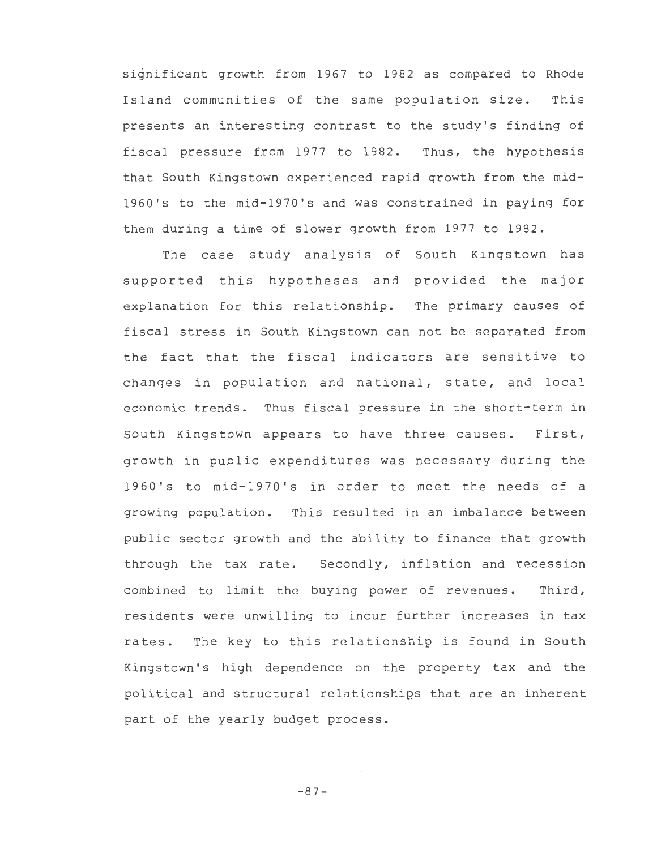significant growth from 1967 to 1982 as compared to Rhode Island communities of the same population size. This presents an interesting contrast to the study's finding of fiscal pressure from 1977 to 1982. Thus, the hypothesis that South Kingstown experienced rapid growth from the mid-1960's to the mid-1970's and was constrained in paying for them during a time of slower growth from 1977 to 1982.

The case study analysis of South Kingstown has supported this hypotheses and provided the major explanation for this relationship. The primary causes of fiscal stress in South Kingstown can not be separated from the fact that the fiscal indicators are sensitive to changes in population and national, state, and local economic trends. Thus fiscal pressure in the short-term in South Kingstown appears to have three causes. First, growth in public expenditures was necessary during the 1960's to mid-1970's in order to meet the needs of a growing population. This resulted in an imbalance between public sector growth and the ability to finance that growth through the tax rate. Secondly, inflation and recession combined to limit the buying power of revenues. Third, residents were unwilling to incur further increases in tax rates. The key to this relationship is found in South Kingstown's high dependence on the property tax and the political and structural relationships that are an inherent part of the yearly budget process.

-87-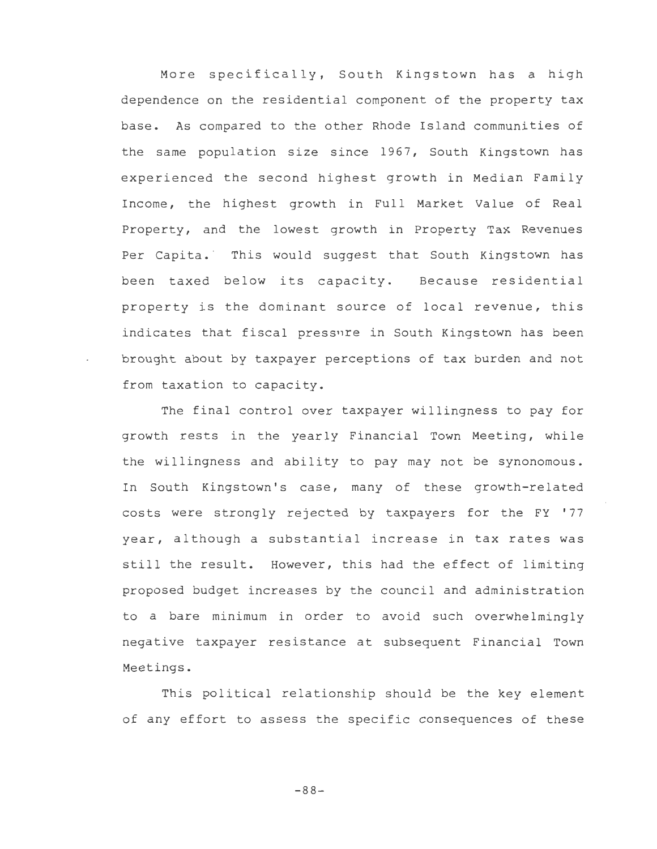More specifically, South Kingstown has a high dependence on the residential component of the property tax base. As compared to the other Rhode Island communities of the same population size since 1967, South Kingstown has experienced the second highest growth in Median Family Income, the highest growth in Full Market Value of Real Property, and the lowest growth in Property Tax Revenues Per Capita. This would suggest that South Kingstown has been taxed below its capacity. Because residential property is the dominant source of local revenue, this indicates that fiscal pressure in South Kingstown has been brought about by taxpayer perceptions of tax burden and not from taxation to capacity.

The final control over taxpayer willingness to pay for growth rests in the yearly Financial Town Meeting, while the willingness and ability to pay may not be synonomous. In South Kingstown's case, many of these growth-related costs were strongly rejected by taxpayers for the FY '77 year, although a substantial increase in tax rates was still the result. However, this had the effect of limiting proposed budget increases by the council and administration to a bare minimum in order to avoid such overwhelmingly negative taxpayer resistance at subsequent Financial Town Meetings.

This political relationship should be the key element of any effort to assess the specific consequences of these

-88-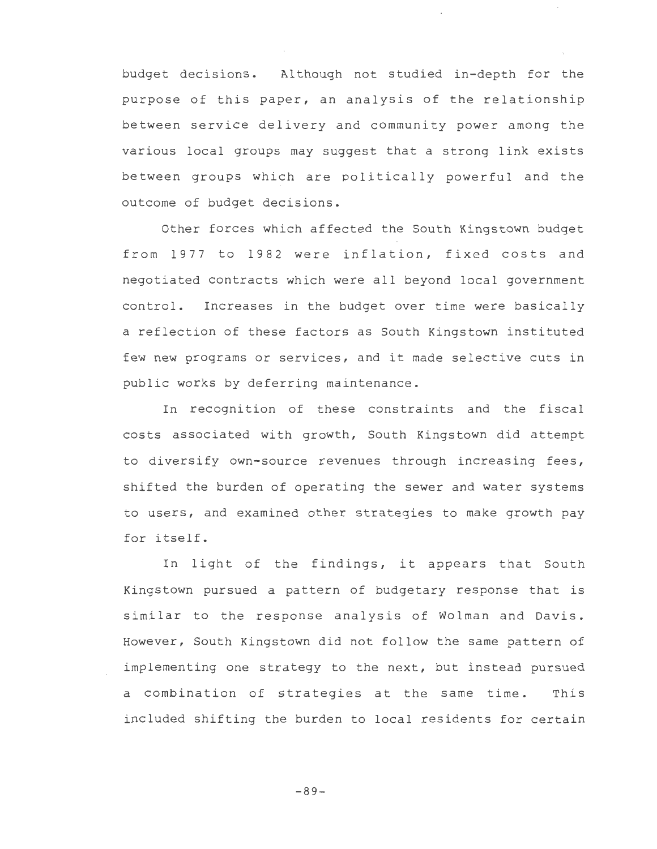budget decisions. Al though not studied in-depth for the purpose of this paper, an analysis of the relationship between service delivery and community power among the various local groups may suggest that a strong link exists between groups which are politically powerful and the outcome of budget decisions.

Other forces which affected the South Kingstown budget from 1977 to 1982 were inflation, fixed costs and negotiated contracts which were all beyond local government control. Increases in the budget over time were basically a reflection of these factors as South Kingstown instituted few new programs or services, and it made selective cuts in public works by deferring maintenance.

In recognition of these constraints and the fiscal costs associated with growth, South Kingstown did attempt to diversify own-source revenues through increasing fees, shifted the burden of operating the sewer and water systems to users, and examined other strategies to make growth pay for itself.

In light of the findings, it appears that South Kingstown pursued a pattern of budgetary response that is similar to the response analysis of Wolman and Davis. However, South Kingstown did not follow the same pattern of implementing one strategy to the next, but instead pursued a combination of strategies at the same time. This included shifting the burden to local residents for certain

-89-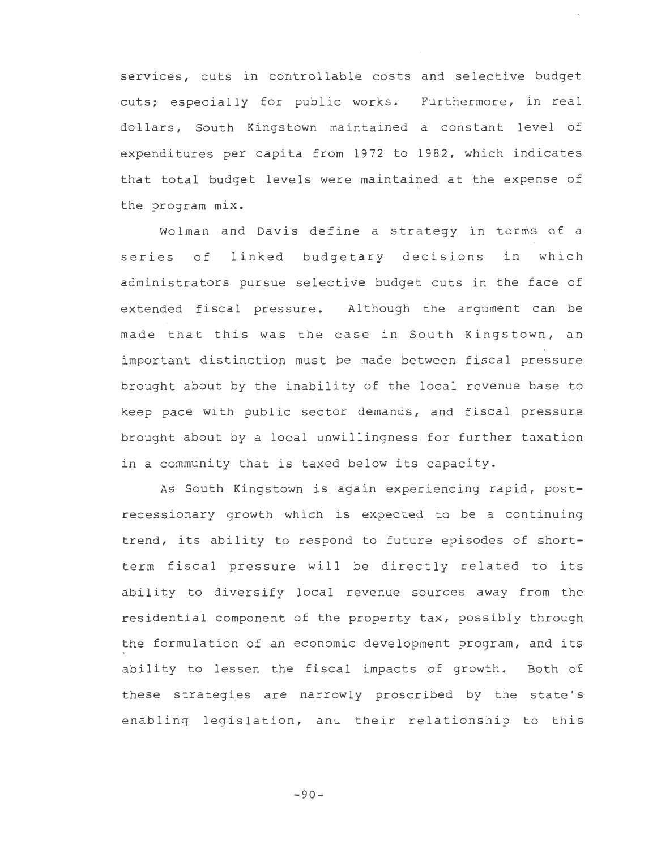services, cuts in controllable costs and selective budget cuts; especially for public works. Furthermore, in real dollars, South Kingstown maintained a constant level of expenditures per capita from 1972 to 1982, which indicates that total budget levels were maintained at the expense of the program mix.

Wolman and Davis define a strategy in terms of a series of linked budgetary decisions in which administrators pursue selective budget cuts in the face of extended fiscal pressure. Although the argument can be made that this was the case in South Kingstown, an important distinction must be made between fiscal pressure brought about by the inability of the local revenue base to keep pace with public sector demands, and fiscal pressure brought about by a local unwillingness for further taxation in a community that is taxed below its capacity.

As South Kingstown is again experiencing rapid, postrecessionary growth which is expected to be a continuing trend, its ability to respond to future episodes of shortterm fiscal pressure will be directly related to its ability to diversify local revenue sources away from the residential component of the property tax, possibly through the formulation of an economic development program, and its ability to lessen the fiscal impacts of growth. Both of these strategies are narrowly proscribed by the state's enabling legislation, and their relationship to this

 $-90-$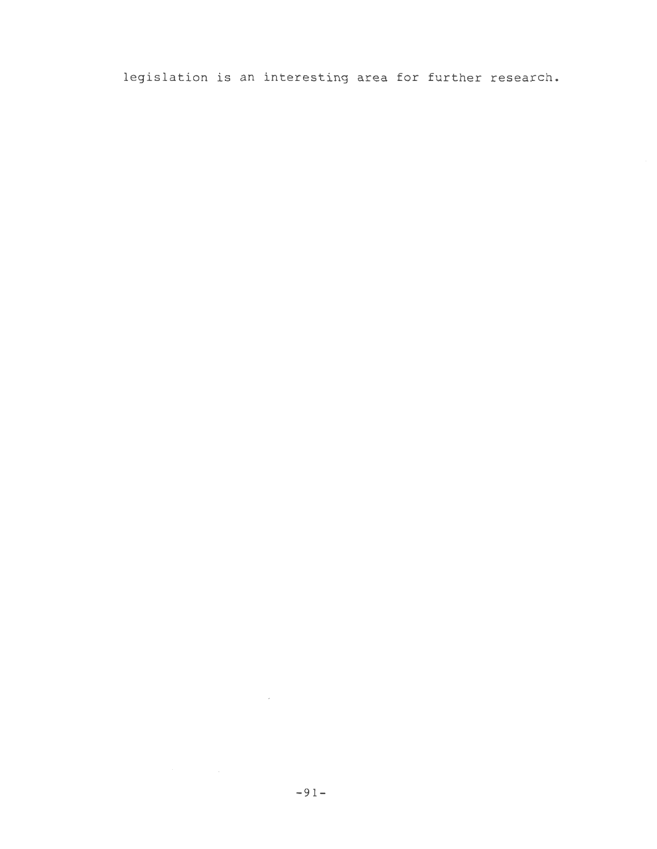legislation is an interesting area for further research.

 $\mathcal{L}^{\text{max}}_{\text{max}}$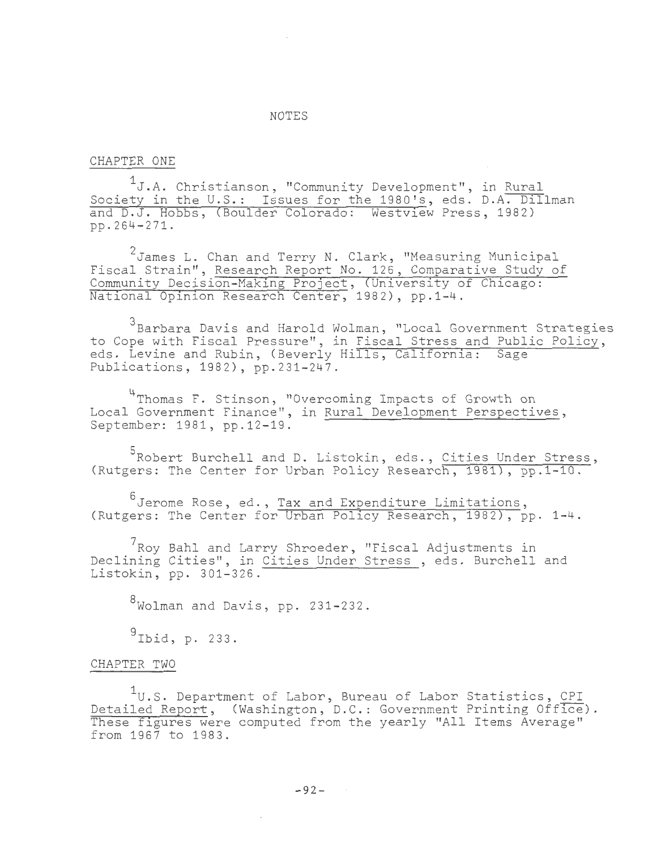#### NOTES

### CHAPTER ONE

 $^1$ J.A. Christianson, "Community Development", in <u>Rural</u> Society in the U.S.: Issues for the 1980's, eds. D.A. Dillman and D.J. Hobbs, (Boulder Colorado: Westview Press, 1982) pp.264-271.

 $^2$ James L. Chan and Terry N. Clark, "Measuring Municipal Fiscal Strain", Research Report No. 126, Comparative Study of Community Decision-Making Project, (University of Chicago: National Opinion Research Center, 1982), pp.1-4.

 $^3$ Barbara Davis and Harold Wolman, "Local Government Strategies to Cope with Fiscal Pressure", in Fiscal Stress and Public Policy, eds: Levine and Rubin, (Beverly Hills, California: Sage Publications, 1982), pp.231-247.

4Thomas F. Stinson, "Overcoming Impacts of Growth on Local Government Finance", in Rural Development Perspectives, September: 1981, pp.12-19.

<sup>5</sup>Robert Burchell and D. Listokin, eds., <u>Cities Under Stress</u>, (Rutgers: The Center for Urban Policy Research, 1981), pp.1-10.

 $^6$ Jerome Rose, ed., T<u>ax and Expenditure Limitations</u>, (Rutgers: The Center for Urban Policy Research, 1982), pp. 1-4.

 $7$ Roy Bahl and Larry Shroeder, "Fiscal Adjustments in Declining Cities", in Cities Under Stress , eds. Burchell and Listokin, pp. 301-326.

8wolman and Davis, pp. 231-232.

 $\mathcal{L}$ 

 $9$ Ibid, p. 233.

#### CHAPTER TWO

 $1_U$ .S. Department of Labor, Bureau of Labor Statistics, CPI Detailed Report, (Washington, D.C.: Government Printing Office). These figures were computed from the yearly "All Items Average" from 1967 to 1983.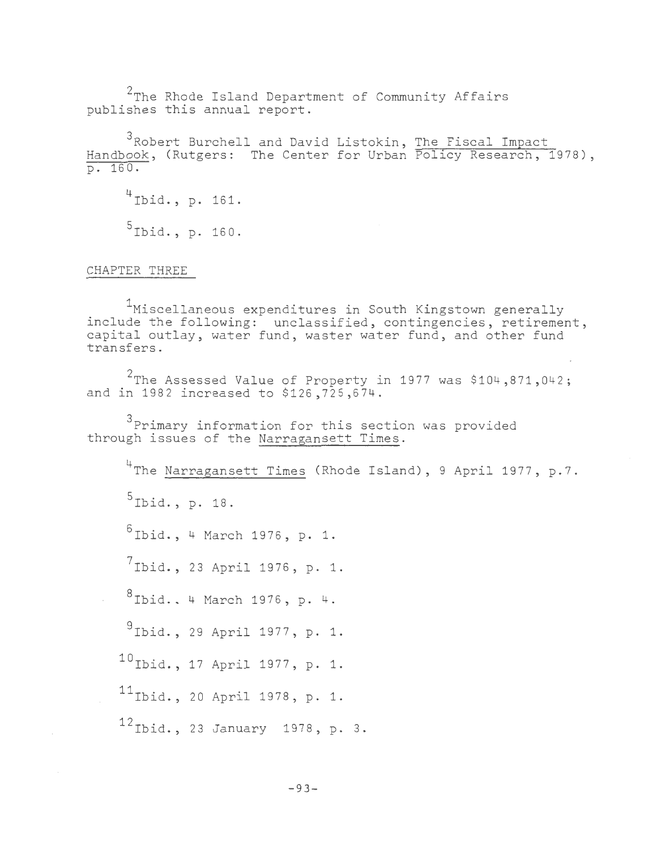$^2$ The Rhode Island Department of Community Affairs publishes this annual report.

3Robert Burchell and David Listokin, The Fiscal Impact Handbook, (Rutgers: The Center for Urban Policy Research, 1978), p. 160.

<sup>4</sup>Ibid., p. 161.  $5$ Ibid., p. 160.

CHAPTER THREE

<sup>1</sup>Miscellaneous expenditures in South Kingstown generally include the following: unclassified, contingencies, retirement, capital outlay, water fund, waster water fund, and other fund transfers.

 $^2$ The Assessed Value of Property in 1977 was \$104,871,042; and in 1982 increased to \$126,725,674.

<sup>3</sup>Primary information for this section was provided through issues of the Narragansett Times.

<sup>4</sup>The Narragansett Times (Rhode Island), 9 April 1977, p.7. 5Ibid., p. 18.  $6$ Ibid., 4 March 1976, p. 1.  $^{7}$ Ibid., 23 April 1976, p. 1.  $8$ Ibid., 4 March 1976, p. 4. 9Ibid. , 29 April 1977, p. 1. <sup>10</sup> Ibid., 17 April 1977, p. 1. <sup>11</sup> Ibid., 20 April 1978, p. 1. <sup>12</sup> Ibid., 23 January 1978, p. 3.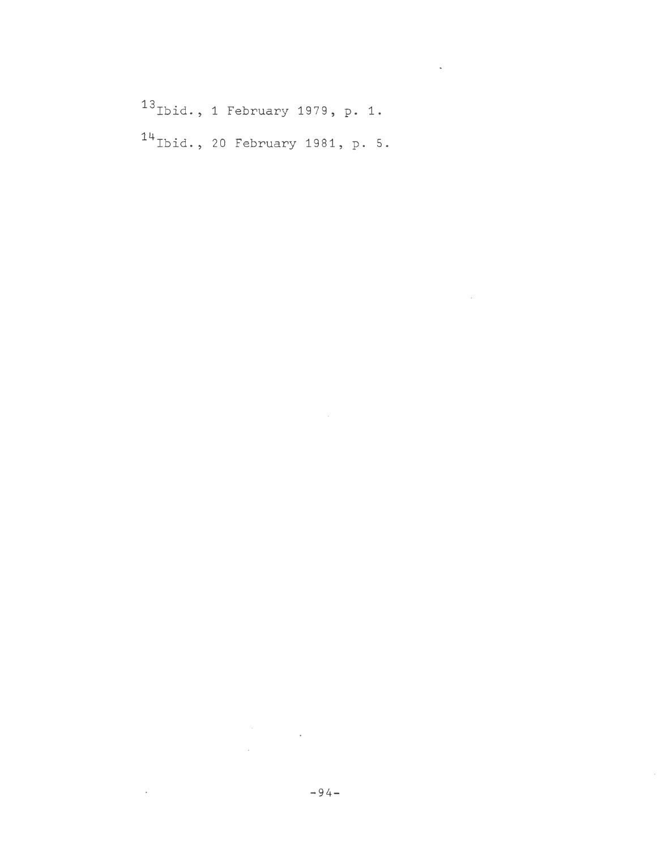13<sub>Ibid.</sub>, 1 February 1979, p. 1. <sup>14</sup> Ibid., 20 February 1981, p. 5.  $\mathcal{L}^{\text{max}}_{\text{max}}$  and  $\mathcal{L}^{\text{max}}_{\text{max}}$ 

 $\label{eq:2.1} \frac{1}{\sqrt{2}}\int_{\mathbb{R}^3}\frac{1}{\sqrt{2}}\left(\frac{1}{\sqrt{2}}\right)^2\frac{1}{\sqrt{2}}\left(\frac{1}{\sqrt{2}}\right)^2\frac{1}{\sqrt{2}}\left(\frac{1}{\sqrt{2}}\right)^2.$ 

 $\label{eq:2.1} \begin{split} \mathcal{L}_{\text{max}}(\mathbf{r}) & = \frac{1}{2} \sum_{i=1}^{N} \mathcal{L}_{\text{max}}(\mathbf{r}) \mathcal{L}_{\text{max}}(\mathbf{r}) \\ & = \frac{1}{2} \sum_{i=1}^{N} \mathcal{L}_{\text{max}}(\mathbf{r}) \mathcal{L}_{\text{max}}(\mathbf{r}) \mathcal{L}_{\text{max}}(\mathbf{r}) \mathcal{L}_{\text{max}}(\mathbf{r}) \mathcal{L}_{\text{max}}(\mathbf{r}) \mathcal{L}_{\text{max}}(\mathbf{r}) \mathcal{L}_{\text{max}}(\mathbf$ 

 $\mathcal{L}(\mathcal{L}^{\text{max}})$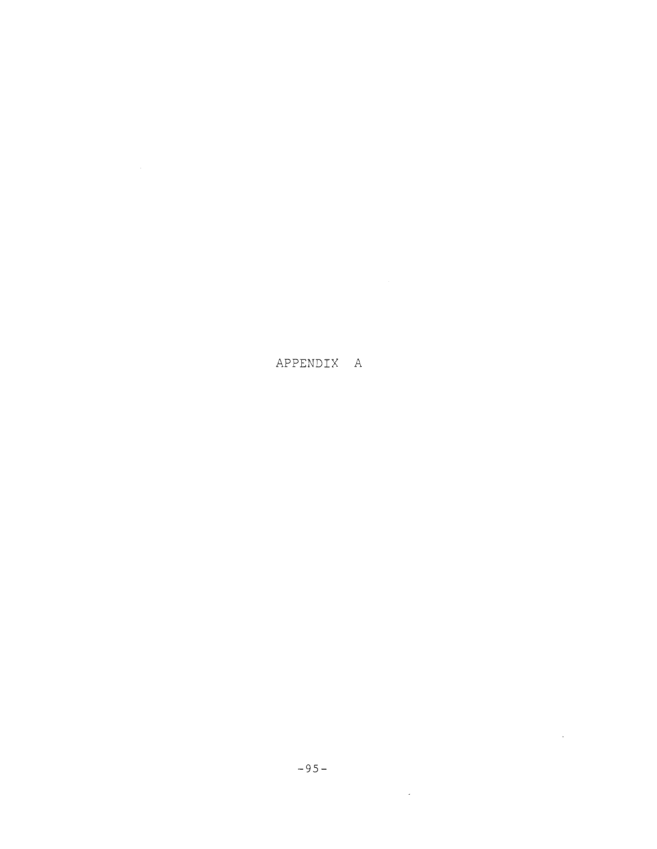APPENDIX A

 $\mathcal{L}^{\text{max}}_{\text{max}}$ 

 $\mathcal{L}^{\text{max}}_{\text{max}}$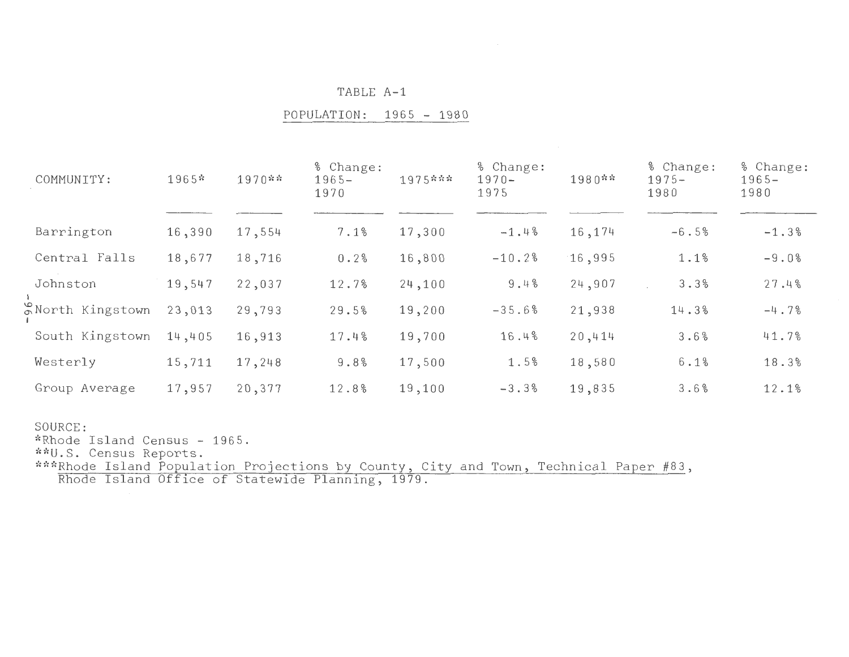POPULATION: 1965 - 1980

| COMMUNITY:                              | $1965*$ | $1970**$ | % Change:<br>$1965 -$<br>1970 | 1975*** | % Change:<br>$1970 -$<br>1975 | 1980** | % Change:<br>$1975 -$<br>1980 | % Change:<br>$1965 -$<br>1980 |
|-----------------------------------------|---------|----------|-------------------------------|---------|-------------------------------|--------|-------------------------------|-------------------------------|
| Barrington                              | 16,390  | 17,554   | 7.1%                          | 17,300  | $-1.4%$                       | 16,174 | $-6.5%$                       | $-1.3%$                       |
| Central Falls                           | 18,677  | 18,716   | 0.2%                          | 16,800  | $-10.2%$                      | 16,995 | 1.1%                          | $-9.0%$                       |
| Johnston                                | 19,547  | 22,037   | 12.7%                         | 24,100  | 9.4%                          | 24,907 | 3.3%                          | 27.4%                         |
| <b>S</b> North Kingstown                | 23,013  | 29,793   | 29.5%                         | 19,200  | $-35.6%$                      | 21,938 | 14.3%                         | $-4.7%$                       |
| South Kingstown                         | 14,405  | 16,913   | 17.4%                         | 19,700  | 16.4%                         | 20,414 | 3.6%                          | 41.7%                         |
| Westerly                                | 15,711  | 17,248   | 9.8%                          | 17,500  | 1.5%                          | 18,580 | 6.1%                          | 18.3%                         |
| Group Average                           | 17,957  | 20,377   | 12.8%                         | 19,100  | $-3.3%$                       | 19,835 | 3.6%                          | 12.1%                         |
| SOURCE:<br>*Rhode Island Census - 1965. |         |          |                               |         |                               |        |                               |                               |

Census Reports.

 $^{\ast\ast\ast\mathsf{Rhode}}$  Island Population Projections by County, City and Town, Technical Paper #83, Rhode Island Office of Statewide Planning, 1979.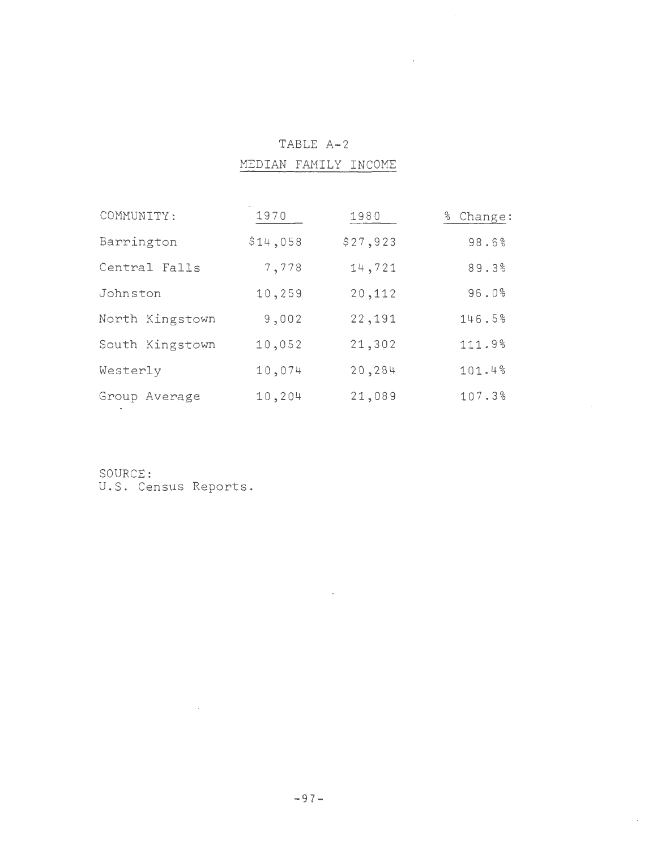| COMMUNITY:      | 1970     | 1980     | % Change: |
|-----------------|----------|----------|-----------|
| Barrington      | \$14,058 | \$27,923 | 98.6%     |
| Central Falls   | 7,778    | 14,721   | 89.3%     |
| Johnston        | 10,259   | 20,112   | 96.0%     |
| North Kingstown | 9,002    | 22,191   | 146.5%    |
| South Kingstown | 10,052   | 21,302   | 111.9%    |
| Westerly        | 10,074   | 20,284   | 101.4%    |
| Group Average   | 10,204   | 21,089   | 107.3%    |

TABLE A-2 MEDIAN FAMILY INCOME  $\bar{\mathcal{A}}$ 

SOURCE: U.S. Census Reports.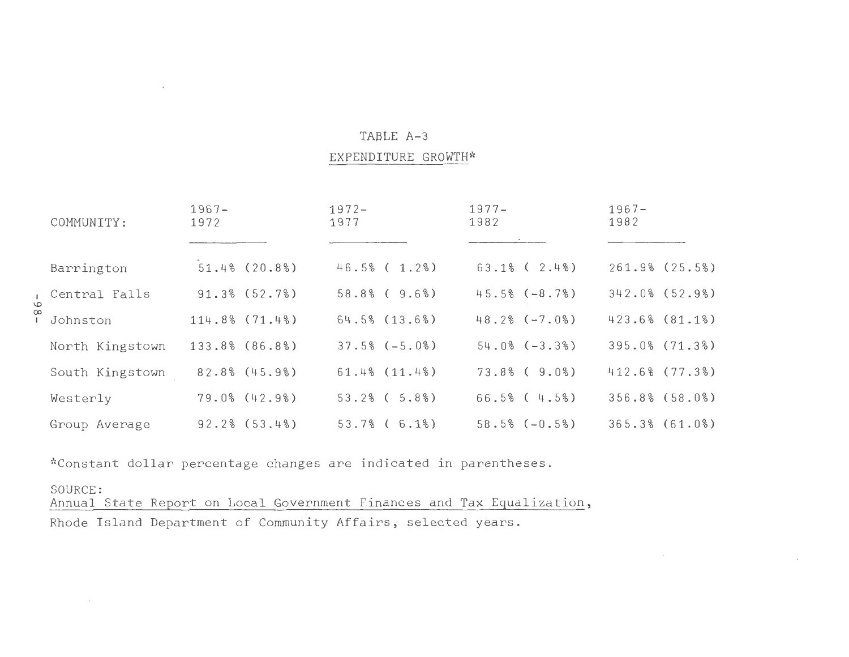## EXPENDITURE GROWTH\*

| COMMUNITY:      | $1967 -$<br>1972   | $1972 -$<br>1977   | $1977 -$<br>1982     | $1967 -$<br>1982   |
|-----------------|--------------------|--------------------|----------------------|--------------------|
|                 |                    |                    |                      |                    |
| Barrington      | $51.4\%$ (20.8%)   | $46.5%$ ( 1.2%)    | $63.1\%$ ( $2.4\%$ ) | $261.9%$ $(25.5%)$ |
| Central Falls   | 91.3% (52.7%)      | $58.8\%$ (9.6%)    | $45.5% (-8.7%)$      | $342.0%$ (52.9%)   |
| Johnston        | $114.8%$ $(71.4%)$ | $64.5%$ $(13.6%)$  | $48.2% (-7.0%)$      | 423.6% (81.1%)     |
| North Kingstown | 133.8% (86.8%)     | $37.5% (-5.0%)$    | $54.0% (-3.3%)$      | 395.0% (71.3%)     |
| South Kingstown | $82.8%$ $(45.9%)$  | 61.4% (11.4%)      | $73.8\%$ ( $9.0\%$ ) | 412.6% (77.3%)     |
| Westerly        | $79.0\%$ (42.9%)   | $53.2%$ ( $5.8%$ ) | $66.5%$ ( 4.5%)      | $356.8%$ $(58.0%)$ |
| Group Average   | 92.2% (53.4%)      | $53.7%$ (6.1%)     | $58.5% (-0.5%)$      | 365.3% (61.0%)     |

\*Constant dollar percentage changes are indicated in parentheses.

### SOURCE:

 $\sim$ 

 Annual State Report on Local Government Finances and Tax Equalization, Rhode Island Department of Community Affairs, selected years.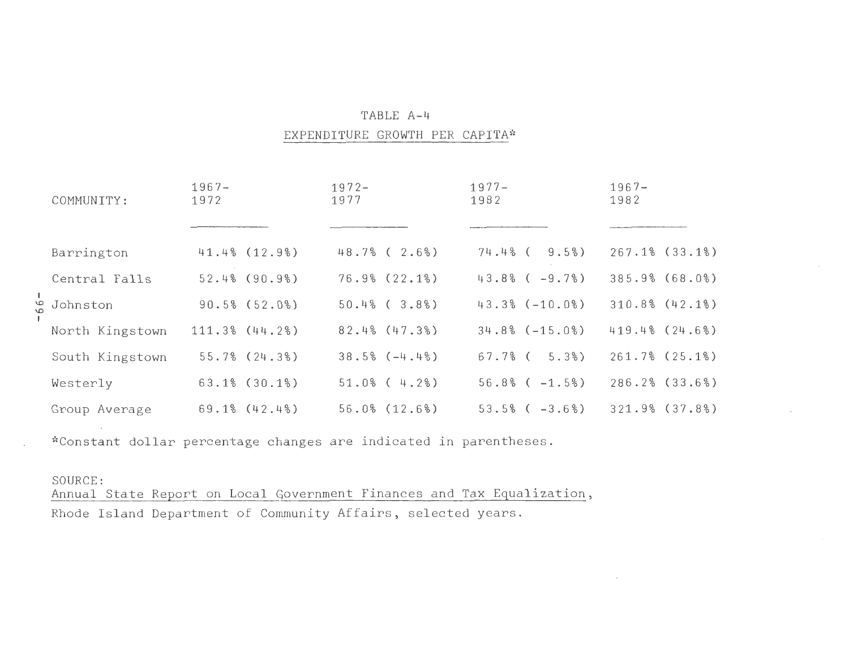#### EXPENDITURE GROWTH PER CAPITA\*

|  | COMMUNITY:      | $1967 -$<br>1972 |                     | $1972 -$<br>1977 |                     | $1977 -$<br>1982 |                     | $1967 -$<br>1982 |                    |
|--|-----------------|------------------|---------------------|------------------|---------------------|------------------|---------------------|------------------|--------------------|
|  |                 |                  |                     |                  |                     |                  |                     |                  |                    |
|  | Barrington      |                  | 41.4% (12.9%)       |                  | $48.7%$ ( 2.6%)     | $74.4%$ (        | 9.5%                |                  | $267.1%$ (33.1%)   |
|  | Central Falls   |                  | $52.4%$ (90.9%)     |                  | 76.9% (22.1%)       |                  | $43.8%$ ( $-9.7%$ ) |                  | 385.9% (68.0%)     |
|  | Johnston و      |                  | $90.5%$ (52.0%)     |                  | $50.4%$ ( $3.8%$ )  |                  | $43.3% (-10.0%)$    |                  | $310.8%$ $(42.1%)$ |
|  | North Kingstown |                  | $111.3%$ $(44.2%)$  |                  | $82.4%$ (47.3%)     |                  | $34.8% (-15.0%)$    |                  | 419.4% (24.6%)     |
|  | South Kingstown |                  | $55.7%$ $(24.3%)$   |                  | $38.5% (-4.4%)$     | 67.7% (          | $5.3\%$ )           |                  | $261.7%$ (25.1%)   |
|  | Westerly        |                  | $63.1\%$ (30.1%)    |                  | $51.0\%$ ( 4.2%)    |                  | $56.8%$ ( $-1.5%$ ) |                  | $286.2%$ $(33.6%)$ |
|  | Group Average   |                  | $69.1\%$ $(42.4\%)$ |                  | $56.0\%$ $(12.6\%)$ |                  | $53.5%$ ( $-3.6%$ ) |                  | $321.9%$ $(37.8%)$ |

\*Constant dollar percentage changes are indicated in parentheses.

SOURCE: Annual State Report on Local Government Finances and Tax Equalization, Rhode Island Department of Community Affairs, selected years.

I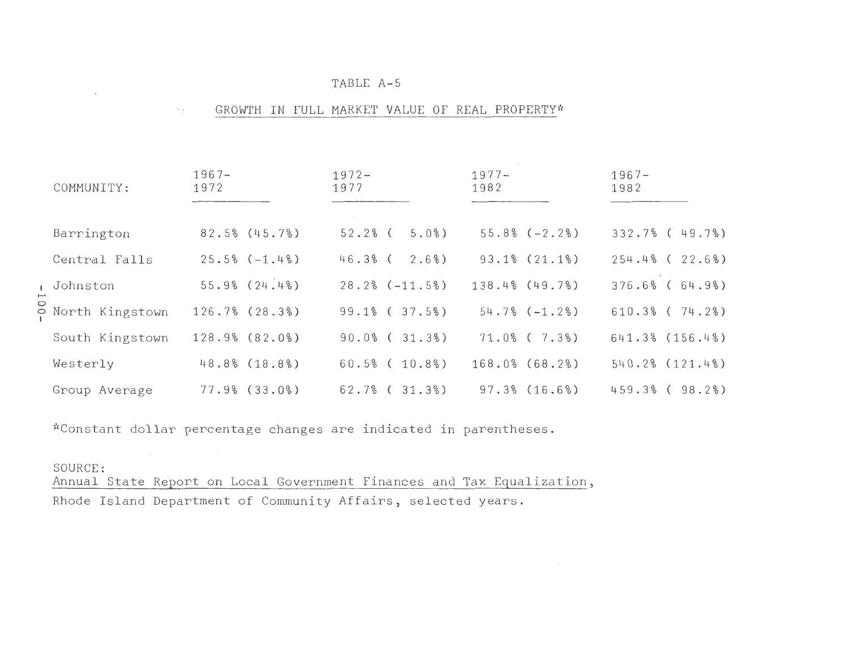#### III GROWTH IN FULL MARKET VALUE OF REAL PROPERTY\*

| COMMUNITY:        | $1967 -$<br>1972   | $1972 -$<br>1977      | $1977 -$<br>1982    | $1967 -$<br>1982     |
|-------------------|--------------------|-----------------------|---------------------|----------------------|
|                   |                    |                       | $55.8% (-2.2%)$     |                      |
| Barrington        | $82.5%$ (45.7%)    | $52.2%$ (<br>5.0%     |                     | $332.7%$ (49.7%)     |
| Central Falls     | $25.5% (-1.4%)$    | 2.6%<br>46.3% (       | $93.1\%$ $(21.1\%)$ | $254.4%$ ( 22.6%)    |
| , Johnston        | $55.9%$ $(24.4%)$  | $28.2% (-11.5%)$      | $138.4%$ (49.7%)    | $376.6%$ ( $64.9%$ ) |
| O North Kingstown | $126.7%$ $(28.3%)$ | $99.1\%$ ( $37.5\%$ ) | $54.7% (-1.2%)$     | $610.3%$ ( $74.2%$ ) |
| South Kingstown   | 128.9% (82.0%)     | $90.0\%$ ( $31.3\%$ ) | $71.0\%$ ( $7.3\%)$ | $641.3%$ $(156.4%)$  |
| Westerly          | 48.8% (18.8%)      | $60.5%$ ( $10.8%$ )   | $168.0\%$ (68.2%)   | $540.2%$ $(121.4%)$  |
| Group Average     | $77.9%$ $(33.0%)$  | 62.7% (31.3%)         | $97.3%$ $(16.6%)$   | $459.3%$ ( $98.2%$ ) |

\*Constant dollar percentage changes are indicated in parentheses.

## SOURCE:

Annual State Report on Local Government Finances and Tax Equalization, Rhode Island Department of Community Affairs, selected years.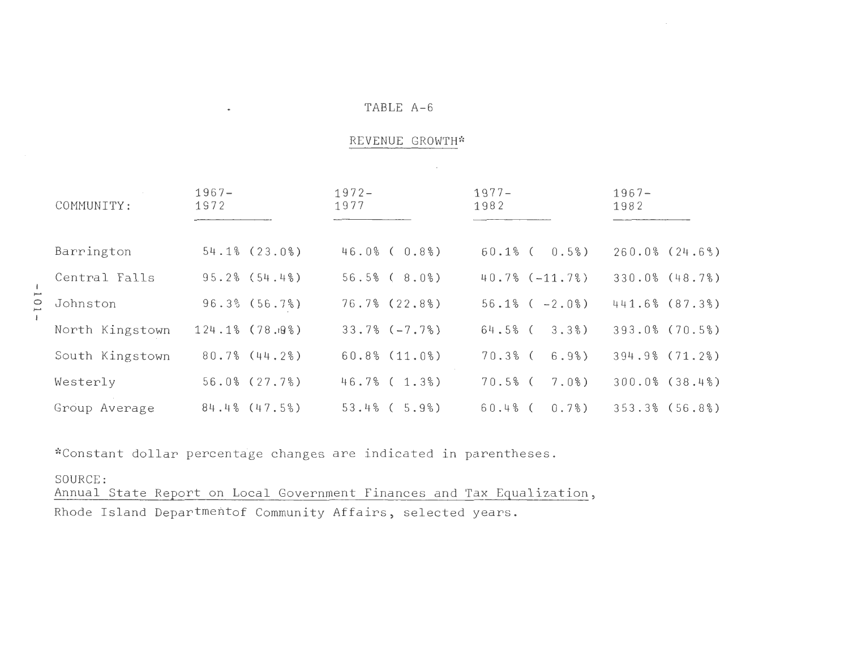# REVENUE GROWTH\*

 $\sim$   $\sim$ 

| COMMUNITY:      | $1967 -$<br>1972  | $1972 -$<br>1977     | $1977 -$<br>1982      | $1967 -$<br>1982   |
|-----------------|-------------------|----------------------|-----------------------|--------------------|
|                 |                   |                      |                       |                    |
| Barrington      | 54.1% (23.0%)     | $46.0\%$ ( $0.8\%$ ) | $60.1\%$ ( $0.5\%$ )  | $260.0%$ $(24.6%)$ |
| Central Falls   | $95.2%$ $(54.4%)$ | $56.5%$ ( $8.0%$ )   | $40.7% (-11.7%)$      | $330.0%$ $(48.7%)$ |
| Johnston        | $96.3\%$ (56.7%)  | $76.7\%$ (22.8%)     | $56.1\%$ ( $-2.0\%$ ) | 441.6% (87.3%)     |
| North Kingstown | 124.1% (78.19%)   | $33.7% (-7.7%)$      | 3.3%<br>$64.5%$ (     | 393.0% (70.5%)     |
| South Kingstown | $80.7%$ $(44.2%)$ | $60.8\%$ $(11.0\%)$  | $70.3%$ (<br>6.9%     | 394.9% (71.2%)     |
| Westerly        | $56.0\%$ (27.7%)  | $46.7%$ ( 1.3%)      | $70.5%$ (<br>7.0%     | $300.0%$ $(38.4%)$ |
| Group Average   | $84.4%$ (47.5%)   | $53.4%$ ( $5.9%$ )   | 0.7%<br>$60.4%$ (     | $353.3%$ (56.8%)   |

\*Constant dollar percentage changes are indicated in parentheses.

 $\bullet$ 

SOURCE: Annual State Report on Local Government Finances and Tax Equalization, Rhode Island Departmentof Community Affairs, selected years.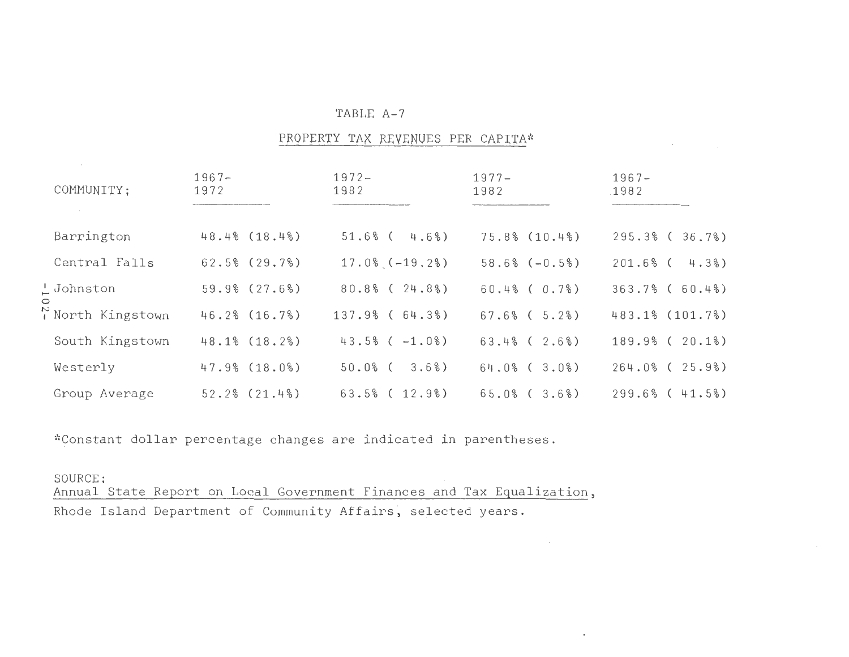|         | COMMUNITY;             | $1967 -$<br>1972  | $1972 -$<br>1982       | $1977 -$<br>1982     | $1967 -$<br>1982     |
|---------|------------------------|-------------------|------------------------|----------------------|----------------------|
|         | Barrington             | $48.4%$ (18.4%)   | 4.6%)<br>$51.6%$ (     | $75.8\%$ $(10.4\%)$  | $295.3%$ ( $36.7%$ ) |
|         | Central Falls          | $62.5%$ $(29.7%)$ | $17.0\%$ ( $-19.2\%$ ) | $58.6% (-0.5%)$      | $201.6%$ (<br>4.3%   |
|         | $\frac{1}{2}$ Johnston | $59.9%$ $(27.6%)$ | $80.8\%$ ( $24.8\%$ )  | $60.4\%$ ( $0.7\%$ ) | $363.7%$ (60.4%)     |
| $\circ$ | North Kingstown        | 46.2% (16.7%)     | $137.9%$ (64.3%)       | $67.6%$ ( $5.2%$ )   | 483.1% (101.7%)      |
|         | South Kingstown        | 48.1% (18.2%)     | $43.5%$ ( $-1.0%$ )    | $63.4%$ ( 2.6%)      | $189.9%$ ( $20.1%$ ) |
|         | Westerly               | $47.9%$ $(18.0%)$ | 3.6%<br>$50.0%$ (      | $64.0%$ ( $3.0%$ )   | $264.0%$ ( $25.9%$ ) |
|         | Group Average          | 52.2% (21.4%)     | $63.5%$ ( $12.9%$ )    | $65.0\%$ ( $3.6\%$ ) | $299.6%$ ( 41.5%)    |

 $\bullet$ 

PROPERTY TAX REVENUES PER CAPITA\*

\*Constant dollar percentage changes are indicated in parentheses.

## SOURCE:

 Annual State Report on Local Government Finances and Tax Rhode Island Department of Community Affairs, selected years.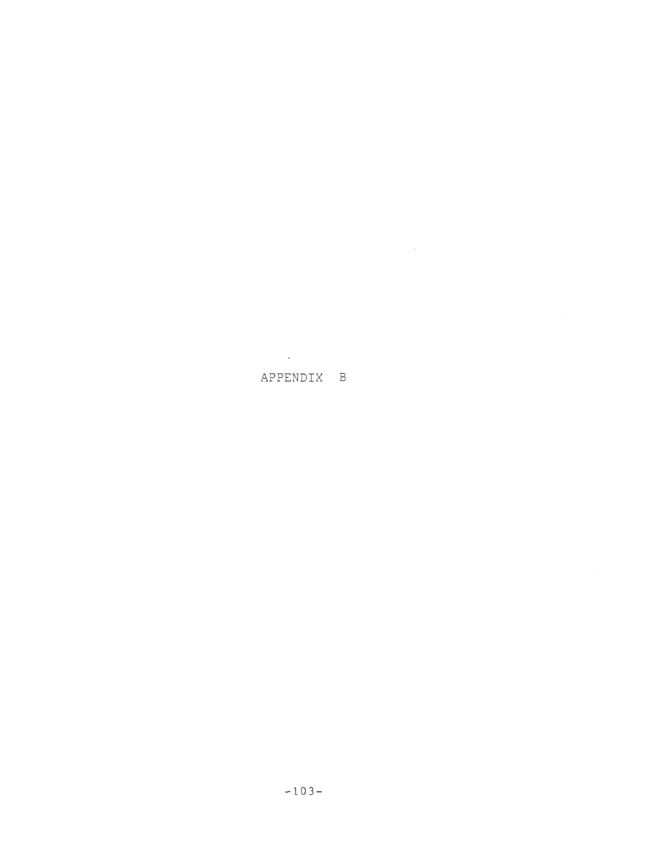$\mathcal{L}^{\text{max}}_{\text{max}}$ 

 $\mathcal{L}^{\text{max}}$  ,  $\mathcal{L}^{\text{max}}$ 

# APPENDIX B

-103-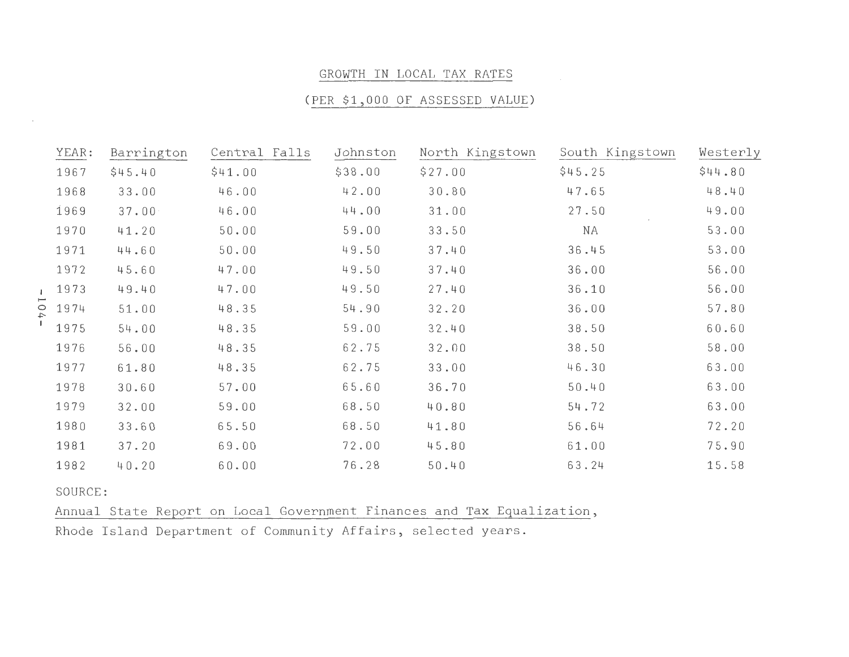#### GROWTH IN LOCAL TAX RATES

# (PER \$1 , 000 OF ASSESSED VALUE )

| YEAR:   | Barrington | Central Falls | Johnston | North Kingstown                                                        | South Kingstown | Westerly |
|---------|------------|---------------|----------|------------------------------------------------------------------------|-----------------|----------|
| 1967    | \$45.40    | \$41.00       | \$38.00  | \$27.00                                                                | \$45.25         | \$44.80  |
| 1968    | 33.00      | 46.00         | 42.00    | 30.80                                                                  | 47.65           | 48.40    |
| 1969    | 37.00      | 46.00         | 44.00    | 31.00                                                                  | 27.50           | 49.00    |
| 1970    | 41.20      | 50.00         | 59.00    | 33.50                                                                  | ΝA              | 53.00    |
| 1971    | 44.60      | 50.00         | 49.50    | 37.40                                                                  | 36.45           | 53.00    |
| 1972    | 45.60      | 47.00         | 49.50    | 37.40                                                                  | 36.00           | 56.00    |
| 1973    | 49.40      | 47.00         | 49.50    | 27.40                                                                  | 36.10           | 56.00    |
| 1974    | 51.00      | 48.35         | 54.90    | 32.20                                                                  | 36.00           | 57.80    |
| 1975    | 54.00      | 48.35         | 59.00    | 32.40                                                                  | 38.50           | 60.60    |
| 1976    | 56.00      | 48.35         | 62.75    | 32.00                                                                  | 38.50           | 58.00    |
| 1977    | 61.80      | 48.35         | 62.75    | 33.00                                                                  | 46.30           | 63.00    |
| 1978    | 30.60      | 57.00         | 65.60    | 36.70                                                                  | 50.40           | 63.00    |
| 1979    | 32.00      | 59.00         | 68.50    | 40.80                                                                  | 54.72           | 63.00    |
| 1980    | 33.60      | 65.50         | 68.50    | 41.80                                                                  | 56.64           | 72.20    |
| 1981    | 37.20      | 69.00         | 72.00    | 45.80                                                                  | 61.00           | 75.90    |
| 1982    | 40.20      | 60.00         | 76.28    | 50.40                                                                  | 63.24           | 15.58    |
| SOURCE: |            |               |          |                                                                        |                 |          |
|         |            |               |          | Annual State Report on Local Government Finances and Tax Equalization, |                 |          |

Rhode Island Department of Community Affairs, selected years.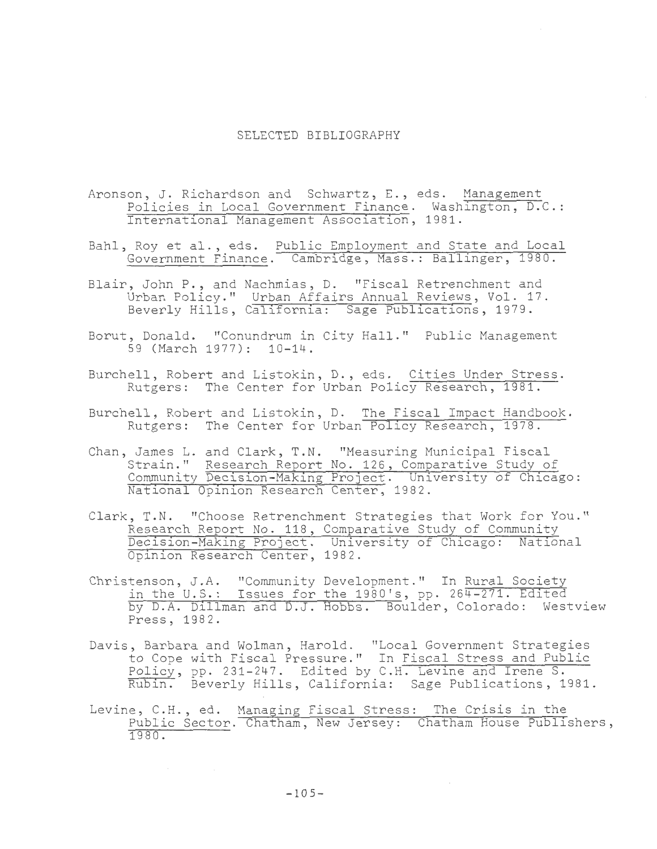## SELECTED BIBLIOGRAPHY

- Aronson, J. Richardson and Schwartz, E., eds. Management Policies in Local Government Finance. Washington, D.C.: International Management Association, 1981.
- Bahl, Roy et al., eds. Public Employment and State and Local Government Finance . Cambridge, Mass.: Ballinger, 1980.
- Blair, John P., and Nachmias, D. "Fiscal Retrenchment and Urban Policy." Urban Affairs Annual Reviews, Vol. 17. Beverly Hills, California: Sage Publications, 1979.
- Borut, Donald. "Conundrum in City Hall." Public Management 59 (March 1977): 10-14.
- Burchell, Robert and Listokin, D., eds. Cities Under Stress. Rutgers: The Center for Urban Policy Research, 1981.
- Burchell, Robert and Listokin, D. The Fiscal Impact Handbook. Rutgers: The Center for Urban Policy Research, 1978.
- Chan, James L. and Clark, T.N. "Measuring Municipal Fiscal Strain." Research Report No. 126, Comparative Study of Community Decision-Making Project. University of Chicago: National Opinion Research Center, 1982.
- Clark, T.N. "Choose Retrenchment Strategies that Work for You." Research Report No. 118, Comparative Study of Community Decision-Making Project. University of Chicago: National Opinion Research Center, 1982 .
- Christenson, J.A. "Community Development." In Rural Society in the U.S.: Issues for the 1980's, pp. 264-271. Edited by D.A. Dillman and D.J. Hobbs. Boulder, Colorado: Westview Press, 1982.
- Davis, Barbara and Wolman, Harold. "Local Government Strategies to Cope with Fiscal Pressure." In Fiscal Stress and Public Policy, pp. 231-247. Edited by C.H. Levine and Irene S. Rubin. Beverly Hills, California: Sage Publications, 1981.
- Levine, C.H., ed. Managing Fiscal Stress: The Crisis in the Public Sector. Chatham, New Jersey: Chatham House Publishers, 1980 .